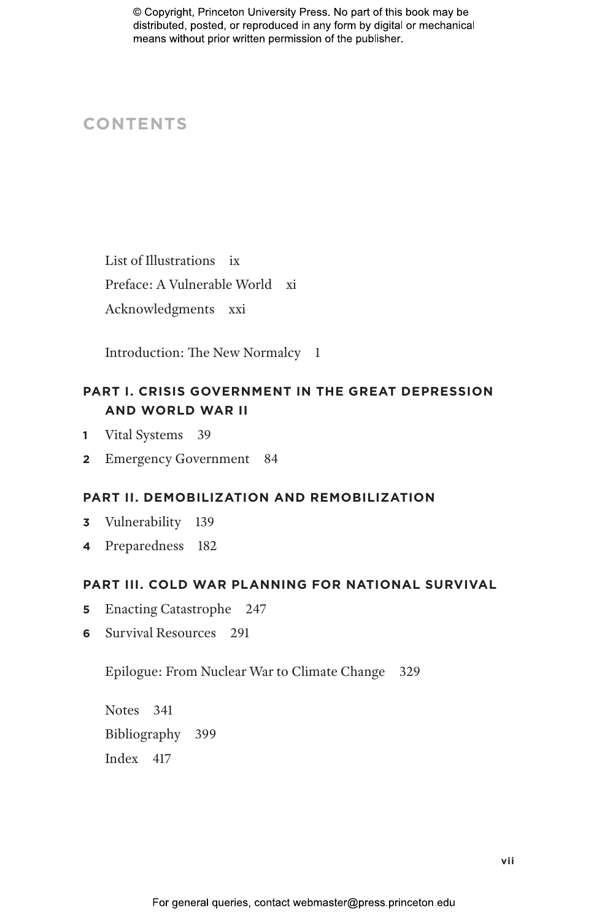# **CONTENTS**

List of Illustrations ix Preface: A Vulnerable World xi Acknowledgments xxi

Introduction: The New Normalcy 1

# **PART I. CRISIS GOVERNMENT IN THE GREAT DEPRESSION AND WORLD WAR II**

- **1** Vital Systems 39
- **2** Emergency Government 84

# **PART II. DEMOBILIZATION AND REMOBILIZATION**

- **3** Vulnerability 139
- **4** Preparedness 182

# **PART III. COLD WAR PLANNING FOR NATIONAL SURVIVAL**

- **5** Enacting Catastrophe 247
- **6** Survival Resources 291

Epilogue: From Nuclear War to Climate Change 329

Notes 341 Bibliography 399 Index 417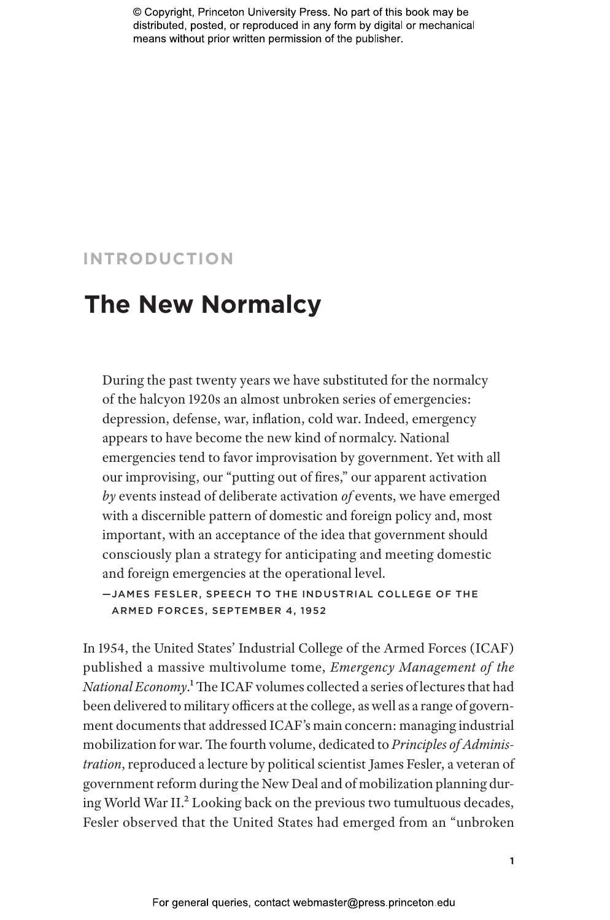# **INTRODUCTION**

# **The New Normalcy**

During the past twenty years we have substituted for the normalcy of the halcyon 1920s an almost unbroken series of emergencies: depression, defense, war, inflation, cold war. Indeed, emergency appears to have become the new kind of normalcy. National emergencies tend to favor improvisation by government. Yet with all our improvising, our "putting out of fires," our apparent activation *by* events instead of deliberate activation *of* events, we have emerged with a discernible pattern of domestic and foreign policy and, most important, with an acceptance of the idea that government should consciously plan a strategy for anticipating and meeting domestic and foreign emergencies at the operational level.

—JAMES FESLER, SPEECH TO THE INDUSTR IAL COLL EGE OF THE ARMED FORCES, SEPTEMBER 4, 1952

In 1954, the United States' Industrial College of the Armed Forces (ICAF) published a massive multivolume tome, *Emergency Management of the National Economy*.1 The ICAF volumes collected a series of lectures that had been delivered to military officers at the college, as well as a range of government documents that addressed ICAF's main concern: managing industrial mobilization for war. The fourth volume, dedicated to *Principles of Administration*, reproduced a lecture by political scientist James Fesler, a veteran of government reform during the New Deal and of mobilization planning during World War II.2 Looking back on the previous two tumultuous decades, Fesler observed that the United States had emerged from an "unbroken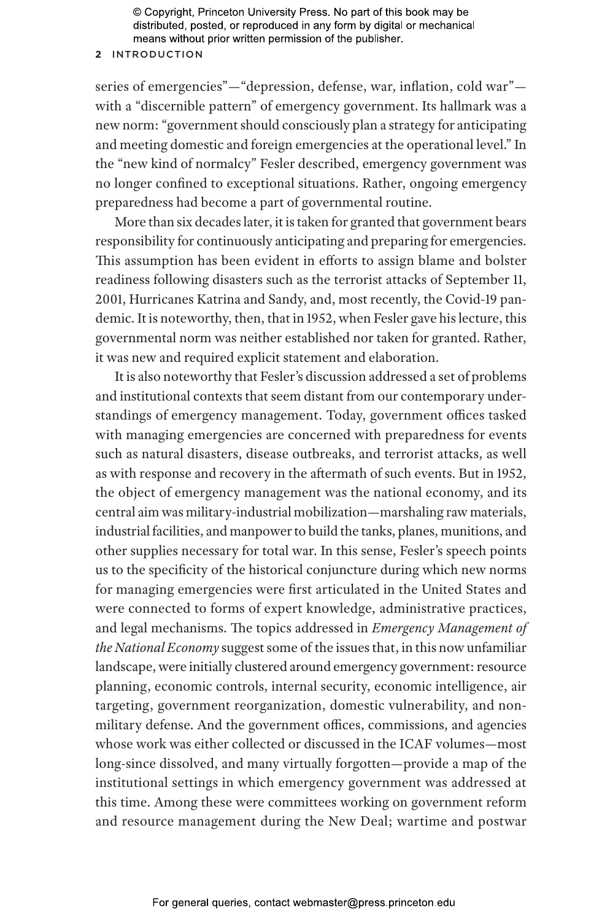## **2** INTRODUCTION

series of emergencies"—"depression, defense, war, inflation, cold war" with a "discernible pattern" of emergency government. Its hallmark was a new norm: "government should consciously plan a strategy for anticipating and meeting domestic and foreign emergencies at the operational level." In the "new kind of normalcy" Fesler described, emergency government was no longer confined to exceptional situations. Rather, ongoing emergency preparedness had become a part of governmental routine.

More than six decades later, it is taken for granted that government bears responsibility for continuously anticipating and preparing for emergencies. This assumption has been evident in efforts to assign blame and bolster readiness following disasters such as the terrorist attacks of September 11, 2001, Hurricanes Katrina and Sandy, and, most recently, the Covid-19 pandemic. It is noteworthy, then, that in 1952, when Fesler gave his lecture, this governmental norm was neither established nor taken for granted. Rather, it was new and required explicit statement and elaboration.

It is also noteworthy that Fesler's discussion addressed a set of problems and institutional contexts that seem distant from our contemporary understandings of emergency management. Today, government offices tasked with managing emergencies are concerned with preparedness for events such as natural disasters, disease outbreaks, and terrorist attacks, as well as with response and recovery in the aftermath of such events. But in 1952, the object of emergency management was the national economy, and its central aim was military-industrial mobilization—marshaling raw materials, industrial facilities, and manpower to build the tanks, planes, munitions, and other supplies necessary for total war. In this sense, Fesler's speech points us to the specificity of the historical conjuncture during which new norms for managing emergencies were first articulated in the United States and were connected to forms of expert knowledge, administrative practices, and legal mechanisms. The topics addressed in *Emergency Management of the National Economy* suggest some of the issues that, in this now unfamiliar landscape, were initially clustered around emergency government: resource planning, economic controls, internal security, economic intelligence, air targeting, government reorganization, domestic vulnerability, and nonmilitary defense. And the government offices, commissions, and agencies whose work was either collected or discussed in the ICAF volumes—most long-since dissolved, and many virtually forgotten—provide a map of the institutional settings in which emergency government was addressed at this time. Among these were committees working on government reform and resource management during the New Deal; wartime and postwar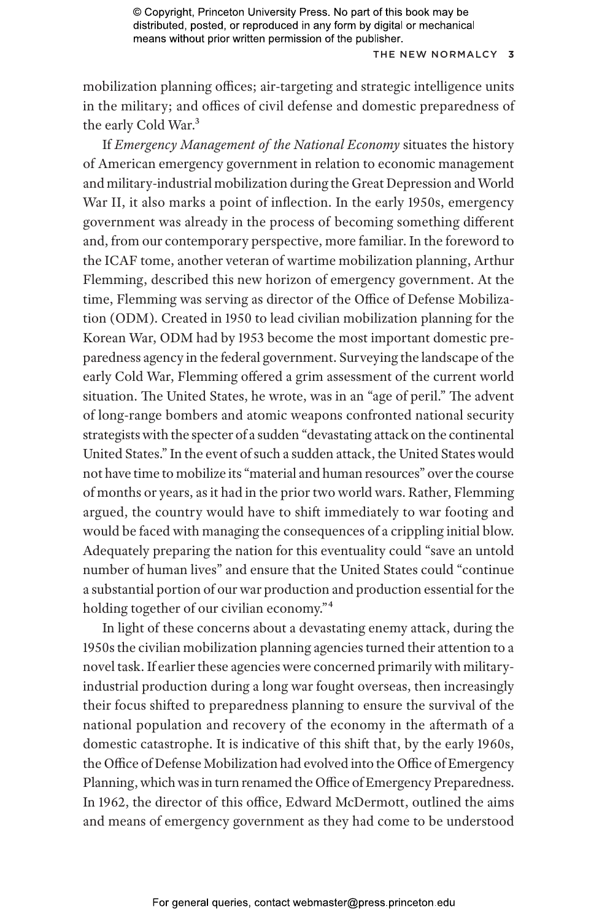## THE NEW NORMALCY 3

mobilization planning offices; air-targeting and strategic intelligence units in the military; and offices of civil defense and domestic preparedness of the early Cold War.<sup>3</sup>

If *Emergency Management of the National Economy* situates the history of American emergency government in relation to economic management and military-industrial mobilization during the Great Depression and World War II, it also marks a point of inflection. In the early 1950s, emergency government was already in the process of becoming something different and, from our contemporary perspective, more familiar. In the foreword to the ICAF tome, another veteran of wartime mobilization planning, Arthur Flemming, described this new horizon of emergency government. At the time, Flemming was serving as director of the Office of Defense Mobilization (ODM). Created in 1950 to lead civilian mobilization planning for the Korean War, ODM had by 1953 become the most important domestic preparedness agency in the federal government. Surveying the landscape of the early Cold War, Flemming offered a grim assessment of the current world situation. The United States, he wrote, was in an "age of peril." The advent of long-range bombers and atomic weapons confronted national security strategists with the specter of a sudden "devastating attack on the continental United States." In the event of such a sudden attack, the United States would not have time to mobilize its "material and human resources" over the course of months or years, as it had in the prior two world wars. Rather, Flemming argued, the country would have to shift immediately to war footing and would be faced with managing the consequences of a crippling initial blow. Adequately preparing the nation for this eventuality could "save an untold number of human lives" and ensure that the United States could "continue a substantial portion of our war production and production essential for the holding together of our civilian economy."4

In light of these concerns about a devastating enemy attack, during the 1950s the civilian mobilization planning agencies turned their attention to a novel task. If earlier these agencies were concerned primarily with militaryindustrial production during a long war fought overseas, then increasingly their focus shifted to preparedness planning to ensure the survival of the national population and recovery of the economy in the aftermath of a domestic catastrophe. It is indicative of this shift that, by the early 1960s, the Office of Defense Mobilization had evolved into the Office of Emergency Planning, which was in turn renamed the Office of Emergency Preparedness. In 1962, the director of this office, Edward McDermott, outlined the aims and means of emergency government as they had come to be understood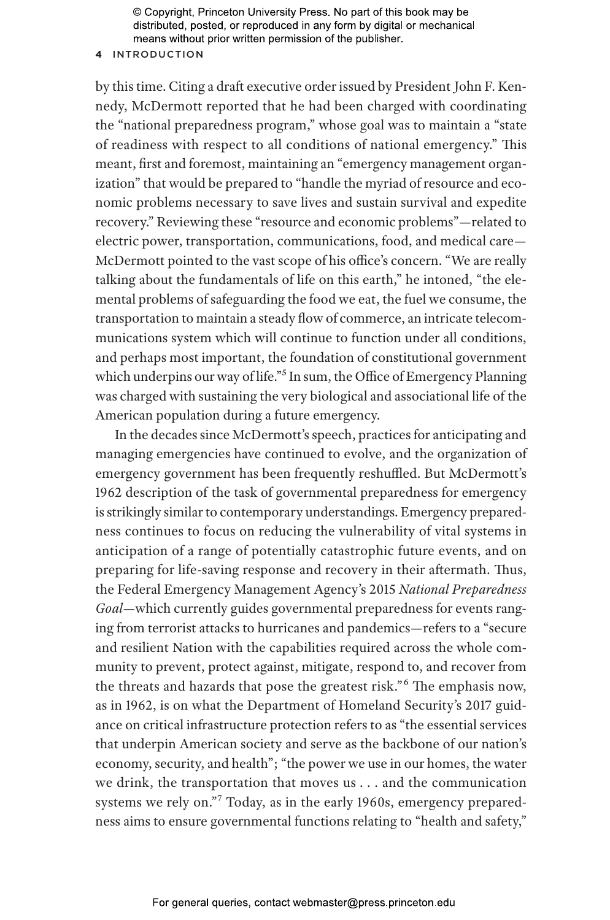## **4** INTRODUCTION

by this time. Citing a draft executive order issued by President John F. Kennedy, McDermott reported that he had been charged with coordinating the "national preparedness program," whose goal was to maintain a "state of readiness with respect to all conditions of national emergency." This meant, first and foremost, maintaining an "emergency management organization" that would be prepared to "handle the myriad of resource and economic problems necessary to save lives and sustain survival and expedite recovery." Reviewing these "resource and economic problems"—related to electric power, transportation, communications, food, and medical care— McDermott pointed to the vast scope of his office's concern. "We are really talking about the fundamentals of life on this earth," he intoned, "the elemental problems of safeguarding the food we eat, the fuel we consume, the transportation to maintain a steady flow of commerce, an intricate telecommunications system which will continue to function under all conditions, and perhaps most important, the foundation of constitutional government which underpins our way of life."<sup>5</sup> In sum, the Office of Emergency Planning was charged with sustaining the very biological and associational life of the American population during a future emergency.

In the decades since McDermott's speech, practices for anticipating and managing emergencies have continued to evolve, and the organization of emergency government has been frequently reshuffled. But McDermott's 1962 description of the task of governmental preparedness for emergency is strikingly similar to contemporary understandings. Emergency preparedness continues to focus on reducing the vulnerability of vital systems in anticipation of a range of potentially catastrophic future events, and on preparing for life-saving response and recovery in their aftermath. Thus, the Federal Emergency Management Agency's 2015 *National Preparedness Goal*—which currently guides governmental preparedness for events ranging from terrorist attacks to hurricanes and pandemics—refers to a "secure and resilient Nation with the capabilities required across the whole community to prevent, protect against, mitigate, respond to, and recover from the threats and hazards that pose the greatest risk."<sup>6</sup> The emphasis now, as in 1962, is on what the Department of Homeland Security's 2017 guidance on critical infrastructure protection refers to as "the essential services that underpin American society and serve as the backbone of our nation's economy, security, and health"; "the power we use in our homes, the water we drink, the transportation that moves us . . . and the communication systems we rely on."7 Today, as in the early 1960s, emergency preparedness aims to ensure governmental functions relating to "health and safety,"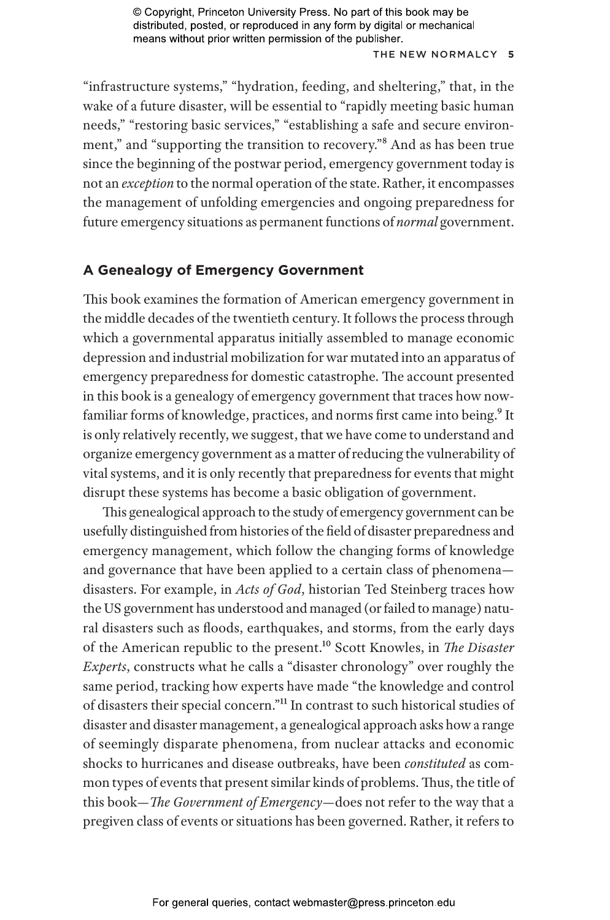### THE NEW NOR MALCY **5**

"infrastructure systems," "hydration, feeding, and sheltering," that, in the wake of a future disaster, will be essential to "rapidly meeting basic human needs," "restoring basic services," "establishing a safe and secure environment," and "supporting the transition to recovery."8 And as has been true since the beginning of the postwar period, emergency government today is not an *exception* to the normal operation of the state. Rather, it encompasses the management of unfolding emergencies and ongoing preparedness for future emergency situations as permanent functions of *normal* government.

# **A Genealogy of Emergency Government**

This book examines the formation of American emergency government in the middle decades of the twentieth century. It follows the process through which a governmental apparatus initially assembled to manage economic depression and industrial mobilization for war mutated into an apparatus of emergency preparedness for domestic catastrophe. The account presented in this book is a genealogy of emergency government that traces how nowfamiliar forms of knowledge, practices, and norms first came into being.<sup>9</sup> It is only relatively recently, we suggest, that we have come to understand and organize emergency government as a matter of reducing the vulnerability of vital systems, and it is only recently that preparedness for events that might disrupt these systems has become a basic obligation of government.

This genealogical approach to the study of emergency government can be usefully distinguished from histories of the field of disaster preparedness and emergency management, which follow the changing forms of knowledge and governance that have been applied to a certain class of phenomena disasters. For example, in *Acts of God*, historian Ted Steinberg traces how the US government has understood and managed (or failed to manage) natural disasters such as floods, earthquakes, and storms, from the early days of the American republic to the present.10 Scott Knowles, in *The Disaster Experts*, constructs what he calls a "disaster chronology" over roughly the same period, tracking how experts have made "the knowledge and control of disasters their special concern."11 In contrast to such historical studies of disaster and disaster management, a genealogical approach asks how a range of seemingly disparate phenomena, from nuclear attacks and economic shocks to hurricanes and disease outbreaks, have been *constituted* as common types of events that present similar kinds of problems. Thus, the title of this book—*The Government of Emergency*—does not refer to the way that a pregiven class of events or situations has been governed. Rather, it refers to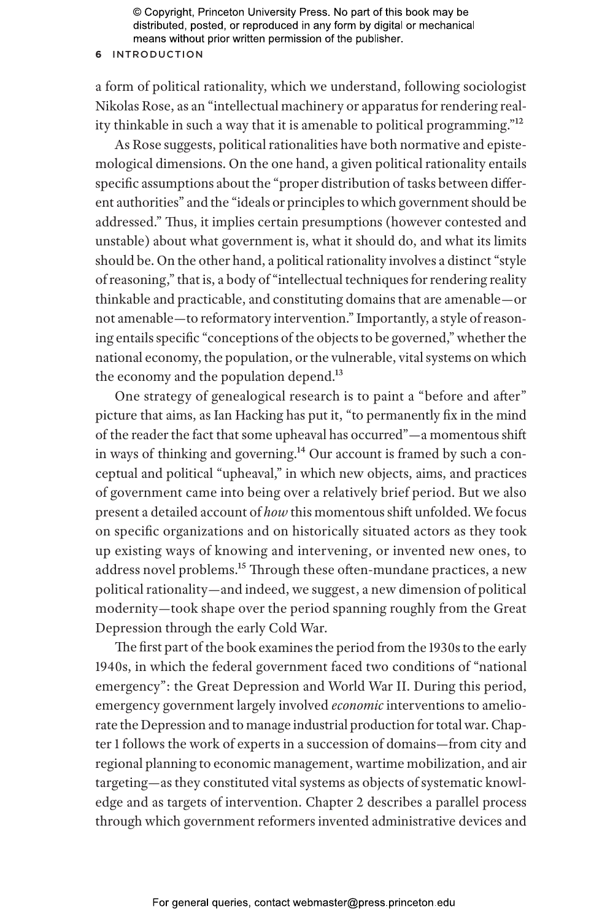## **6** INTRODUCTION

a form of political rationality, which we understand, following sociologist Nikolas Rose, as an "intellectual machinery or apparatus for rendering reality thinkable in such a way that it is amenable to political programming."12

As Rose suggests, political rationalities have both normative and epistemological dimensions. On the one hand, a given political rationality entails specific assumptions about the "proper distribution of tasks between different authorities" and the "ideals or principles to which government should be addressed." Thus, it implies certain presumptions (however contested and unstable) about what government is, what it should do, and what its limits should be. On the other hand, a political rationality involves a distinct "style of reasoning," that is, a body of "intellectual techniques for rendering reality thinkable and practicable, and constituting domains that are amenable—or not amenable—to reformatory intervention." Importantly, a style of reasoning entails specific "conceptions of the objects to be governed," whether the national economy, the population, or the vulnerable, vital systems on which the economy and the population depend.<sup>13</sup>

One strategy of genealogical research is to paint a "before and after" picture that aims, as Ian Hacking has put it, "to permanently fix in the mind of the reader the fact that some upheaval has occurred"—a momentous shift in ways of thinking and governing.14 Our account is framed by such a conceptual and political "upheaval," in which new objects, aims, and practices of government came into being over a relatively brief period. But we also present a detailed account of *how* this momentous shift unfolded. We focus on specific organizations and on historically situated actors as they took up existing ways of knowing and intervening, or invented new ones, to address novel problems.15 Through these often-mundane practices, a new political rationality—and indeed, we suggest, a new dimension of political modernity—took shape over the period spanning roughly from the Great Depression through the early Cold War.

The first part of the book examines the period from the 1930s to the early 1940s, in which the federal government faced two conditions of "national emergency": the Great Depression and World War II. During this period, emergency government largely involved *economic* interventions to ameliorate the Depression and to manage industrial production for total war. Chapter 1 follows the work of experts in a succession of domains—from city and regional planning to economic management, wartime mobilization, and air targeting—as they constituted vital systems as objects of systematic knowledge and as targets of intervention. Chapter 2 describes a parallel process through which government reformers invented administrative devices and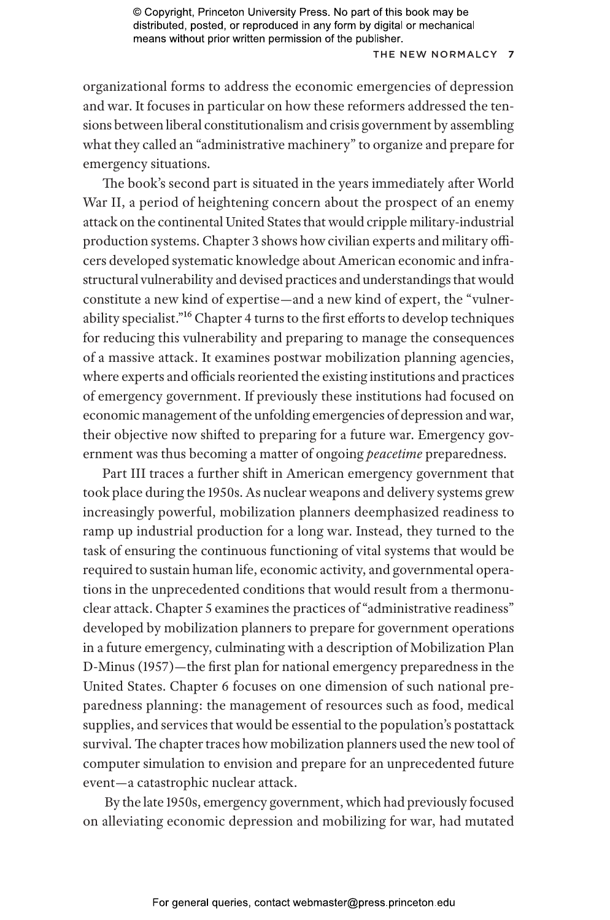## THE NEW NORMALCY 7

organizational forms to address the economic emergencies of depression and war. It focuses in particular on how these reformers addressed the tensions between liberal constitutionalism and crisis government by assembling what they called an "administrative machinery" to organize and prepare for emergency situations.

The book's second part is situated in the years immediately after World War II, a period of heightening concern about the prospect of an enemy attack on the continental United States that would cripple military-industrial production systems. Chapter 3 shows how civilian experts and military officers developed systematic knowledge about American economic and infrastructural vulnerability and devised practices and understandings that would constitute a new kind of expertise—and a new kind of expert, the "vulnerability specialist."16 Chapter 4 turns to the first efforts to develop techniques for reducing this vulnerability and preparing to manage the consequences of a massive attack. It examines postwar mobilization planning agencies, where experts and officials reoriented the existing institutions and practices of emergency government. If previously these institutions had focused on economic management of the unfolding emergencies of depression and war, their objective now shifted to preparing for a future war. Emergency government was thus becoming a matter of ongoing *peacetime* preparedness.

Part III traces a further shift in American emergency government that took place during the 1950s. As nuclear weapons and delivery systems grew increasingly powerful, mobilization planners deemphasized readiness to ramp up industrial production for a long war. Instead, they turned to the task of ensuring the continuous functioning of vital systems that would be required to sustain human life, economic activity, and governmental operations in the unprecedented conditions that would result from a thermonuclear attack. Chapter 5 examines the practices of "administrative readiness" developed by mobilization planners to prepare for government operations in a future emergency, culminating with a description of Mobilization Plan D-Minus (1957)—the first plan for national emergency preparedness in the United States. Chapter 6 focuses on one dimension of such national preparedness planning: the management of resources such as food, medical supplies, and services that would be essential to the population's postattack survival. The chapter traces how mobilization planners used the new tool of computer simulation to envision and prepare for an unprecedented future event—a catastrophic nuclear attack.

 By the late 1950s, emergency government, which had previously focused on alleviating economic depression and mobilizing for war, had mutated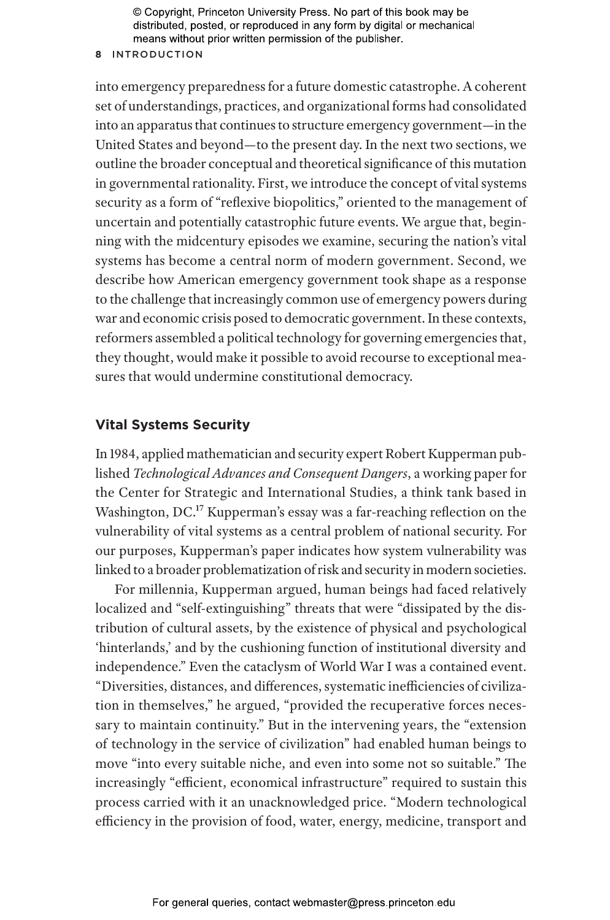#### **8** INTRODUCTION

into emergency preparedness for a future domestic catastrophe. A coherent set of understandings, practices, and organizational forms had consolidated into an apparatus that continues to structure emergency government—in the United States and beyond—to the present day. In the next two sections, we outline the broader conceptual and theoretical significance of this mutation in governmental rationality. First, we introduce the concept of vital systems security as a form of "reflexive biopolitics," oriented to the management of uncertain and potentially catastrophic future events. We argue that, beginning with the midcentury episodes we examine, securing the nation's vital systems has become a central norm of modern government. Second, we describe how American emergency government took shape as a response to the challenge that increasingly common use of emergency powers during war and economic crisis posed to democratic government. In these contexts, reformers assembled a political technology for governing emergencies that, they thought, would make it possible to avoid recourse to exceptional measures that would undermine constitutional democracy.

# **Vital Systems Security**

In 1984, applied mathematician and security expert Robert Kupperman published *Technological Advances and Consequent Dangers*, a working paper for the Center for Strategic and International Studies, a think tank based in Washington, DC.<sup>17</sup> Kupperman's essay was a far-reaching reflection on the vulnerability of vital systems as a central problem of national security. For our purposes, Kupperman's paper indicates how system vulnerability was linked to a broader problematization of risk and security in modern societies.

For millennia, Kupperman argued, human beings had faced relatively localized and "self-extinguishing" threats that were "dissipated by the distribution of cultural assets, by the existence of physical and psychological 'hinterlands,' and by the cushioning function of institutional diversity and independence." Even the cataclysm of World War I was a contained event. "Diversities, distances, and differences, systematic inefficiencies of civilization in themselves," he argued, "provided the recuperative forces necessary to maintain continuity." But in the intervening years, the "extension of technology in the service of civilization" had enabled human beings to move "into every suitable niche, and even into some not so suitable." The increasingly "efficient, economical infrastructure" required to sustain this process carried with it an unacknowledged price. "Modern technological efficiency in the provision of food, water, energy, medicine, transport and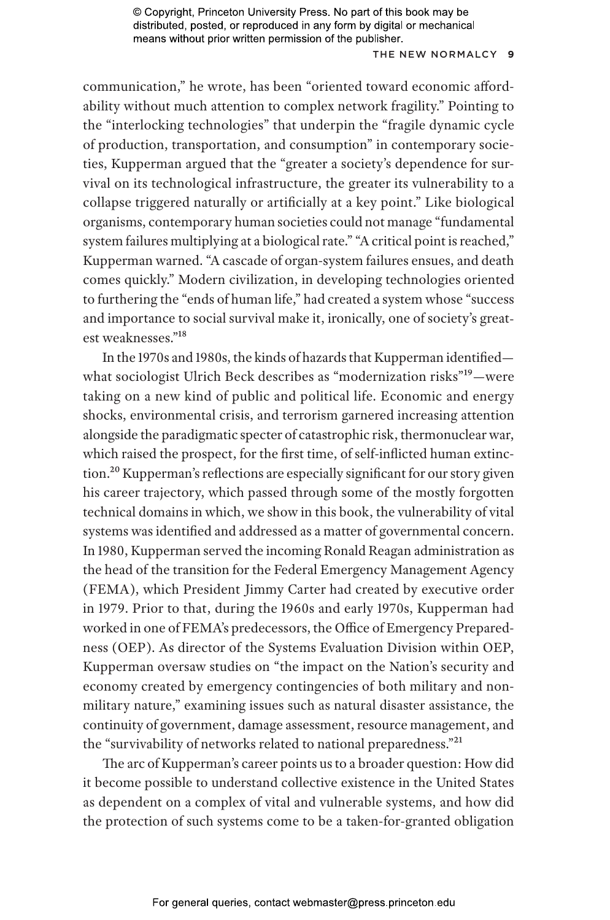### THE NEW NOR MALCY **9**

communication," he wrote, has been "oriented toward economic affordability without much attention to complex network fragility." Pointing to the "interlocking technologies" that underpin the "fragile dynamic cycle of production, transportation, and consumption" in contemporary societies, Kupperman argued that the "greater a society's dependence for survival on its technological infrastructure, the greater its vulnerability to a collapse triggered naturally or artificially at a key point." Like biological organisms, contemporary human societies could not manage "fundamental system failures multiplying at a biological rate." "A critical point is reached," Kupperman warned. "A cascade of organ-system failures ensues, and death comes quickly." Modern civilization, in developing technologies oriented to furthering the "ends of human life," had created a system whose "success and importance to social survival make it, ironically, one of society's greatest weaknesses."18

In the 1970s and 1980s, the kinds of hazards that Kupperman identified what sociologist Ulrich Beck describes as "modernization risks"<sup>19</sup>-were taking on a new kind of public and political life. Economic and energy shocks, environmental crisis, and terrorism garnered increasing attention alongside the paradigmatic specter of catastrophic risk, thermonuclear war, which raised the prospect, for the first time, of self-inflicted human extinction.<sup>20</sup> Kupperman's reflections are especially significant for our story given his career trajectory, which passed through some of the mostly forgotten technical domains in which, we show in this book, the vulnerability of vital systems was identified and addressed as a matter of governmental concern. In 1980, Kupperman served the incoming Ronald Reagan administration as the head of the transition for the Federal Emergency Management Agency (FEMA), which President Jimmy Carter had created by executive order in 1979. Prior to that, during the 1960s and early 1970s, Kupperman had worked in one of FEMA's predecessors, the Office of Emergency Preparedness (OEP). As director of the Systems Evaluation Division within OEP, Kupperman oversaw studies on "the impact on the Nation's security and economy created by emergency contingencies of both military and nonmilitary nature," examining issues such as natural disaster assistance, the continuity of government, damage assessment, resource management, and the "survivability of networks related to national preparedness."21

The arc of Kupperman's career points us to a broader question: How did it become possible to understand collective existence in the United States as dependent on a complex of vital and vulnerable systems, and how did the protection of such systems come to be a taken-for-granted obligation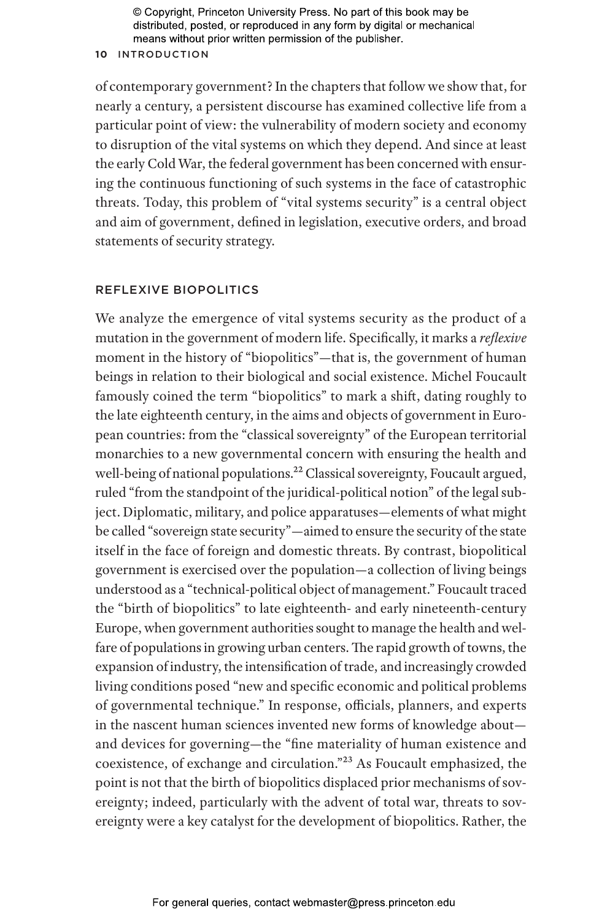#### **10** INTRODUCTION

of contemporary government? In the chapters that follow we show that, for nearly a century, a persistent discourse has examined collective life from a particular point of view: the vulnerability of modern society and economy to disruption of the vital systems on which they depend. And since at least the early Cold War, the federal government has been concerned with ensuring the continuous functioning of such systems in the face of catastrophic threats. Today, this problem of "vital systems security" is a central object and aim of government, defined in legislation, executive orders, and broad statements of security strategy.

# REFLEXIVE BIOPOLITICS

We analyze the emergence of vital systems security as the product of a mutation in the government of modern life. Specifically, it marks a *reflexive* moment in the history of "biopolitics"—that is, the government of human beings in relation to their biological and social existence. Michel Foucault famously coined the term "biopolitics" to mark a shift, dating roughly to the late eighteenth century, in the aims and objects of government in European countries: from the "classical sovereignty" of the European territorial monarchies to a new governmental concern with ensuring the health and well-being of national populations.<sup>22</sup> Classical sovereignty, Foucault argued, ruled "from the standpoint of the juridical-political notion" of the legal subject. Diplomatic, military, and police apparatuses—elements of what might be called "sovereign state security"—aimed to ensure the security of the state itself in the face of foreign and domestic threats. By contrast, biopolitical government is exercised over the population—a collection of living beings understood as a "technical-political object of management." Foucault traced the "birth of biopolitics" to late eighteenth- and early nineteenth-century Europe, when government authorities sought to manage the health and welfare of populations in growing urban centers. The rapid growth of towns, the expansion of industry, the intensification of trade, and increasingly crowded living conditions posed "new and specific economic and political problems of governmental technique." In response, officials, planners, and experts in the nascent human sciences invented new forms of knowledge about and devices for governing—the "fine materiality of human existence and coexistence, of exchange and circulation."23 As Foucault emphasized, the point is not that the birth of biopolitics displaced prior mechanisms of sovereignty; indeed, particularly with the advent of total war, threats to sovereignty were a key catalyst for the development of biopolitics. Rather, the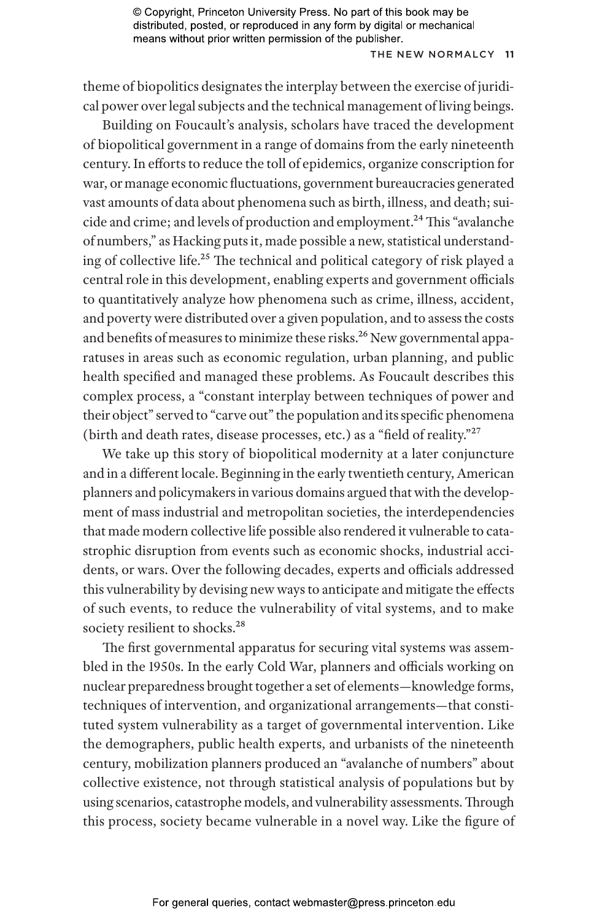#### THE NEW NORMALCY 11

theme of biopolitics designates the interplay between the exercise of juridical power over legal subjects and the technical management of living beings.

Building on Foucault's analysis, scholars have traced the development of biopolitical government in a range of domains from the early nineteenth century. In efforts to reduce the toll of epidemics, organize conscription for war, or manage economic fluctuations, government bureaucracies generated vast amounts of data about phenomena such as birth, illness, and death; suicide and crime; and levels of production and employment.<sup>24</sup> This "avalanche of numbers," as Hacking puts it, made possible a new, statistical understanding of collective life.25 The technical and political category of risk played a central role in this development, enabling experts and government officials to quantitatively analyze how phenomena such as crime, illness, accident, and poverty were distributed over a given population, and to assess the costs and benefits of measures to minimize these risks.<sup>26</sup> New governmental apparatuses in areas such as economic regulation, urban planning, and public health specified and managed these problems. As Foucault describes this complex process, a "constant interplay between techniques of power and their object" served to "carve out" the population and its specific phenomena (birth and death rates, disease processes, etc.) as a "field of reality."27

We take up this story of biopolitical modernity at a later conjuncture and in a different locale. Beginning in the early twentieth century, American planners and policymakers in various domains argued that with the development of mass industrial and metropolitan societies, the interdependencies that made modern collective life possible also rendered it vulnerable to catastrophic disruption from events such as economic shocks, industrial accidents, or wars. Over the following decades, experts and officials addressed this vulnerability by devising new ways to anticipate and mitigate the effects of such events, to reduce the vulnerability of vital systems, and to make society resilient to shocks.<sup>28</sup>

The first governmental apparatus for securing vital systems was assembled in the 1950s. In the early Cold War, planners and officials working on nuclear preparedness brought together a set of elements—knowledge forms, techniques of intervention, and organizational arrangements—that constituted system vulnerability as a target of governmental intervention. Like the demographers, public health experts, and urbanists of the nineteenth century, mobilization planners produced an "avalanche of numbers" about collective existence, not through statistical analysis of populations but by using scenarios, catastrophe models, and vulnerability assessments. Through this process, society became vulnerable in a novel way. Like the figure of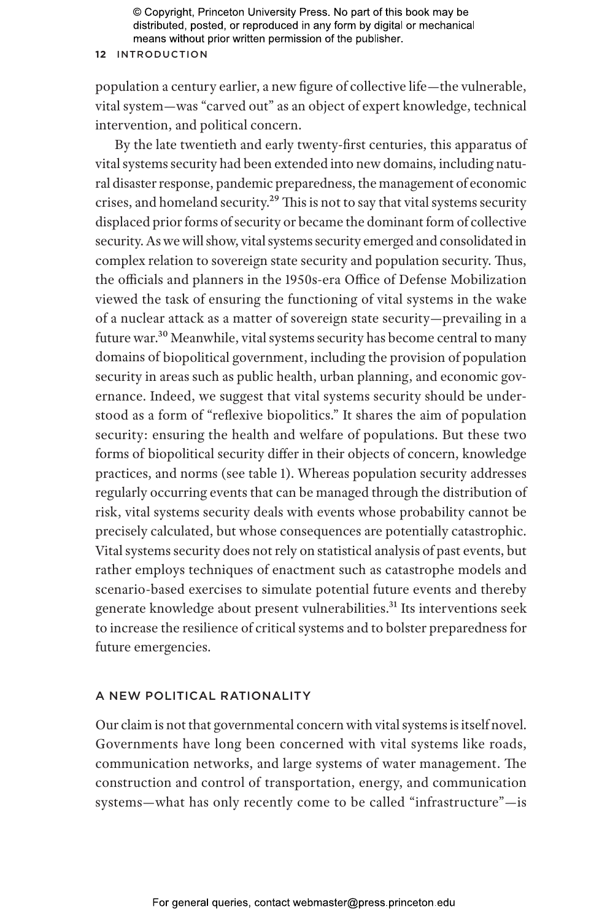#### **12** INTRODUCTION

population a century earlier, a new figure of collective life—the vulnerable, vital system—was "carved out" as an object of expert knowledge, technical intervention, and political concern.

By the late twentieth and early twenty-first centuries, this apparatus of vital systems security had been extended into new domains, including natural disaster response, pandemic preparedness, the management of economic crises, and homeland security.<sup>29</sup> This is not to say that vital systems security displaced prior forms of security or became the dominant form of collective security. As we will show, vital systems security emerged and consolidated in complex relation to sovereign state security and population security. Thus, the officials and planners in the 1950s-era Office of Defense Mobilization viewed the task of ensuring the functioning of vital systems in the wake of a nuclear attack as a matter of sovereign state security—prevailing in a future war.30 Meanwhile, vital systems security has become central to many domains of biopolitical government, including the provision of population security in areas such as public health, urban planning, and economic governance. Indeed, we suggest that vital systems security should be understood as a form of "reflexive biopolitics." It shares the aim of population security: ensuring the health and welfare of populations. But these two forms of biopolitical security differ in their objects of concern, knowledge practices, and norms (see table 1). Whereas population security addresses regularly occurring events that can be managed through the distribution of risk, vital systems security deals with events whose probability cannot be precisely calculated, but whose consequences are potentially catastrophic. Vital systems security does not rely on statistical analysis of past events, but rather employs techniques of enactment such as catastrophe models and scenario-based exercises to simulate potential future events and thereby generate knowledge about present vulnerabilities.<sup>31</sup> Its interventions seek to increase the resilience of critical systems and to bolster preparedness for future emergencies.

## A NEW POLITICAL RATIONALITY

Our claim is not that governmental concern with vital systems is itself novel. Governments have long been concerned with vital systems like roads, communication networks, and large systems of water management. The construction and control of transportation, energy, and communication systems—what has only recently come to be called "infrastructure"—is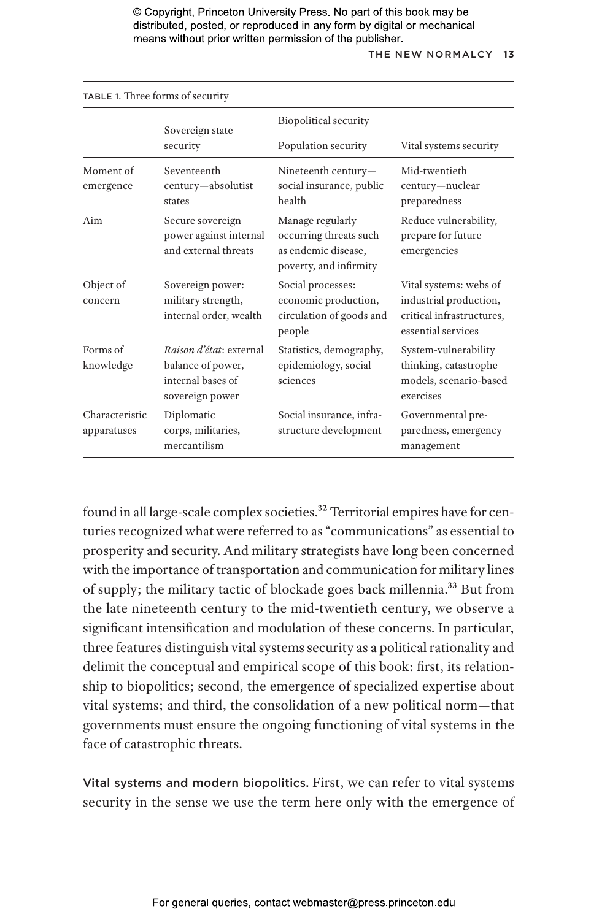#### THE NEW NOR MALCY **13**

| TABLE 1. Three forms of security |                                                                                      |                                                                                             |                                                                                                     |
|----------------------------------|--------------------------------------------------------------------------------------|---------------------------------------------------------------------------------------------|-----------------------------------------------------------------------------------------------------|
|                                  | Sovereign state<br>security                                                          | Biopolitical security                                                                       |                                                                                                     |
|                                  |                                                                                      | Population security                                                                         | Vital systems security                                                                              |
| Moment of<br>emergence           | Seventeenth<br>century-absolutist<br>states                                          | Nineteenth century-<br>social insurance, public<br>health                                   | Mid-twentieth<br>century-nuclear<br>preparedness                                                    |
| Aim                              | Secure sovereign<br>power against internal<br>and external threats                   | Manage regularly<br>occurring threats such<br>as endemic disease.<br>poverty, and infirmity | Reduce vulnerability,<br>prepare for future<br>emergencies                                          |
| Object of<br>concern             | Sovereign power:<br>military strength,<br>internal order, wealth                     | Social processes:<br>economic production,<br>circulation of goods and<br>people             | Vital systems: webs of<br>industrial production,<br>critical infrastructures,<br>essential services |
| Forms of<br>knowledge            | Raison d'état: external<br>balance of power,<br>internal bases of<br>sovereign power | Statistics, demography,<br>epidemiology, social<br>sciences                                 | System-vulnerability<br>thinking, catastrophe<br>models, scenario-based<br>exercises                |
| Characteristic<br>apparatuses    | Diplomatic<br>corps, militaries,<br>mercantilism                                     | Social insurance, infra-<br>structure development                                           | Governmental pre-<br>paredness, emergency<br>management                                             |

found in all large-scale complex societies.<sup>32</sup> Territorial empires have for centuries recognized what were referred to as "communications" as essential to prosperity and security. And military strategists have long been concerned with the importance of transportation and communication for military lines of supply; the military tactic of blockade goes back millennia.33 But from the late nineteenth century to the mid-twentieth century, we observe a significant intensification and modulation of these concerns. In particular, three features distinguish vital systems security as a political rationality and delimit the conceptual and empirical scope of this book: first, its relationship to biopolitics; second, the emergence of specialized expertise about vital systems; and third, the consolidation of a new political norm—that governments must ensure the ongoing functioning of vital systems in the face of catastrophic threats.

Vital systems and modern biopolitics. First, we can refer to vital systems security in the sense we use the term here only with the emergence of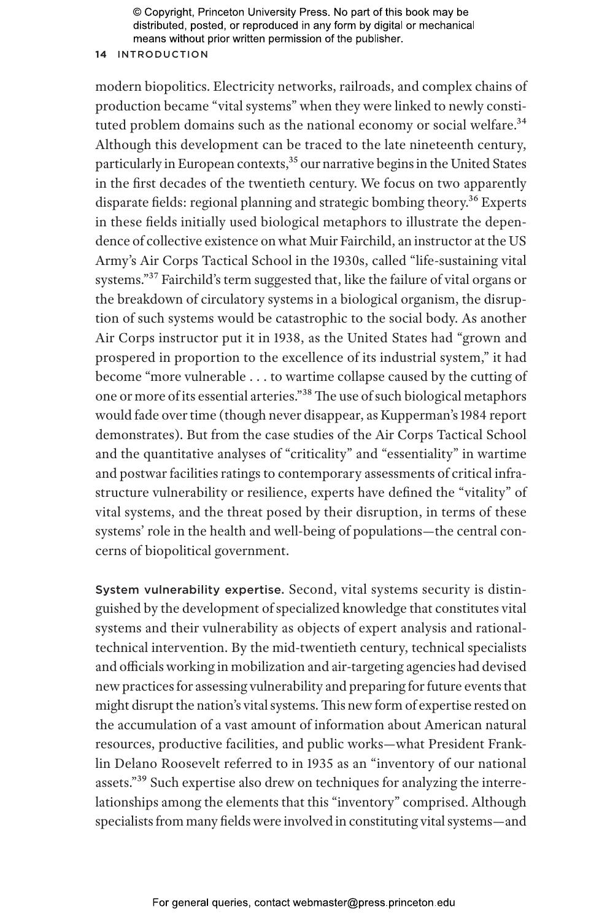## **14** INTRODUCTION

modern biopolitics. Electricity networks, railroads, and complex chains of production became "vital systems" when they were linked to newly constituted problem domains such as the national economy or social welfare.<sup>34</sup> Although this development can be traced to the late nineteenth century, particularly in European contexts,<sup>35</sup> our narrative begins in the United States in the first decades of the twentieth century. We focus on two apparently disparate fields: regional planning and strategic bombing theory.<sup>36</sup> Experts in these fields initially used biological metaphors to illustrate the dependence of collective existence on what Muir Fairchild, an instructor at the US Army's Air Corps Tactical School in the 1930s, called "life-sustaining vital systems."37 Fairchild's term suggested that, like the failure of vital organs or the breakdown of circulatory systems in a biological organism, the disruption of such systems would be catastrophic to the social body. As another Air Corps instructor put it in 1938, as the United States had "grown and prospered in proportion to the excellence of its industrial system," it had become "more vulnerable . . . to wartime collapse caused by the cutting of one or more of its essential arteries."38 The use of such biological metaphors would fade over time (though never disappear, as Kupperman's 1984 report demonstrates). But from the case studies of the Air Corps Tactical School and the quantitative analyses of "criticality" and "essentiality" in wartime and postwar facilities ratings to contemporary assessments of critical infrastructure vulnerability or resilience, experts have defined the "vitality" of vital systems, and the threat posed by their disruption, in terms of these systems' role in the health and well-being of populations—the central concerns of biopolitical government.

System vulnerability expertise. Second, vital systems security is distinguished by the development of specialized knowledge that constitutes vital systems and their vulnerability as objects of expert analysis and rationaltechnical intervention. By the mid-twentieth century, technical specialists and officials working in mobilization and air-targeting agencies had devised new practices for assessing vulnerability and preparing for future events that might disrupt the nation's vital systems. This new form of expertise rested on the accumulation of a vast amount of information about American natural resources, productive facilities, and public works—what President Franklin Delano Roosevelt referred to in 1935 as an "inventory of our national assets."<sup>39</sup> Such expertise also drew on techniques for analyzing the interrelationships among the elements that this "inventory" comprised. Although specialists from many fields were involved in constituting vital systems—and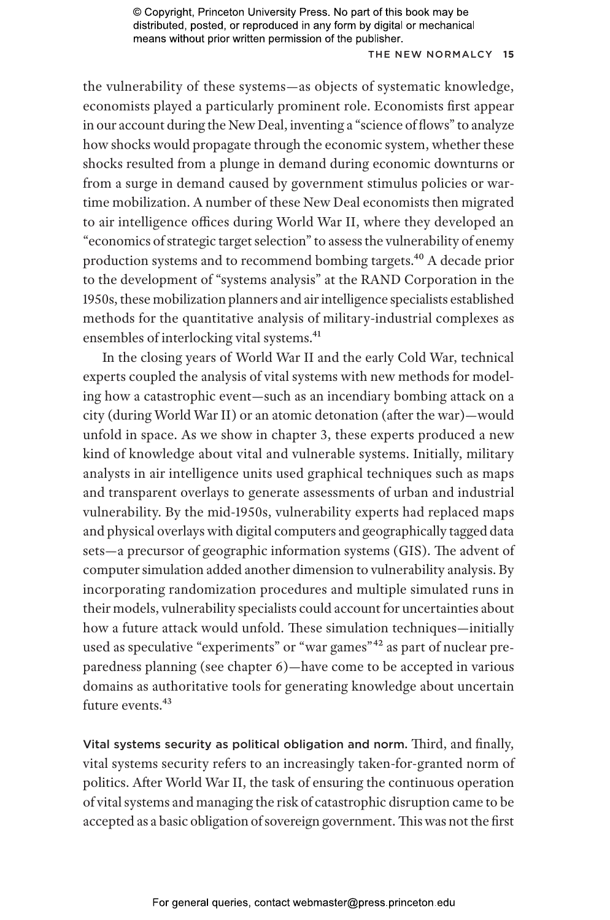## THE NEW NORMALCY 15

the vulnerability of these systems—as objects of systematic knowledge, economists played a particularly prominent role. Economists first appear in our account during the New Deal, inventing a "science of flows" to analyze how shocks would propagate through the economic system, whether these shocks resulted from a plunge in demand during economic downturns or from a surge in demand caused by government stimulus policies or wartime mobilization. A number of these New Deal economists then migrated to air intelligence offices during World War II, where they developed an "economics of strategic target selection" to assess the vulnerability of enemy production systems and to recommend bombing targets.40 A decade prior to the development of "systems analysis" at the RAND Corporation in the 1950s, these mobilization planners and air intelligence specialists established methods for the quantitative analysis of military-industrial complexes as ensembles of interlocking vital systems.<sup>41</sup>

In the closing years of World War II and the early Cold War, technical experts coupled the analysis of vital systems with new methods for modeling how a catastrophic event—such as an incendiary bombing attack on a city (during World War II) or an atomic detonation (after the war)—would unfold in space. As we show in chapter 3, these experts produced a new kind of knowledge about vital and vulnerable systems. Initially, military analysts in air intelligence units used graphical techniques such as maps and transparent overlays to generate assessments of urban and industrial vulnerability. By the mid-1950s, vulnerability experts had replaced maps and physical overlays with digital computers and geographically tagged data sets—a precursor of geographic information systems (GIS). The advent of computer simulation added another dimension to vulnerability analysis. By incorporating randomization procedures and multiple simulated runs in their models, vulnerability specialists could account for uncertainties about how a future attack would unfold. These simulation techniques—initially used as speculative "experiments" or "war games"<sup>42</sup> as part of nuclear preparedness planning (see chapter 6)—have come to be accepted in various domains as authoritative tools for generating knowledge about uncertain future events.<sup>43</sup>

Vital systems security as political obligation and norm. Third, and finally, vital systems security refers to an increasingly taken-for-granted norm of politics. After World War II, the task of ensuring the continuous operation of vital systems and managing the risk of catastrophic disruption came to be accepted as a basic obligation of sovereign government. This was not the first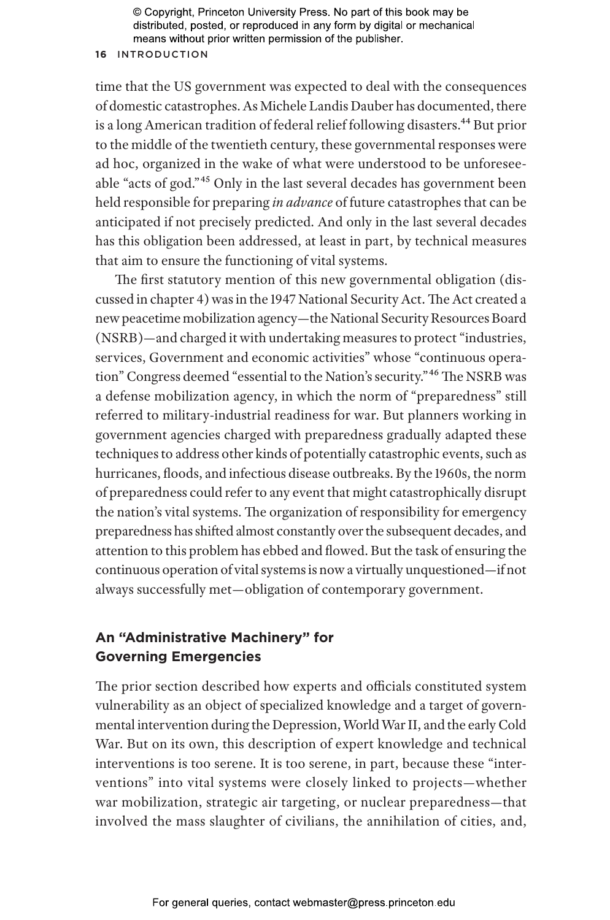#### **16** INTRODUCTION

time that the US government was expected to deal with the consequences of domestic catastrophes. As Michele Landis Dauber has documented, there is a long American tradition of federal relief following disasters.<sup>44</sup> But prior to the middle of the twentieth century, these governmental responses were ad hoc, organized in the wake of what were understood to be unforeseeable "acts of god."45 Only in the last several decades has government been held responsible for preparing *in advance* of future catastrophes that can be anticipated if not precisely predicted. And only in the last several decades has this obligation been addressed, at least in part, by technical measures that aim to ensure the functioning of vital systems.

The first statutory mention of this new governmental obligation (discussed in chapter 4) was in the 1947 National Security Act. The Act created a new peacetime mobilization agency—the National Security Resources Board (NSRB)—and charged it with undertaking measures to protect "industries, services, Government and economic activities" whose "continuous operation" Congress deemed "essential to the Nation's security."46 The NSRB was a defense mobilization agency, in which the norm of "preparedness" still referred to military-industrial readiness for war. But planners working in government agencies charged with preparedness gradually adapted these techniques to address other kinds of potentially catastrophic events, such as hurricanes, floods, and infectious disease outbreaks. By the 1960s, the norm of preparedness could refer to any event that might catastrophically disrupt the nation's vital systems. The organization of responsibility for emergency preparedness has shifted almost constantly over the subsequent decades, and attention to this problem has ebbed and flowed. But the task of ensuring the continuous operation of vital systems is now a virtually unquestioned—if not always successfully met—obligation of contemporary government.

# **An "Administrative Machinery" for Governing Emergencies**

The prior section described how experts and officials constituted system vulnerability as an object of specialized knowledge and a target of governmental intervention during the Depression, World War II, and the early Cold War. But on its own, this description of expert knowledge and technical interventions is too serene. It is too serene, in part, because these "interventions" into vital systems were closely linked to projects—whether war mobilization, strategic air targeting, or nuclear preparedness—that involved the mass slaughter of civilians, the annihilation of cities, and,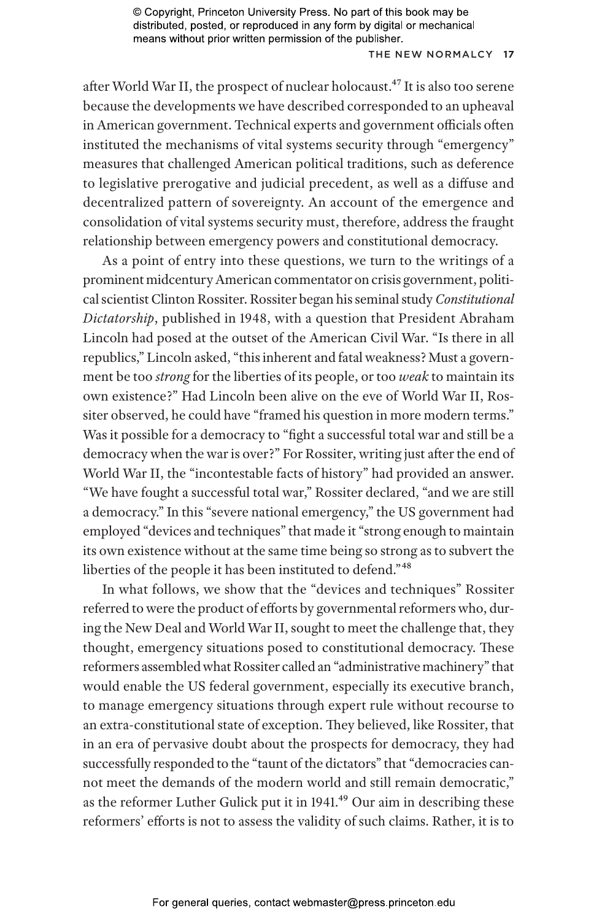### THE NEW NORMALCY 17

after World War II, the prospect of nuclear holocaust.<sup>47</sup> It is also too serene because the developments we have described corresponded to an upheaval in American government. Technical experts and government officials often instituted the mechanisms of vital systems security through "emergency" measures that challenged American political traditions, such as deference to legislative prerogative and judicial precedent, as well as a diffuse and decentralized pattern of sovereignty. An account of the emergence and consolidation of vital systems security must, therefore, address the fraught relationship between emergency powers and constitutional democracy.

As a point of entry into these questions, we turn to the writings of a prominent midcentury American commentator on crisis government, political scientist Clinton Rossiter. Rossiter began his seminal study *Constitutional Dictatorship*, published in 1948, with a question that President Abraham Lincoln had posed at the outset of the American Civil War. "Is there in all republics," Lincoln asked, "this inherent and fatal weakness? Must a government be too *strong* for the liberties of its people, or too *weak* to maintain its own existence?" Had Lincoln been alive on the eve of World War II, Rossiter observed, he could have "framed his question in more modern terms." Was it possible for a democracy to "fight a successful total war and still be a democracy when the war is over?" For Rossiter, writing just after the end of World War II, the "incontestable facts of history" had provided an answer. "We have fought a successful total war," Rossiter declared, "and we are still a democracy." In this "severe national emergency," the US government had employed "devices and techniques" that made it "strong enough to maintain its own existence without at the same time being so strong as to subvert the liberties of the people it has been instituted to defend."48

In what follows, we show that the "devices and techniques" Rossiter referred to were the product of efforts by governmental reformers who, during the New Deal and World War II, sought to meet the challenge that, they thought, emergency situations posed to constitutional democracy. These reformers assembled what Rossiter called an "administrative machinery" that would enable the US federal government, especially its executive branch, to manage emergency situations through expert rule without recourse to an extra-constitutional state of exception. They believed, like Rossiter, that in an era of pervasive doubt about the prospects for democracy, they had successfully responded to the "taunt of the dictators" that "democracies cannot meet the demands of the modern world and still remain democratic," as the reformer Luther Gulick put it in 1941.<sup>49</sup> Our aim in describing these reformers' efforts is not to assess the validity of such claims. Rather, it is to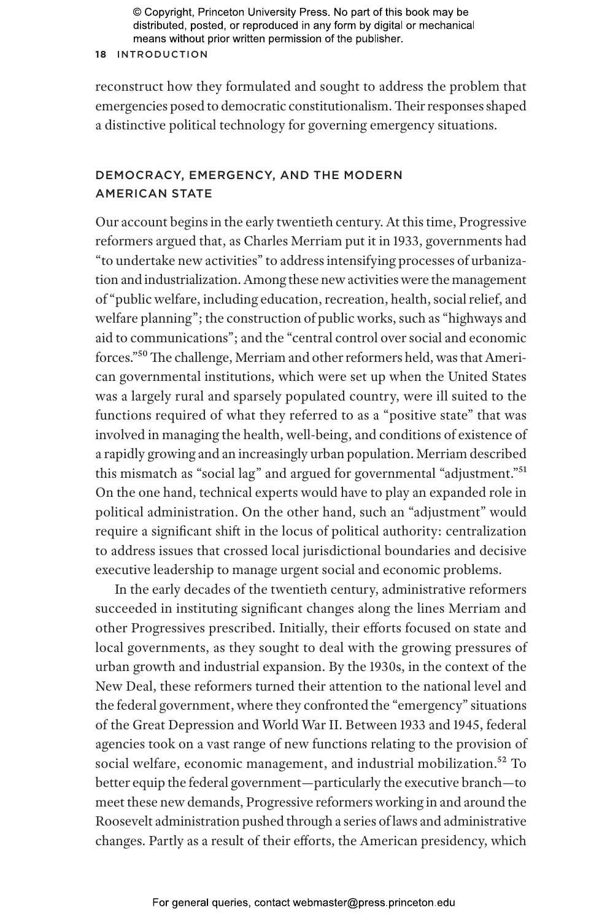## **18** INTRODUCTION

reconstruct how they formulated and sought to address the problem that emergencies posed to democratic constitutionalism. Their responses shaped a distinctive political technology for governing emergency situations.

# DEMOCRACY, EMERGENCY, AND THE MODERN **AMERICAN STATE**

Our account begins in the early twentieth century. At this time, Progressive reformers argued that, as Charles Merriam put it in 1933, governments had "to undertake new activities" to address intensifying processes of urbanization and industrialization. Among these new activities were the management of "public welfare, including education, recreation, health, social relief, and welfare planning"; the construction of public works, such as "highways and aid to communications"; and the "central control over social and economic forces."50 The challenge, Merriam and other reformers held, was that American governmental institutions, which were set up when the United States was a largely rural and sparsely populated country, were ill suited to the functions required of what they referred to as a "positive state" that was involved in managing the health, well-being, and conditions of existence of a rapidly growing and an increasingly urban population. Merriam described this mismatch as "social lag" and argued for governmental "adjustment."51 On the one hand, technical experts would have to play an expanded role in political administration. On the other hand, such an "adjustment" would require a significant shift in the locus of political authority: centralization to address issues that crossed local jurisdictional boundaries and decisive executive leadership to manage urgent social and economic problems.

In the early decades of the twentieth century, administrative reformers succeeded in instituting significant changes along the lines Merriam and other Progressives prescribed. Initially, their efforts focused on state and local governments, as they sought to deal with the growing pressures of urban growth and industrial expansion. By the 1930s, in the context of the New Deal, these reformers turned their attention to the national level and the federal government, where they confronted the "emergency" situations of the Great Depression and World War II. Between 1933 and 1945, federal agencies took on a vast range of new functions relating to the provision of social welfare, economic management, and industrial mobilization.<sup>52</sup> To better equip the federal government—particularly the executive branch—to meet these new demands, Progressive reformers working in and around the Roosevelt administration pushed through a series of laws and administrative changes. Partly as a result of their efforts, the American presidency, which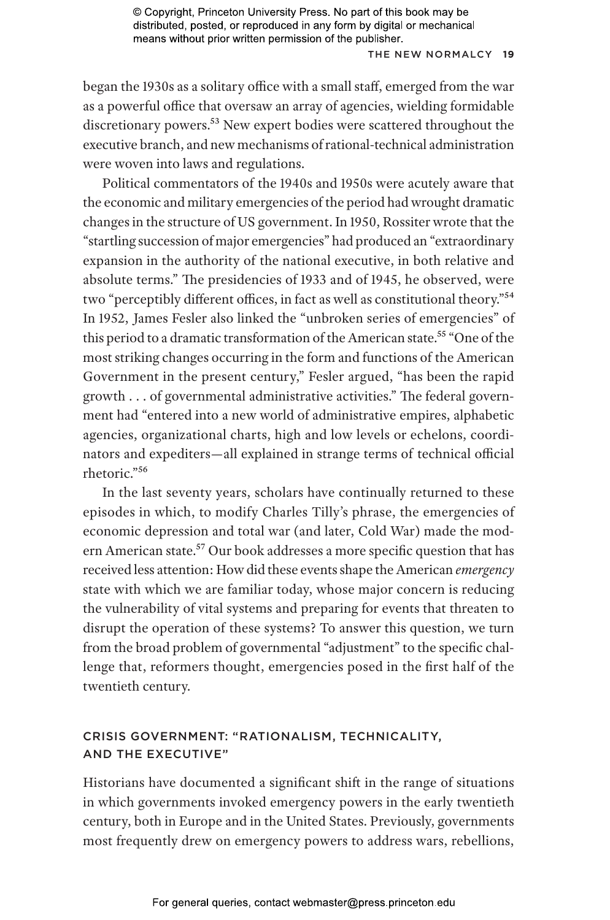## THE NEW NORMALCY 19

began the 1930s as a solitary office with a small staff, emerged from the war as a powerful office that oversaw an array of agencies, wielding formidable discretionary powers.<sup>53</sup> New expert bodies were scattered throughout the executive branch, and new mechanisms of rational-technical administration were woven into laws and regulations.

Political commentators of the 1940s and 1950s were acutely aware that the economic and military emergencies of the period had wrought dramatic changes in the structure of US government. In 1950, Rossiter wrote that the "startling succession of major emergencies" had produced an "extraordinary expansion in the authority of the national executive, in both relative and absolute terms." The presidencies of 1933 and of 1945, he observed, were two "perceptibly different offices, in fact as well as constitutional theory."54 In 1952, James Fesler also linked the "unbroken series of emergencies" of this period to a dramatic transformation of the American state.<sup>55</sup> "One of the most striking changes occurring in the form and functions of the American Government in the present century," Fesler argued, "has been the rapid growth . . . of governmental administrative activities." The federal government had "entered into a new world of administrative empires, alphabetic agencies, organizational charts, high and low levels or echelons, coordinators and expediters—all explained in strange terms of technical official rhetoric."56

In the last seventy years, scholars have continually returned to these episodes in which, to modify Charles Tilly's phrase, the emergencies of economic depression and total war (and later, Cold War) made the modern American state.57 Our book addresses a more specific question that has received less attention: How did these events shape the American *emergency* state with which we are familiar today, whose major concern is reducing the vulnerability of vital systems and preparing for events that threaten to disrupt the operation of these systems? To answer this question, we turn from the broad problem of governmental "adjustment" to the specific challenge that, reformers thought, emergencies posed in the first half of the twentieth century.

# CRISIS GOVERNMENT: "RATIONALISM, TECHNICALITY, AND THE EXECUTIVE"

Historians have documented a significant shift in the range of situations in which governments invoked emergency powers in the early twentieth century, both in Europe and in the United States. Previously, governments most frequently drew on emergency powers to address wars, rebellions,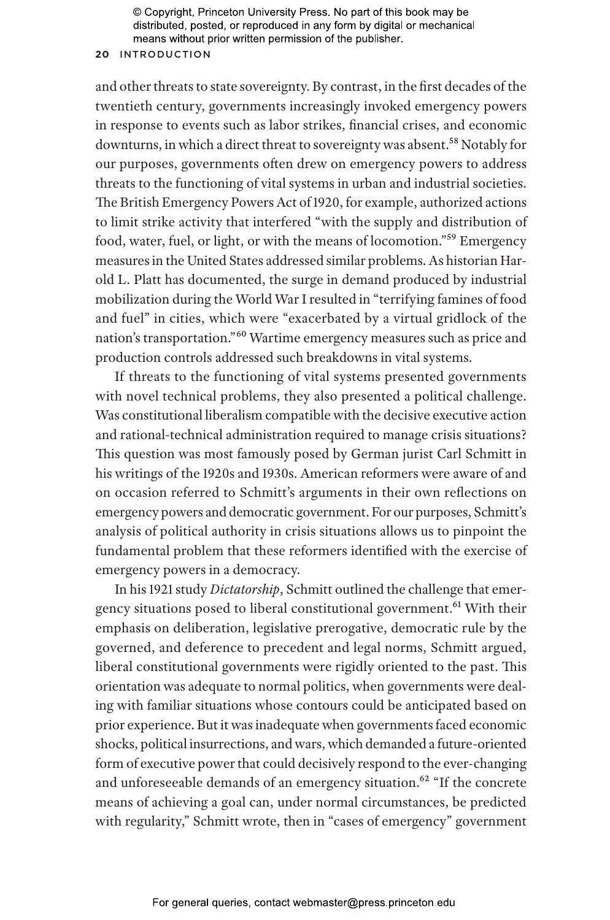## **20** INTRODUCTION

and other threats to state sovereignty. By contrast, in the first decades of the twentieth century, governments increasingly invoked emergency powers in response to events such as labor strikes, financial crises, and economic downturns, in which a direct threat to sovereignty was absent.<sup>58</sup> Notably for our purposes, governments often drew on emergency powers to address threats to the functioning of vital systems in urban and industrial societies. The British Emergency Powers Act of 1920, for example, authorized actions to limit strike activity that interfered "with the supply and distribution of food, water, fuel, or light, or with the means of locomotion."59 Emergency measures in the United States addressed similar problems. As historian Harold L. Platt has documented, the surge in demand produced by industrial mobilization during the World War I resulted in "terrifying famines of food and fuel" in cities, which were "exacerbated by a virtual gridlock of the nation's transportation."60 Wartime emergency measures such as price and production controls addressed such breakdowns in vital systems.

If threats to the functioning of vital systems presented governments with novel technical problems, they also presented a political challenge. Was constitutional liberalism compatible with the decisive executive action and rational-technical administration required to manage crisis situations? This question was most famously posed by German jurist Carl Schmitt in his writings of the 1920s and 1930s. American reformers were aware of and on occasion referred to Schmitt's arguments in their own reflections on emergency powers and democratic government. For our purposes, Schmitt's analysis of political authority in crisis situations allows us to pinpoint the fundamental problem that these reformers identified with the exercise of emergency powers in a democracy.

In his 1921 study *Dictatorship*, Schmitt outlined the challenge that emergency situations posed to liberal constitutional government.<sup>61</sup> With their emphasis on deliberation, legislative prerogative, democratic rule by the governed, and deference to precedent and legal norms, Schmitt argued, liberal constitutional governments were rigidly oriented to the past. This orientation was adequate to normal politics, when governments were dealing with familiar situations whose contours could be anticipated based on prior experience. But it was inadequate when governments faced economic shocks, political insurrections, and wars, which demanded a future-oriented form of executive power that could decisively respond to the ever-changing and unforeseeable demands of an emergency situation.<sup>62</sup> "If the concrete means of achieving a goal can, under normal circumstances, be predicted with regularity," Schmitt wrote, then in "cases of emergency" government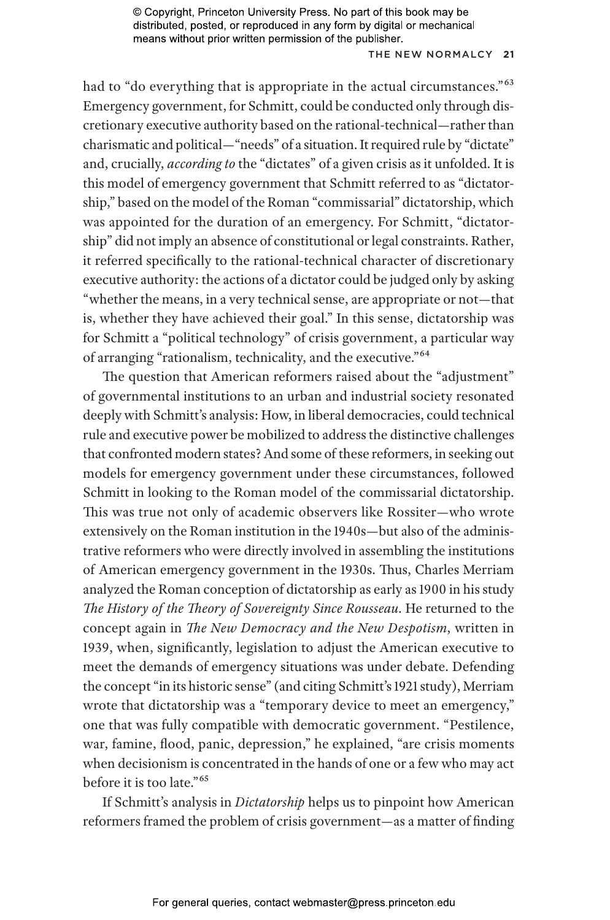### THE NEW NORMALCY 21

had to "do everything that is appropriate in the actual circumstances."<sup>63</sup> Emergency government, for Schmitt, could be conducted only through discretionary executive authority based on the rational-technical—rather than charismatic and political—"needs" of a situation. It required rule by "dictate" and, crucially, *according to* the "dictates" of a given crisis as it unfolded. It is this model of emergency government that Schmitt referred to as "dictatorship," based on the model of the Roman "commissarial" dictatorship, which was appointed for the duration of an emergency. For Schmitt, "dictatorship" did not imply an absence of constitutional or legal constraints. Rather, it referred specifically to the rational-technical character of discretionary executive authority: the actions of a dictator could be judged only by asking "whether the means, in a very technical sense, are appropriate or not—that is, whether they have achieved their goal." In this sense, dictatorship was for Schmitt a "political technology" of crisis government, a particular way of arranging "rationalism, technicality, and the executive."64

The question that American reformers raised about the "adjustment" of governmental institutions to an urban and industrial society resonated deeply with Schmitt's analysis: How, in liberal democracies, could technical rule and executive power be mobilized to address the distinctive challenges that confronted modern states? And some of these reformers, in seeking out models for emergency government under these circumstances, followed Schmitt in looking to the Roman model of the commissarial dictatorship. This was true not only of academic observers like Rossiter—who wrote extensively on the Roman institution in the 1940s—but also of the administrative reformers who were directly involved in assembling the institutions of American emergency government in the 1930s. Thus, Charles Merriam analyzed the Roman conception of dictatorship as early as 1900 in his study *The History of the Theory of Sovereignty Since Rousseau*. He returned to the concept again in *The New Democracy and the New Despotism*, written in 1939, when, significantly, legislation to adjust the American executive to meet the demands of emergency situations was under debate. Defending the concept "in its historic sense" (and citing Schmitt's 1921 study), Merriam wrote that dictatorship was a "temporary device to meet an emergency," one that was fully compatible with democratic government. "Pestilence, war, famine, flood, panic, depression," he explained, "are crisis moments when decisionism is concentrated in the hands of one or a few who may act before it is too late."65

If Schmitt's analysis in *Dictatorship* helps us to pinpoint how American reformers framed the problem of crisis government—as a matter of finding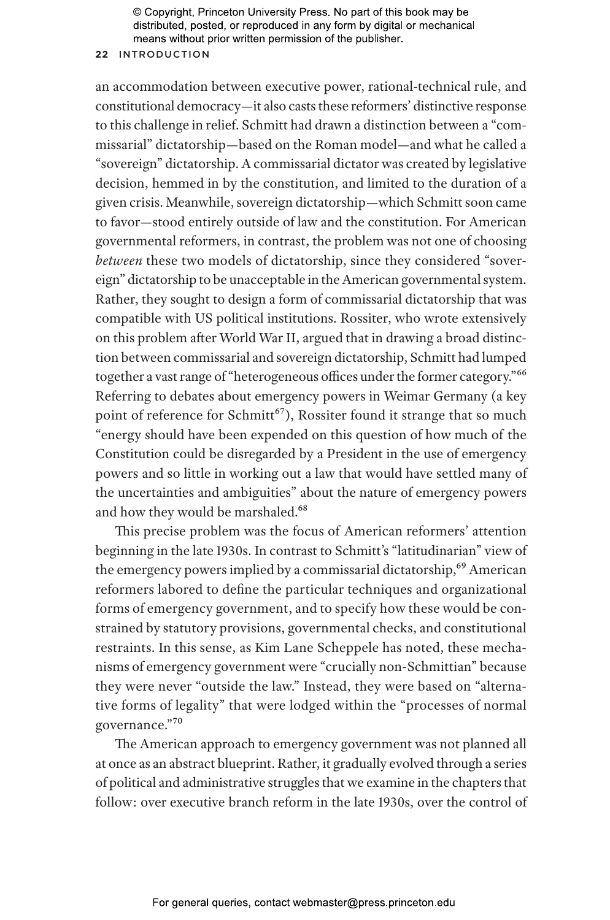## **22** INTRODUCTION

an accommodation between executive power, rational-technical rule, and constitutional democracy—it also casts these reformers' distinctive response to this challenge in relief. Schmitt had drawn a distinction between a "commissarial" dictatorship—based on the Roman model—and what he called a "sovereign" dictatorship. A commissarial dictator was created by legislative decision, hemmed in by the constitution, and limited to the duration of a given crisis. Meanwhile, sovereign dictatorship—which Schmitt soon came to favor—stood entirely outside of law and the constitution. For American governmental reformers, in contrast, the problem was not one of choosing *between* these two models of dictatorship, since they considered "sovereign" dictatorship to be unacceptable in the American governmental system. Rather, they sought to design a form of commissarial dictatorship that was compatible with US political institutions. Rossiter, who wrote extensively on this problem after World War II, argued that in drawing a broad distinction between commissarial and sovereign dictatorship, Schmitt had lumped together a vast range of "heterogeneous offices under the former category."<sup>66</sup> Referring to debates about emergency powers in Weimar Germany (a key point of reference for Schmitt<sup>67</sup>), Rossiter found it strange that so much "energy should have been expended on this question of how much of the Constitution could be disregarded by a President in the use of emergency powers and so little in working out a law that would have settled many of the uncertainties and ambiguities" about the nature of emergency powers and how they would be marshaled.<sup>68</sup>

This precise problem was the focus of American reformers' attention beginning in the late 1930s. In contrast to Schmitt's "latitudinarian" view of the emergency powers implied by a commissarial dictatorship,<sup>69</sup> American reformers labored to define the particular techniques and organizational forms of emergency government, and to specify how these would be constrained by statutory provisions, governmental checks, and constitutional restraints. In this sense, as Kim Lane Scheppele has noted, these mechanisms of emergency government were "crucially non-Schmittian" because they were never "outside the law." Instead, they were based on "alternative forms of legality" that were lodged within the "processes of normal governance."70

The American approach to emergency government was not planned all at once as an abstract blueprint. Rather, it gradually evolved through a series of political and administrative struggles that we examine in the chapters that follow: over executive branch reform in the late 1930s, over the control of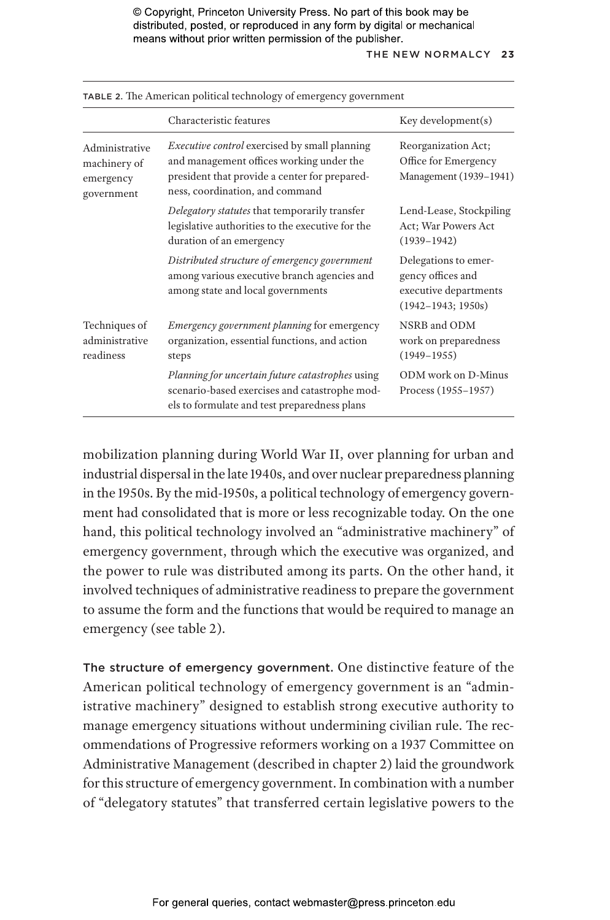#### THE NEW NORMALCY 23

| <b>TABLE 2.</b> The American pointed technology of emergency government |                                                                                                                                                                                      |                                                                                              |
|-------------------------------------------------------------------------|--------------------------------------------------------------------------------------------------------------------------------------------------------------------------------------|----------------------------------------------------------------------------------------------|
|                                                                         | Characteristic features                                                                                                                                                              | Key development(s)                                                                           |
| Administrative<br>machinery of<br>emergency<br>government               | <i>Executive control</i> exercised by small planning<br>and management offices working under the<br>president that provide a center for prepared-<br>ness, coordination, and command | Reorganization Act;<br>Office for Emergency<br>Management (1939-1941)                        |
|                                                                         | Delegatory statutes that temporarily transfer<br>legislative authorities to the executive for the<br>duration of an emergency                                                        | Lend-Lease, Stockpiling<br>Act; War Powers Act<br>$(1939 - 1942)$                            |
|                                                                         | Distributed structure of emergency government<br>among various executive branch agencies and<br>among state and local governments                                                    | Delegations to emer-<br>gency offices and<br>executive departments<br>$(1942 - 1943; 1950s)$ |
| Techniques of<br>administrative<br>readiness                            | <i>Emergency government planning</i> for emergency<br>organization, essential functions, and action<br>steps                                                                         | NSRB and ODM<br>work on preparedness<br>$(1949 - 1955)$                                      |
|                                                                         | Planning for uncertain future catastrophes using<br>scenario-based exercises and catastrophe mod-<br>els to formulate and test preparedness plans                                    | ODM work on D-Minus<br>Process (1955–1957)                                                   |

TABLE 2. The American political technology of emergency government

mobilization planning during World War II, over planning for urban and industrial dispersal in the late 1940s, and over nuclear preparedness planning in the 1950s. By the mid-1950s, a political technology of emergency government had consolidated that is more or less recognizable today. On the one hand, this political technology involved an "administrative machinery" of emergency government, through which the executive was organized, and the power to rule was distributed among its parts. On the other hand, it involved techniques of administrative readiness to prepare the government to assume the form and the functions that would be required to manage an emergency (see table 2).

The structure of emergency government. One distinctive feature of the American political technology of emergency government is an "administrative machinery" designed to establish strong executive authority to manage emergency situations without undermining civilian rule. The recommendations of Progressive reformers working on a 1937 Committee on Administrative Management (described in chapter 2) laid the groundwork for this structure of emergency government. In combination with a number of "delegatory statutes" that transferred certain legislative powers to the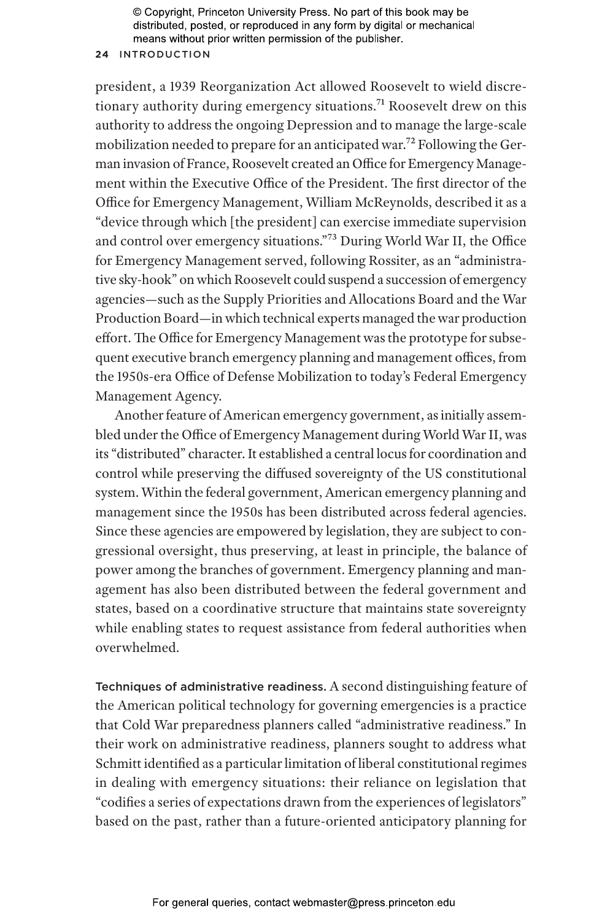## **24** INTRODUCTION

president, a 1939 Reorganization Act allowed Roosevelt to wield discretionary authority during emergency situations.<sup>71</sup> Roosevelt drew on this authority to address the ongoing Depression and to manage the large-scale mobilization needed to prepare for an anticipated war.<sup>72</sup> Following the German invasion of France, Roosevelt created an Office for Emergency Management within the Executive Office of the President. The first director of the Office for Emergency Management, William McReynolds, described it as a "device through which [the president] can exercise immediate supervision and control over emergency situations."73 During World War II, the Office for Emergency Management served, following Rossiter, as an "administrative sky-hook" on which Roosevelt could suspend a succession of emergency agencies—such as the Supply Priorities and Allocations Board and the War Production Board—in which technical experts managed the war production effort. The Office for Emergency Management was the prototype for subsequent executive branch emergency planning and management offices, from the 1950s-era Office of Defense Mobilization to today's Federal Emergency Management Agency.

Another feature of American emergency government, as initially assembled under the Office of Emergency Management during World War II, was its "distributed" character. It established a central locus for coordination and control while preserving the diffused sovereignty of the US constitutional system. Within the federal government, American emergency planning and management since the 1950s has been distributed across federal agencies. Since these agencies are empowered by legislation, they are subject to congressional oversight, thus preserving, at least in principle, the balance of power among the branches of government. Emergency planning and management has also been distributed between the federal government and states, based on a coordinative structure that maintains state sovereignty while enabling states to request assistance from federal authorities when overwhelmed.

Techniques of administrative readiness. A second distinguishing feature of the American political technology for governing emergencies is a practice that Cold War preparedness planners called "administrative readiness." In their work on administrative readiness, planners sought to address what Schmitt identified as a particular limitation of liberal constitutional regimes in dealing with emergency situations: their reliance on legislation that "codifies a series of expectations drawn from the experiences of legislators" based on the past, rather than a future-oriented anticipatory planning for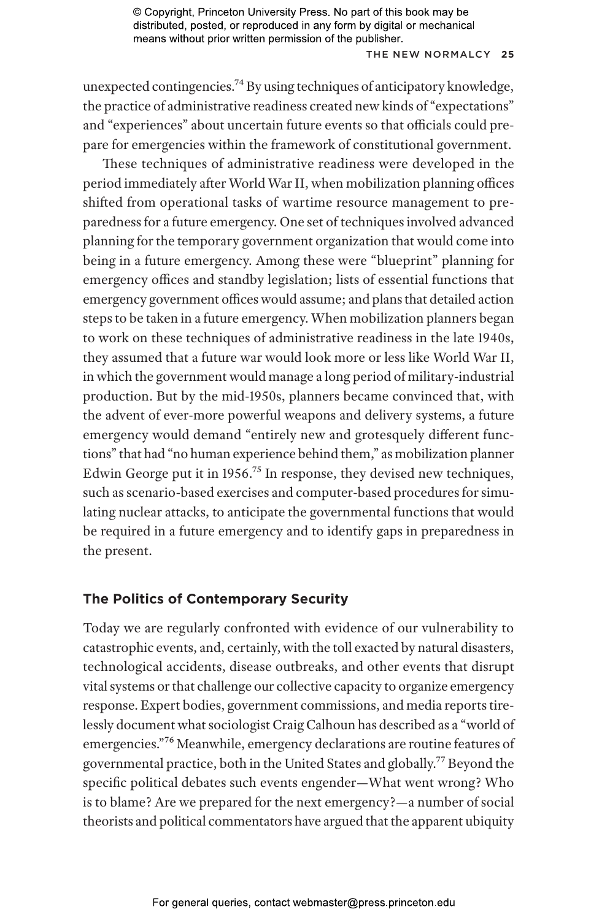## THE NEW NOR MALCY **25**

unexpected contingencies.74 By using techniques of anticipatory knowledge, the practice of administrative readiness created new kinds of "expectations" and "experiences" about uncertain future events so that officials could prepare for emergencies within the framework of constitutional government.

These techniques of administrative readiness were developed in the period immediately after World War II, when mobilization planning offices shifted from operational tasks of wartime resource management to preparedness for a future emergency. One set of techniques involved advanced planning for the temporary government organization that would come into being in a future emergency. Among these were "blueprint" planning for emergency offices and standby legislation; lists of essential functions that emergency government offices would assume; and plans that detailed action steps to be taken in a future emergency. When mobilization planners began to work on these techniques of administrative readiness in the late 1940s, they assumed that a future war would look more or less like World War II, in which the government would manage a long period of military-industrial production. But by the mid-1950s, planners became convinced that, with the advent of ever-more powerful weapons and delivery systems, a future emergency would demand "entirely new and grotesquely different functions" that had "no human experience behind them," as mobilization planner Edwin George put it in 1956.75 In response, they devised new techniques, such as scenario-based exercises and computer-based procedures for simulating nuclear attacks, to anticipate the governmental functions that would be required in a future emergency and to identify gaps in preparedness in the present.

# **The Politics of Contemporary Security**

Today we are regularly confronted with evidence of our vulnerability to catastrophic events, and, certainly, with the toll exacted by natural disasters, technological accidents, disease outbreaks, and other events that disrupt vital systems or that challenge our collective capacity to organize emergency response. Expert bodies, government commissions, and media reports tirelessly document what sociologist Craig Calhoun has described as a "world of emergencies."76 Meanwhile, emergency declarations are routine features of governmental practice, both in the United States and globally.77 Beyond the specific political debates such events engender—What went wrong? Who is to blame? Are we prepared for the next emergency?—a number of social theorists and political commentators have argued that the apparent ubiquity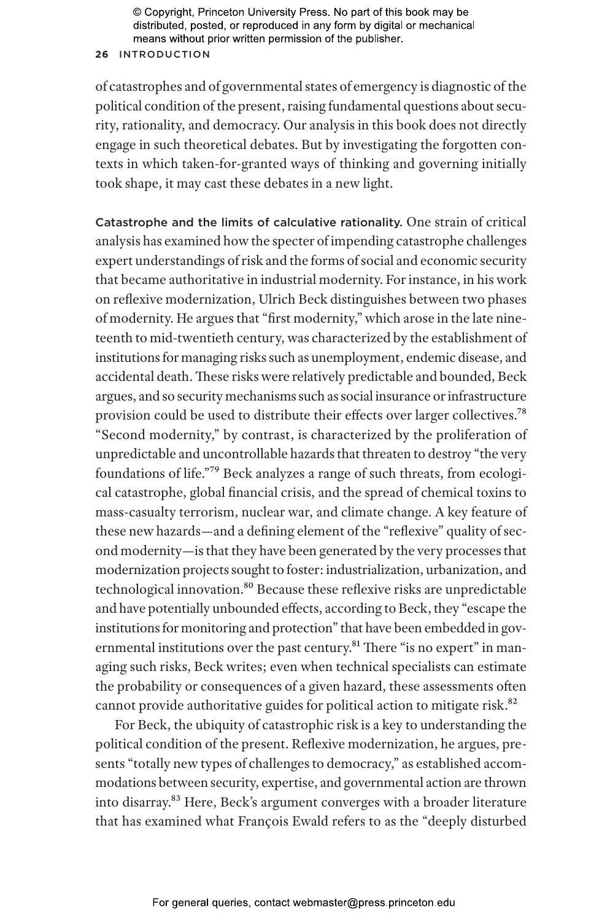## **26** INTRODUCTION

of catastrophes and of governmental states of emergency is diagnostic of the political condition of the present, raising fundamental questions about security, rationality, and democracy. Our analysis in this book does not directly engage in such theoretical debates. But by investigating the forgotten contexts in which taken-for-granted ways of thinking and governing initially took shape, it may cast these debates in a new light.

Catastrophe and the limits of calculative rationality. One strain of critical analysis has examined how the specter of impending catastrophe challenges expert understandings of risk and the forms of social and economic security that became authoritative in industrial modernity. For instance, in his work on reflexive modernization, Ulrich Beck distinguishes between two phases of modernity. He argues that "first modernity," which arose in the late nineteenth to mid-twentieth century, was characterized by the establishment of institutions for managing risks such as unemployment, endemic disease, and accidental death. These risks were relatively predictable and bounded, Beck argues, and so security mechanisms such as social insurance or infrastructure provision could be used to distribute their effects over larger collectives.78 "Second modernity," by contrast, is characterized by the proliferation of unpredictable and uncontrollable hazards that threaten to destroy "the very foundations of life."79 Beck analyzes a range of such threats, from ecological catastrophe, global financial crisis, and the spread of chemical toxins to mass-casualty terrorism, nuclear war, and climate change. A key feature of these new hazards—and a defining element of the "reflexive" quality of second modernity—is that they have been generated by the very processes that modernization projects sought to foster: industrialization, urbanization, and technological innovation.<sup>80</sup> Because these reflexive risks are unpredictable and have potentially unbounded effects, according to Beck, they "escape the institutions for monitoring and protection" that have been embedded in governmental institutions over the past century.<sup>81</sup> There "is no expert" in managing such risks, Beck writes; even when technical specialists can estimate the probability or consequences of a given hazard, these assessments often cannot provide authoritative guides for political action to mitigate risk.<sup>82</sup>

For Beck, the ubiquity of catastrophic risk is a key to understanding the political condition of the present. Reflexive modernization, he argues, presents "totally new types of challenges to democracy," as established accommodations between security, expertise, and governmental action are thrown into disarray.<sup>83</sup> Here, Beck's argument converges with a broader literature that has examined what François Ewald refers to as the "deeply disturbed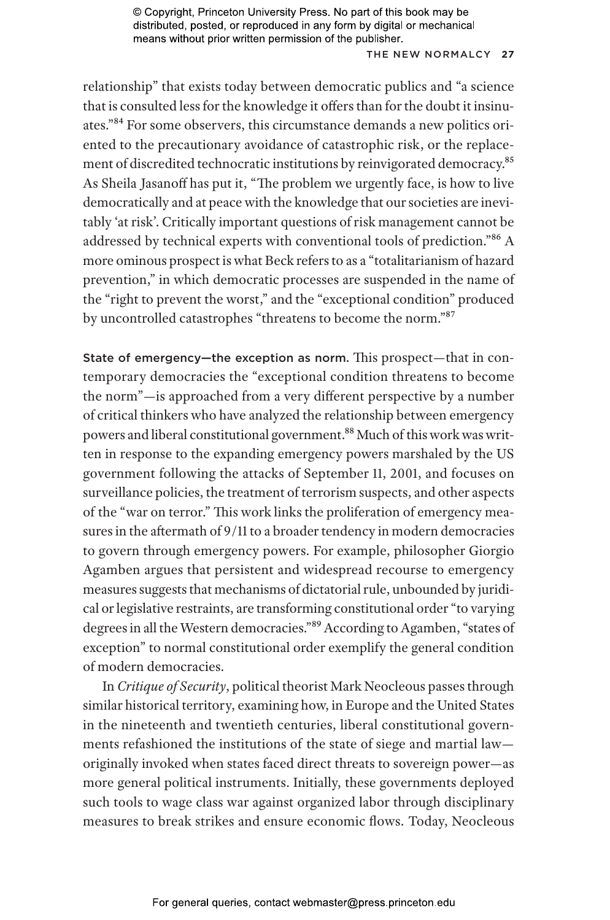## THE NEW NORMALCY 27

relationship" that exists today between democratic publics and "a science that is consulted less for the knowledge it offers than for the doubt it insinuates."84 For some observers, this circumstance demands a new politics oriented to the precautionary avoidance of catastrophic risk, or the replacement of discredited technocratic institutions by reinvigorated democracy.<sup>85</sup> As Sheila Jasanoff has put it, "The problem we urgently face, is how to live democratically and at peace with the knowledge that our societies are inevitably 'at risk'. Critically important questions of risk management cannot be addressed by technical experts with conventional tools of prediction."86 A more ominous prospect is what Beck refers to as a "totalitarianism of hazard prevention," in which democratic processes are suspended in the name of the "right to prevent the worst," and the "exceptional condition" produced by uncontrolled catastrophes "threatens to become the norm."87

State of emergency—the exception as norm. This prospect—that in contemporary democracies the "exceptional condition threatens to become the norm"—is approached from a very different perspective by a number of critical thinkers who have analyzed the relationship between emergency powers and liberal constitutional government.<sup>88</sup> Much of this work was written in response to the expanding emergency powers marshaled by the US government following the attacks of September 11, 2001, and focuses on surveillance policies, the treatment of terrorism suspects, and other aspects of the "war on terror." This work links the proliferation of emergency measures in the aftermath of 9/11 to a broader tendency in modern democracies to govern through emergency powers. For example, philosopher Giorgio Agamben argues that persistent and widespread recourse to emergency measures suggests that mechanisms of dictatorial rule, unbounded by juridical or legislative restraints, are transforming constitutional order "to varying degrees in all the Western democracies."89 According to Agamben, "states of exception" to normal constitutional order exemplify the general condition of modern democracies.

In *Critique of Security*, political theorist Mark Neocleous passes through similar historical territory, examining how, in Europe and the United States in the nineteenth and twentieth centuries, liberal constitutional governments refashioned the institutions of the state of siege and martial law originally invoked when states faced direct threats to sovereign power—as more general political instruments. Initially, these governments deployed such tools to wage class war against organized labor through disciplinary measures to break strikes and ensure economic flows. Today, Neocleous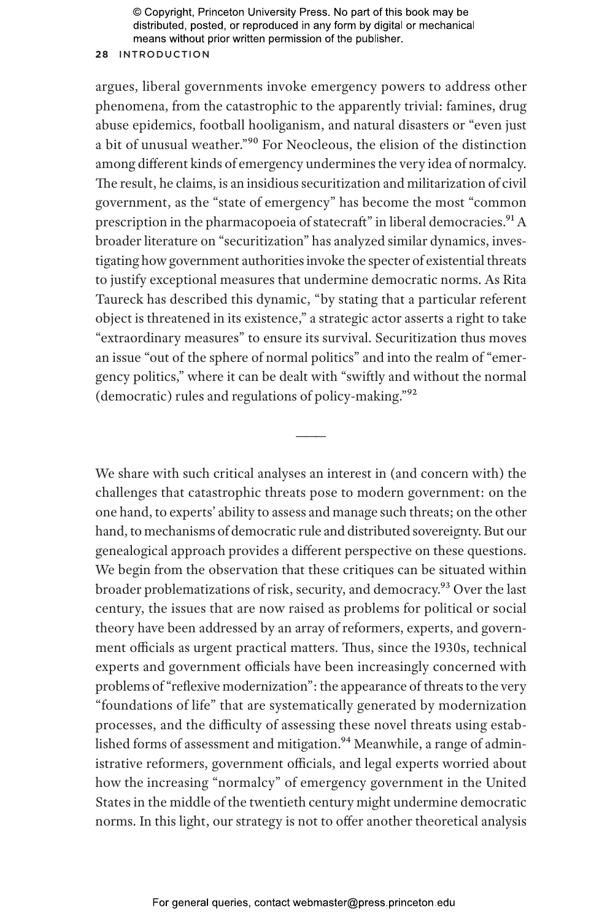## **28** INTRODUCTION

argues, liberal governments invoke emergency powers to address other phenomena, from the catastrophic to the apparently trivial: famines, drug abuse epidemics, football hooliganism, and natural disasters or "even just a bit of unusual weather."90 For Neocleous, the elision of the distinction among different kinds of emergency undermines the very idea of normalcy. The result, he claims, is an insidious securitization and militarization of civil government, as the "state of emergency" has become the most "common prescription in the pharmacopoeia of statecraft" in liberal democracies.<sup>91</sup> A broader literature on "securitization" has analyzed similar dynamics, investigating how government authorities invoke the specter of existential threats to justify exceptional measures that undermine democratic norms. As Rita Taureck has described this dynamic, "by stating that a particular referent object is threatened in its existence," a strategic actor asserts a right to take "extraordinary measures" to ensure its survival. Securitization thus moves an issue "out of the sphere of normal politics" and into the realm of "emergency politics," where it can be dealt with "swiftly and without the normal (democratic) rules and regulations of policy-making."92

———

We share with such critical analyses an interest in (and concern with) the challenges that catastrophic threats pose to modern government: on the one hand, to experts' ability to assess and manage such threats; on the other hand, to mechanisms of democratic rule and distributed sovereignty. But our genealogical approach provides a different perspective on these questions. We begin from the observation that these critiques can be situated within broader problematizations of risk, security, and democracy.<sup>93</sup> Over the last century, the issues that are now raised as problems for political or social theory have been addressed by an array of reformers, experts, and government officials as urgent practical matters. Thus, since the 1930s, technical experts and government officials have been increasingly concerned with problems of "reflexive modernization": the appearance of threats to the very "foundations of life" that are systematically generated by modernization processes, and the difficulty of assessing these novel threats using established forms of assessment and mitigation.<sup>94</sup> Meanwhile, a range of administrative reformers, government officials, and legal experts worried about how the increasing "normalcy" of emergency government in the United States in the middle of the twentieth century might undermine democratic norms. In this light, our strategy is not to offer another theoretical analysis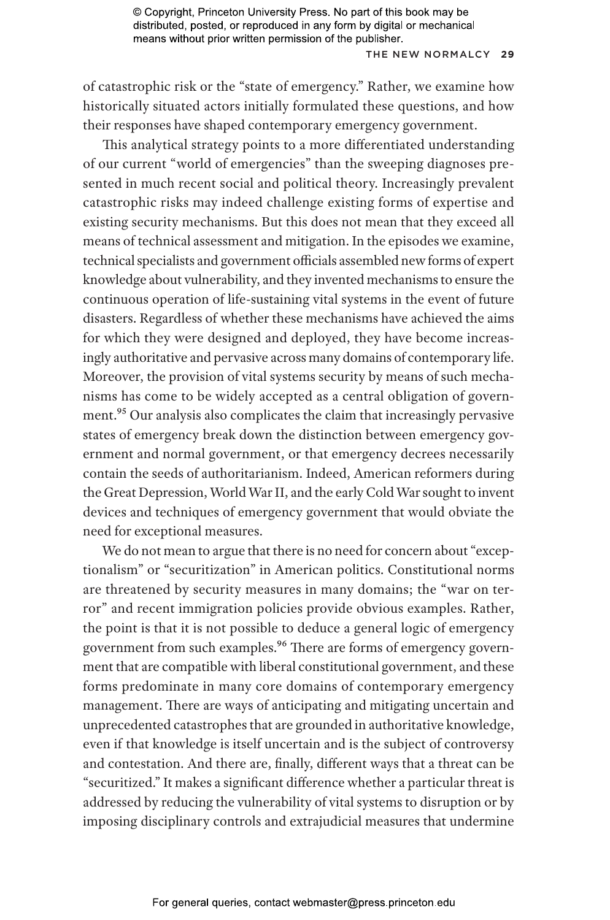#### THE NEW NOR MALCY **29**

of catastrophic risk or the "state of emergency." Rather, we examine how historically situated actors initially formulated these questions, and how their responses have shaped contemporary emergency government.

This analytical strategy points to a more differentiated understanding of our current "world of emergencies" than the sweeping diagnoses presented in much recent social and political theory. Increasingly prevalent catastrophic risks may indeed challenge existing forms of expertise and existing security mechanisms. But this does not mean that they exceed all means of technical assessment and mitigation. In the episodes we examine, technical specialists and government officials assembled new forms of expert knowledge about vulnerability, and they invented mechanisms to ensure the continuous operation of life-sustaining vital systems in the event of future disasters. Regardless of whether these mechanisms have achieved the aims for which they were designed and deployed, they have become increasingly authoritative and pervasive across many domains of contemporary life. Moreover, the provision of vital systems security by means of such mechanisms has come to be widely accepted as a central obligation of government.95 Our analysis also complicates the claim that increasingly pervasive states of emergency break down the distinction between emergency government and normal government, or that emergency decrees necessarily contain the seeds of authoritarianism. Indeed, American reformers during the Great Depression, World War II, and the early Cold War sought to invent devices and techniques of emergency government that would obviate the need for exceptional measures.

We do not mean to argue that there is no need for concern about "exceptionalism" or "securitization" in American politics. Constitutional norms are threatened by security measures in many domains; the "war on terror" and recent immigration policies provide obvious examples. Rather, the point is that it is not possible to deduce a general logic of emergency government from such examples.<sup>96</sup> There are forms of emergency government that are compatible with liberal constitutional government, and these forms predominate in many core domains of contemporary emergency management. There are ways of anticipating and mitigating uncertain and unprecedented catastrophes that are grounded in authoritative knowledge, even if that knowledge is itself uncertain and is the subject of controversy and contestation. And there are, finally, different ways that a threat can be "securitized." It makes a significant difference whether a particular threat is addressed by reducing the vulnerability of vital systems to disruption or by imposing disciplinary controls and extrajudicial measures that undermine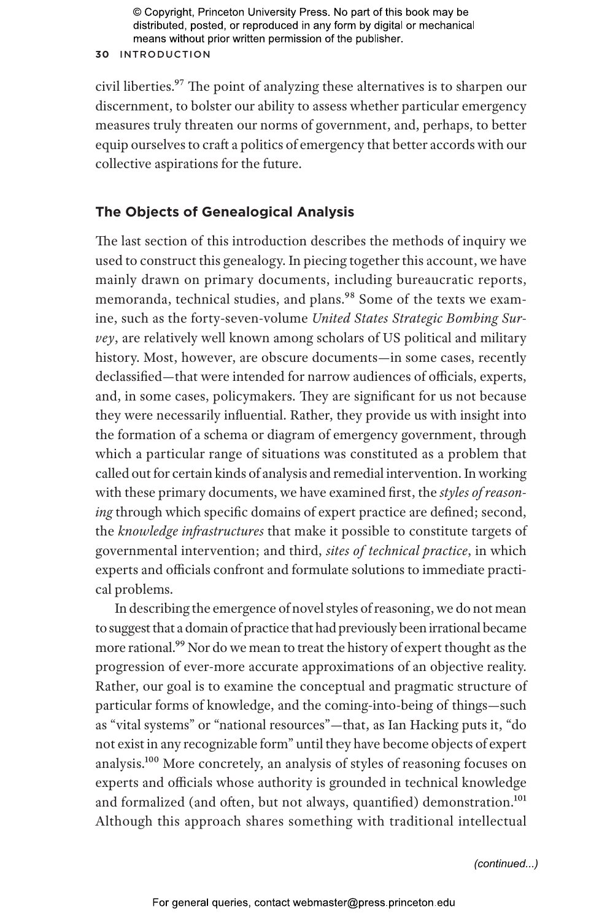#### **30** INTRODUCTION

civil liberties.<sup>97</sup> The point of analyzing these alternatives is to sharpen our discernment, to bolster our ability to assess whether particular emergency measures truly threaten our norms of government, and, perhaps, to better equip ourselves to craft a politics of emergency that better accords with our collective aspirations for the future.

# **The Objects of Genealogical Analysis**

The last section of this introduction describes the methods of inquiry we used to construct this genealogy. In piecing together this account, we have mainly drawn on primary documents, including bureaucratic reports, memoranda, technical studies, and plans.<sup>98</sup> Some of the texts we examine, such as the forty-seven-volume *United States Strategic Bombing Survey*, are relatively well known among scholars of US political and military history. Most, however, are obscure documents—in some cases, recently declassified—that were intended for narrow audiences of officials, experts, and, in some cases, policymakers. They are significant for us not because they were necessarily influential. Rather, they provide us with insight into the formation of a schema or diagram of emergency government, through which a particular range of situations was constituted as a problem that called out for certain kinds of analysis and remedial intervention. In working with these primary documents, we have examined first, the *styles of reasoning* through which specific domains of expert practice are defined; second, the *knowledge infrastructures* that make it possible to constitute targets of governmental intervention; and third, *sites of technical practice*, in which experts and officials confront and formulate solutions to immediate practical problems.

In describing the emergence of novel styles of reasoning, we do not mean to suggest that a domain of practice that had previously been irrational became more rational.<sup>99</sup> Nor do we mean to treat the history of expert thought as the progression of ever-more accurate approximations of an objective reality. Rather, our goal is to examine the conceptual and pragmatic structure of particular forms of knowledge, and the coming-into-being of things—such as "vital systems" or "national resources"—that, as Ian Hacking puts it, "do not exist in any recognizable form" until they have become objects of expert analysis.100 More concretely, an analysis of styles of reasoning focuses on experts and officials whose authority is grounded in technical knowledge and formalized (and often, but not always, quantified) demonstration.<sup>101</sup> Although this approach shares something with traditional intellectual

*(continued...)*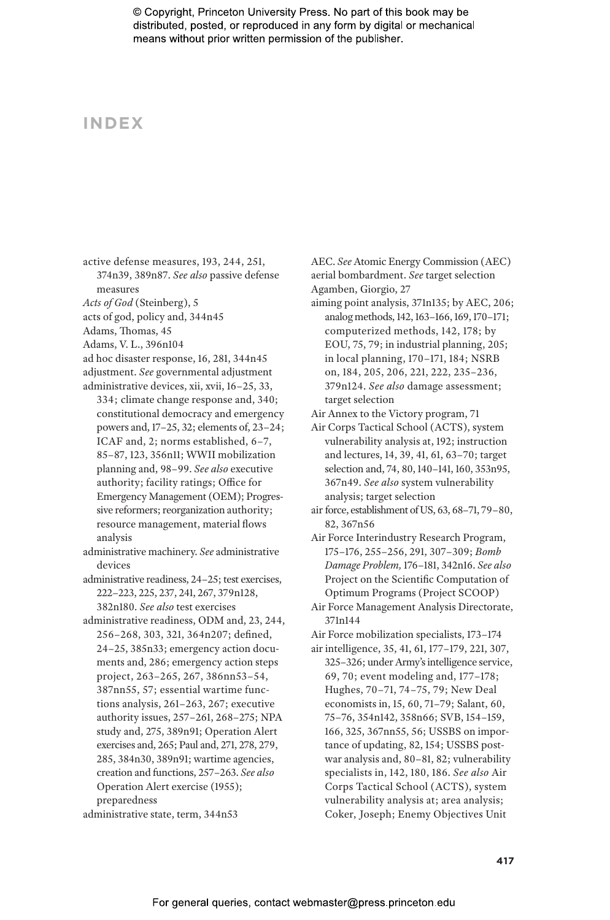# **INDEX**

active defense measures, 193, 244, 251,

374n39, 389n87. *See also* passive defense measures

*Acts of God* (Steinberg), 5

acts of god, policy and, 344n45

Adams, Thomas, 45

Adams, V. L., 396n104

ad hoc disaster response, 16, 281, 344n45 adjustment. *See* governmental adjustment administrative devices, xii, xvii, 16–25, 33,

334; climate change response and, 340; constitutional democracy and emergency powers and, 17–25, 32; elements of, 23–24; ICAF and, 2; norms established, 6–7, 85–87, 123, 356n11; WWII mobilization planning and, 98–99. *See also* executive authority; facility ratings; Office for Emergency Management (OEM); Progressive reformers; reorganization authority; resource management, material flows analysis

administrative machinery. *See* administrative devices

administrative readiness, 24–25; test exercises, 222–223, 225, 237, 241, 267, 379n128, 382n180. *See also* test exercises

administrative readiness, ODM and, 23, 244, 256–268, 303, 321, 364n207; defined, 24–25, 385n33; emergency action documents and, 286; emergency action steps project, 263–265, 267, 386nn53–54, 387nn55, 57; essential wartime functions analysis, 261–263, 267; executive authority issues, 257–261, 268–275; NPA study and, 275, 389n91; Operation Alert exercises and, 265; Paul and, 271, 278, 279, 285, 384n30, 389n91; wartime agencies, creation and functions, 257–263. *See also* Operation Alert exercise (1955); preparedness

administrative state, term, 344n53

AEC. *See* Atomic Energy Commission (AEC) aerial bombardment. *See* target selection Agamben, Giorgio, 27

aiming point analysis, 371n135; by AEC, 206; analog methods, 142, 163–166, 169, 170–171; computerized methods, 142, 178; by EOU, 75, 79; in industrial planning, 205; in local planning, 170–171, 184; NSRB on, 184, 205, 206, 221, 222, 235–236, 379n124. *See also* damage assessment; target selection

Air Annex to the Victory program, 71

Air Corps Tactical School (ACTS), system vulnerability analysis at, 192; instruction and lectures, 14, 39, 41, 61, 63–70; target selection and, 74, 80, 140–141, 160, 353n95, 367n49. *See also* system vulnerability analysis; target selection

air force, establishment of US, 63, 68–71, 79–80, 82, 367n56

Air Force Interindustry Research Program, 175–176, 255–256, 291, 307–309; *Bomb Damage Problem,* 176–181, 342n16. *See also* Project on the Scientific Computation of Optimum Programs (Project SCOOP)

Air Force Management Analysis Directorate, 371n144

Air Force mobilization specialists, 173–174

air intelligence, 35, 41, 61, 177–179, 221, 307, 325–326; under Army's intelligence service, 69, 70; event modeling and, 177–178; Hughes, 70–71, 74–75, 79; New Deal economists in, 15, 60, 71–79; Salant, 60, 75–76, 354n142, 358n66; SVB, 154–159, 166, 325, 367nn55, 56; USSBS on importance of updating, 82, 154; USSBS postwar analysis and, 80–81, 82; vulnerability specialists in, 142, 180, 186. *See also* Air Corps Tactical School (ACTS), system vulnerability analysis at; area analysis; Coker, Joseph; Enemy Objectives Unit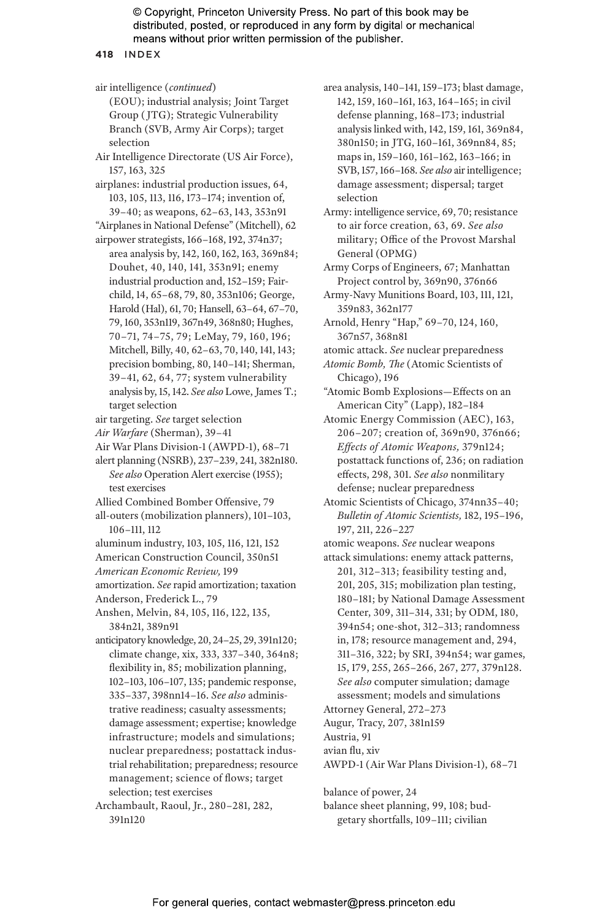**418** INDEX

air intelligence (*continued*) (EOU); industrial analysis; Joint Target Group ( JTG); Strategic Vulnerability Branch (SVB, Army Air Corps); target selection Air Intelligence Directorate (US Air Force), 157, 163, 325 airplanes: industrial production issues, 64, 103, 105, 113, 116, 173–174; invention of, 39–40; as weapons, 62–63, 143, 353n91 "Airplanes in National Defense" (Mitchell), 62 airpower strategists, 166–168, 192, 374n37; area analysis by, 142, 160, 162, 163, 369n84; Douhet, 40, 140, 141, 353n91; enemy industrial production and, 152–159; Fairchild, 14, 65–68, 79, 80, 353n106; George, Harold (Hal), 61, 70; Hansell, 63–64, 67–70, 79, 160, 353n119, 367n49, 368n80; Hughes, 70–71, 74–75, 79; LeMay, 79, 160, 196; Mitchell, Billy, 40, 62–63, 70, 140, 141, 143; precision bombing, 80, 140–141; Sherman, 39–41, 62, 64, 77; system vulnerability analysis by, 15, 142. *See also* Lowe, James T.; target selection air targeting. *See* target selection *Air Warfare* (Sherman), 39–41 Air War Plans Division-1 (AWPD-1), 68–71 alert planning (NSRB), 237–239, 241, 382n180. *See also* Operation Alert exercise (1955); test exercises Allied Combined Bomber Offensive, 79 all-outers (mobilization planners), 101–103, 106–111, 112 aluminum industry, 103, 105, 116, 121, 152 American Construction Council, 350n51 *American Economic Review,* 199 amortization. *See* rapid amortization; taxation Anderson, Frederick L., 79 Anshen, Melvin, 84, 105, 116, 122, 135, 384n21, 389n91 anticipatory knowledge, 20, 24–25, 29, 391n120; climate change, xix, 333, 337–340, 364n8; flexibility in, 85; mobilization planning, 102–103, 106–107, 135; pandemic response, 335–337, 398nn14–16. *See also* administrative readiness; casualty assessments; damage assessment; expertise; knowledge infrastructure; models and simulations; nuclear preparedness; postattack industrial rehabilitation; preparedness; resource management; science of flows; target selection; test exercises Archambault, Raoul, Jr., 280–281, 282, 391n120

area analysis, 140–141, 159–173; blast damage, 142, 159, 160–161, 163, 164–165; in civil defense planning, 168–173; industrial analysis linked with, 142, 159, 161, 369n84, 380n150; in JTG, 160–161, 369nn84, 85; maps in, 159–160, 161–162, 163–166; in SVB, 157, 166–168. *See also* air intelligence; damage assessment; dispersal; target selection

Army: intelligence service, 69, 70; resistance to air force creation, 63, 69. *See also* military; Office of the Provost Marshal General (OPMG)

Army Corps of Engineers, 67; Manhattan Project control by, 369n90, 376n66

Army-Navy Munitions Board, 103, 111, 121, 359n83, 362n177

Arnold, Henry "Hap," 69–70, 124, 160, 367n57, 368n81

atomic attack. *See* nuclear preparedness

*Atomic Bomb, The* (Atomic Scientists of Chicago), 196

"Atomic Bomb Explosions—Effects on an American City" (Lapp), 182–184

Atomic Energy Commission (AEC), 163, 206–207; creation of, 369n90, 376n66; *Effects of Atomic Weapons,* 379n124; postattack functions of, 236; on radiation effects, 298, 301. *See also* nonmilitary defense; nuclear preparedness

- Atomic Scientists of Chicago, 374nn35–40; *Bulletin of Atomic Scientists,* 182, 195–196, 197, 211, 226–227
- atomic weapons. *See* nuclear weapons
- attack simulations: enemy attack patterns, 201, 312–313; feasibility testing and, 201, 205, 315; mobilization plan testing, 180–181; by National Damage Assessment Center, 309, 311–314, 331; by ODM, 180, 394n54; one-shot, 312–313; randomness in, 178; resource management and, 294, 311–316, 322; by SRI, 394n54; war games, 15, 179, 255, 265–266, 267, 277, 379n128. *See also* computer simulation; damage assessment; models and simulations Attorney General, 272–273
- Augur, Tracy, 207, 381n159

Austria, 91 avian flu, xiv

AWPD-1 (Air War Plans Division-1), 68–71

balance of power, 24

balance sheet planning, 99, 108; budgetary shortfalls, 109–111; civilian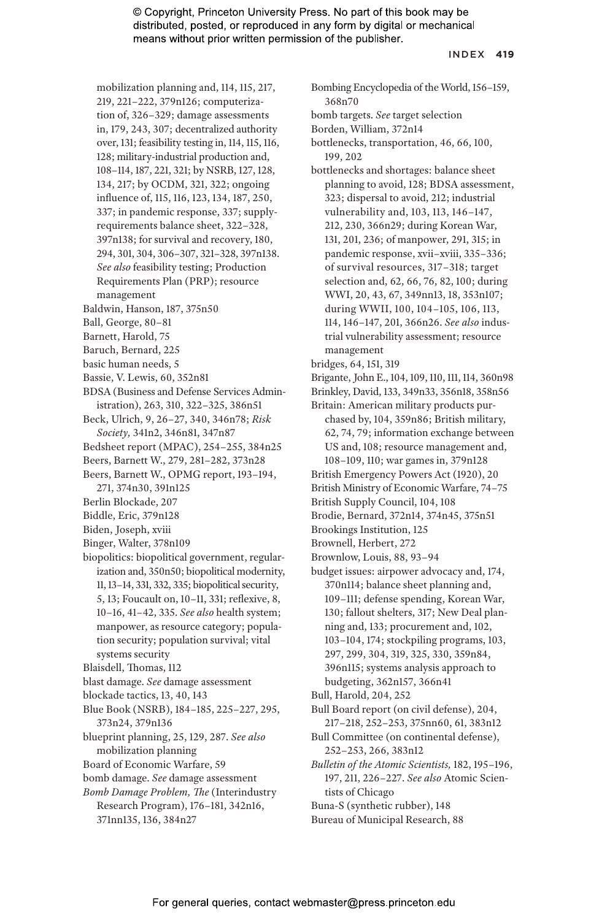#### INDEX **419**

mobilization planning and, 114, 115, 217, 219, 221–222, 379n126; computeriza-

tion of, 326–329; damage assessments

in, 179, 243, 307; decentralized authority

over, 131; feasibility testing in, 114, 115, 116,

128; military-industrial production and,

108–114, 187, 221, 321; by NSRB, 127, 128,

134, 217; by OCDM, 321, 322; ongoing

influence of, 115, 116, 123, 134, 187, 250, 337; in pandemic response, 337; supply-

requirements balance sheet, 322–328,

397n138; for survival and recovery, 180,

294, 301, 304, 306–307, 321–328, 397n138.

- *See also* feasibility testing; Production Requirements Plan (PRP); resource
- management
- Baldwin, Hanson, 187, 375n50
- Ball, George, 80–81
- Barnett, Harold, 75
- Baruch, Bernard, 225
- basic human needs, 5
- Bassie, V. Lewis, 60, 352n81
- BDSA (Business and Defense Services Administration), 263, 310, 322–325, 386n51
- Beck, Ulrich, 9, 26–27, 340, 346n78; *Risk Society,* 341n2, 346n81, 347n87
- Bedsheet report (MPAC), 254–255, 384n25
- Beers, Barnett W., 279, 281–282, 373n28
- Beers, Barnett W., OPMG report, 193–194, 271, 374n30, 391n125
- Berlin Blockade, 207
- Biddle, Eric, 379n128
- Biden, Joseph, xviii
- Binger, Walter, 378n109
- biopolitics: biopolitical government, regularization and, 350n50; biopolitical modernity, 11, 13–14, 331, 332, 335; biopolitical security, 5, 13; Foucault on, 10–11, 331; reflexive, 8, 10–16, 41–42, 335. *See also* health system; manpower, as resource category; population security; population survival; vital systems security
- Blaisdell, Thomas, 112
- blast damage. *See* damage assessment
- blockade tactics, 13, 40, 143
- Blue Book (NSRB), 184–185, 225–227, 295, 373n24, 379n136
- blueprint planning, 25, 129, 287. *See also* mobilization planning
- Board of Economic Warfare, 59
- bomb damage. *See* damage assessment
- *Bomb Damage Problem, The* (Interindustry Research Program), 176–181, 342n16, 371nn135, 136, 384n27
- Bombing Encyclopedia of the World, 156–159, 368n70
- bomb targets. *See* target selection
- Borden, William, 372n14
- bottlenecks, transportation, 46, 66, 100, 199, 202
- bottlenecks and shortages: balance sheet planning to avoid, 128; BDSA assessment, 323; dispersal to avoid, 212; industrial vulnerability and, 103, 113, 146–147, 212, 230, 366n29; during Korean War, 131, 201, 236; of manpower, 291, 315; in pandemic response, xvii–xviii, 335–336; of survival resources, 317–318; target selection and, 62, 66, 76, 82, 100; during WWI, 20, 43, 67, 349nn13, 18, 353n107; during WWII, 100, 104–105, 106, 113, 114, 146–147, 201, 366n26. *See also* industrial vulnerability assessment; resource management
- bridges, 64, 151, 319
- Brigante, John E., 104, 109, 110, 111, 114, 360n98 Brinkley, David, 133, 349n33, 356n18, 358n56
- Britain: American military products pur-
- chased by, 104, 359n86; British military, 62, 74, 79; information exchange between US and, 108; resource management and, 108–109, 110; war games in, 379n128
- British Emergency Powers Act (1920), 20
- British Ministry of Economic Warfare, 74–75
- British Supply Council, 104, 108
- Brodie, Bernard, 372n14, 374n45, 375n51
- Brookings Institution, 125
- Brownell, Herbert, 272
- Brownlow, Louis, 88, 93–94
- budget issues: airpower advocacy and, 174, 370n114; balance sheet planning and, 109–111; defense spending, Korean War, 130; fallout shelters, 317; New Deal planning and, 133; procurement and, 102, 103–104, 174; stockpiling programs, 103, 297, 299, 304, 319, 325, 330, 359n84, 396n115; systems analysis approach to budgeting, 362n157, 366n41
- Bull, Harold, 204, 252
- Bull Board report (on civil defense), 204, 217–218, 252–253, 375nn60, 61, 383n12
- Bull Committee (on continental defense), 252–253, 266, 383n12

*Bulletin of the Atomic Scientists,* 182, 195–196, 197, 211, 226–227. *See also* Atomic Scientists of Chicago

- Buna-S (synthetic rubber), 148
- Bureau of Municipal Research, 88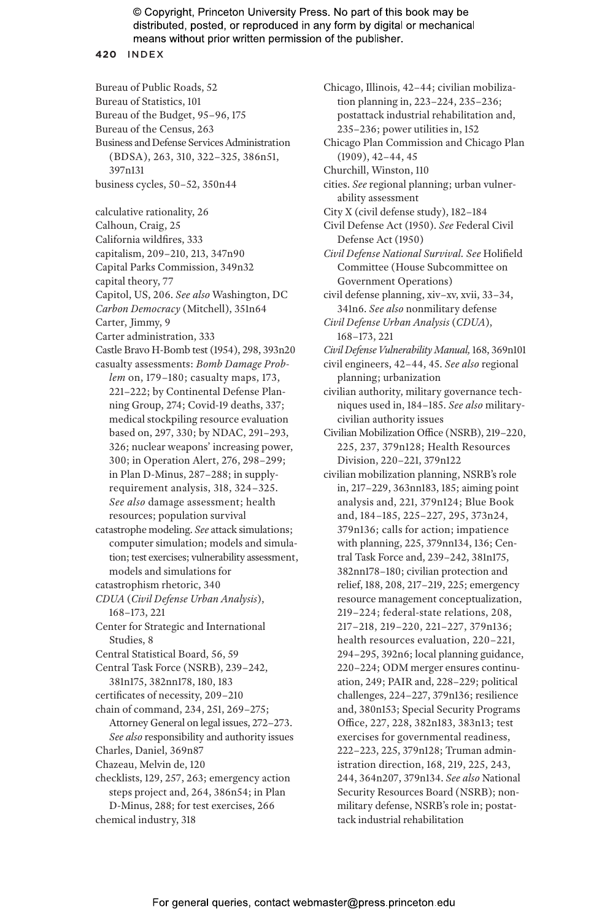#### **420** INDEX

- Bureau of Public Roads, 52
- Bureau of Statistics, 101
- Bureau of the Budget, 95–96, 175
- Bureau of the Census, 263
- Business and Defense Services Administration (BDSA), 263, 310, 322–325, 386n51, 397n131
- business cycles, 50–52, 350n44
- calculative rationality, 26
- Calhoun, Craig, 25
- California wildfires, 333
- capitalism, 209–210, 213, 347n90
- Capital Parks Commission, 349n32
- capital theory, 77
- Capitol, US, 206. *See also* Washington, DC
- *Carbon Democracy* (Mitchell), 351n64
- Carter, Jimmy, 9
- Carter administration, 333
- Castle Bravo H-Bomb test (1954), 298, 393n20
- casualty assessments: *Bomb Damage Problem* on, 179–180; casualty maps, 173, 221–222; by Continental Defense Planning Group, 274; Covid-19 deaths, 337; medical stockpiling resource evaluation based on, 297, 330; by NDAC, 291–293, 326; nuclear weapons' increasing power, 300; in Operation Alert, 276, 298–299; in Plan D-Minus, 287–288; in supplyrequirement analysis, 318, 324–325. *See also* damage assessment; health resources; population survival
- catastrophe modeling. *See* attack simulations; computer simulation; models and simulation; test exercises; vulnerability assessment, models and simulations for
- catastrophism rhetoric, 340
- *CDUA* (*Civil Defense Urban Analysis*), 168–173, 221
- Center for Strategic and International Studies, 8
- Central Statistical Board, 56, 59
- Central Task Force (NSRB), 239–242, 381n175, 382nn178, 180, 183
- certificates of necessity, 209–210
- chain of command, 234, 251, 269–275; Attorney General on legal issues, 272–273.
- *See also* responsibility and authority issues Charles, Daniel, 369n87
- Chazeau, Melvin de, 120
- checklists, 129, 257, 263; emergency action steps project and, 264, 386n54; in Plan D-Minus, 288; for test exercises, 266 chemical industry, 318

postattack industrial rehabilitation and, 235–236; power utilities in, 152 Chicago Plan Commission and Chicago Plan (1909), 42–44, 45 Churchill, Winston, 110 cities. *See* regional planning; urban vulnerability assessment City X (civil defense study), 182–184 Civil Defense Act (1950). *See* Federal Civil Defense Act (1950) *Civil Defense National Survival. See* Holifield Committee (House Subcommittee on Government Operations) civil defense planning, xiv–xv, xvii, 33–34, 341n6. *See also* nonmilitary defense

Chicago, Illinois, 42–44; civilian mobilization planning in, 223–224, 235–236;

- *Civil Defense Urban Analysis* (*CDUA*), 168–173, 221
- *Civil Defense Vulnerability Manual,* 168, 369n101
- civil engineers, 42–44, 45. *See also* regional planning; urbanization
- civilian authority, military governance techniques used in, 184–185. *See also* militarycivilian authority issues
- Civilian Mobilization Office (NSRB), 219–220, 225, 237, 379n128; Health Resources Division, 220–221, 379n122
- civilian mobilization planning, NSRB's role in, 217–229, 363nn183, 185; aiming point analysis and, 221, 379n124; Blue Book and, 184–185, 225–227, 295, 373n24, 379n136; calls for action; impatience with planning, 225, 379nn134, 136; Central Task Force and, 239–242, 381n175, 382nn178–180; civilian protection and relief, 188, 208, 217–219, 225; emergency resource management conceptualization, 219–224; federal-state relations, 208, 217–218, 219–220, 221–227, 379n136; health resources evaluation, 220–221, 294–295, 392n6; local planning guidance, 220–224; ODM merger ensures continuation, 249; PAIR and, 228–229; political challenges, 224–227, 379n136; resilience and, 380n153; Special Security Programs Office, 227, 228, 382n183, 383n13; test exercises for governmental readiness, 222–223, 225, 379n128; Truman administration direction, 168, 219, 225, 243, 244, 364n207, 379n134. *See also* National Security Resources Board (NSRB); nonmilitary defense, NSRB's role in; postattack industrial rehabilitation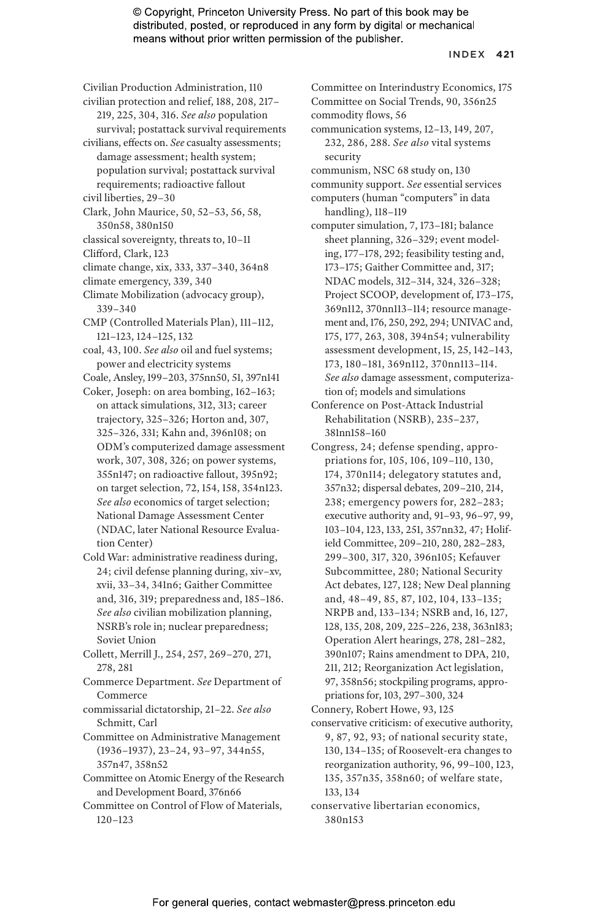#### INDEX **421**

- Civilian Production Administration, 110
- civilian protection and relief, 188, 208, 217– 219, 225, 304, 316. *See also* population
- survival; postattack survival requirements
- civilians, effects on. *See* casualty assessments; damage assessment; health system; population survival; postattack survival requirements; radioactive fallout
- civil liberties, 29–30
- Clark, John Maurice, 50, 52–53, 56, 58, 350n58, 380n150
- classical sovereignty, threats to, 10–11
- Clifford, Clark, 123
- climate change, xix, 333, 337–340, 364n8
- climate emergency, 339, 340
- Climate Mobilization (advocacy group), 339–340
- CMP (Controlled Materials Plan), 111–112, 121–123, 124–125, 132
- coal, 43, 100. *See also* oil and fuel systems; power and electricity systems
- Coale, Ansley, 199–203, 375nn50, 51, 397n141
- Coker, Joseph: on area bombing, 162–163; on attack simulations, 312, 313; career trajectory, 325–326; Horton and, 307, 325–326, 331; Kahn and, 396n108; on ODM's computerized damage assessment work, 307, 308, 326; on power systems, 355n147; on radioactive fallout, 395n92; on target selection, 72, 154, 158, 354n123. *See also* economics of target selection; National Damage Assessment Center (NDAC, later National Resource Evaluation Center)
- Cold War: administrative readiness during, 24; civil defense planning during, xiv–xv, xvii, 33–34, 341n6; Gaither Committee and, 316, 319; preparedness and, 185–186. *See also* civilian mobilization planning, NSRB's role in; nuclear preparedness; Soviet Union
- Collett, Merrill J., 254, 257, 269–270, 271, 278, 281
- Commerce Department. *See* Department of Commerce
- commissarial dictatorship, 21–22. *See also* Schmitt, Carl
- Committee on Administrative Management (1936–1937), 23–24, 93–97, 344n55, 357n47, 358n52
- Committee on Atomic Energy of the Research and Development Board, 376n66
- Committee on Control of Flow of Materials, 120–123
- Committee on Interindustry Economics, 175 Committee on Social Trends, 90, 356n25 commodity flows, 56 communication systems, 12–13, 149, 207, 232, 286, 288. *See also* vital systems
- security communism, NSC 68 study on, 130
- community support. *See* essential services
- computers (human "computers" in data
- handling), 118–119 computer simulation, 7, 173–181; balance
- sheet planning, 326–329; event modeling, 177–178, 292; feasibility testing and, 173–175; Gaither Committee and, 317; NDAC models, 312–314, 324, 326–328; Project SCOOP, development of, 173–175, 369n112, 370nn113–114; resource management and, 176, 250, 292, 294; UNIVAC and, 175, 177, 263, 308, 394n54; vulnerability assessment development, 15, 25, 142–143, 173, 180–181, 369n112, 370nn113–114. *See also* damage assessment, computerization of; models and simulations
- Conference on Post-Attack Industrial Rehabilitation (NSRB), 235–237, 381nn158–160
- Congress, 24; defense spending, appropriations for, 105, 106, 109–110, 130, 174, 370n114; delegatory statutes and, 357n32; dispersal debates, 209–210, 214, 238; emergency powers for, 282–283; executive authority and, 91–93, 96–97, 99, 103–104, 123, 133, 251, 357nn32, 47; Holifield Committee, 209–210, 280, 282–283, 299–300, 317, 320, 396n105; Kefauver Subcommittee, 280; National Security Act debates, 127, 128; New Deal planning and, 48–49, 85, 87, 102, 104, 133–135; NRPB and, 133–134; NSRB and, 16, 127, 128, 135, 208, 209, 225–226, 238, 363n183; Operation Alert hearings, 278, 281–282, 390n107; Rains amendment to DPA, 210, 211, 212; Reorganization Act legislation, 97, 358n56; stockpiling programs, appropriations for, 103, 297–300, 324
- Connery, Robert Howe, 93, 125
- conservative criticism: of executive authority, 9, 87, 92, 93; of national security state, 130, 134–135; of Roosevelt-era changes to reorganization authority, 96, 99–100, 123, 135, 357n35, 358n60; of welfare state, 133, 134
- conservative libertarian economics, 380n153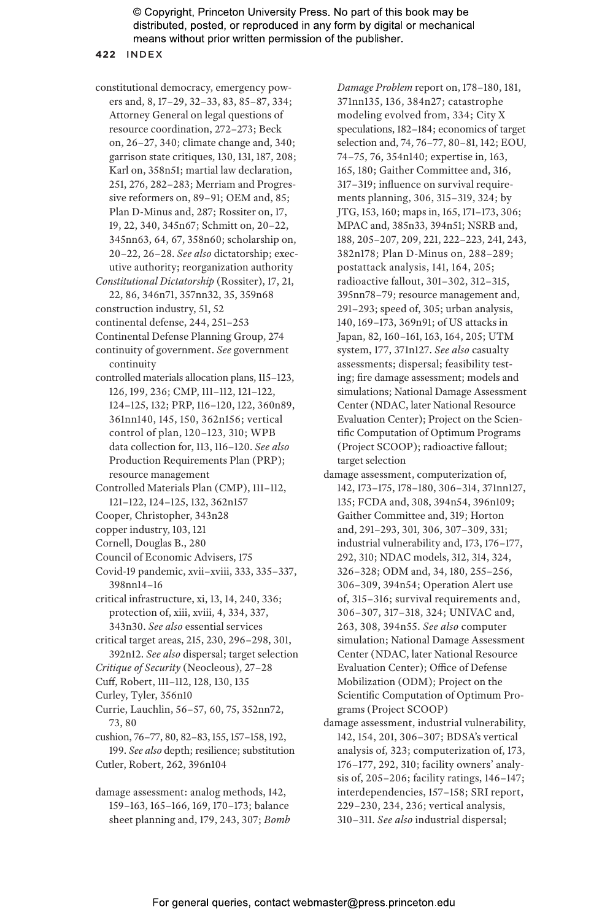#### **422** INDEX

- constitutional democracy, emergency powers and, 8, 17–29, 32–33, 83, 85–87, 334; Attorney General on legal questions of resource coordination, 272–273; Beck on, 26–27, 340; climate change and, 340; garrison state critiques, 130, 131, 187, 208; Karl on, 358n51; martial law declaration, 251, 276, 282–283; Merriam and Progressive reformers on, 89–91; OEM and, 85; Plan D-Minus and, 287; Rossiter on, 17, 19, 22, 340, 345n67; Schmitt on, 20–22, 345nn63, 64, 67, 358n60; scholarship on, 20–22, 26–28. *See also* dictatorship; executive authority; reorganization authority *Constitutional Dictatorship* (Rossiter), 17, 21,
- 22, 86, 346n71, 357nn32, 35, 359n68 construction industry, 51, 52
- continental defense, 244, 251–253
- Continental Defense Planning Group, 274
- continuity of government. *See* government continuity
- controlled materials allocation plans, 115–123, 126, 199, 236; CMP, 111–112, 121–122, 124–125, 132; PRP, 116–120, 122, 360n89, 361nn140, 145, 150, 362n156; vertical control of plan, 120–123, 310; WPB data collection for, 113, 116–120. *See also* Production Requirements Plan (PRP); resource management
- Controlled Materials Plan (CMP), 111–112, 121–122, 124–125, 132, 362n157
- Cooper, Christopher, 343n28
- copper industry, 103, 121
- Cornell, Douglas B., 280
- Council of Economic Advisers, 175
- Covid-19 pandemic, xvii–xviii, 333, 335–337, 398nn14–16
- critical infrastructure, xi, 13, 14, 240, 336; protection of, xiii, xviii, 4, 334, 337, 343n30. *See also* essential services
- critical target areas, 215, 230, 296–298, 301, 392n12. *See also* dispersal; target selection
- *Critique of Security* (Neocleous), 27–28
- Cuff, Robert, 111–112, 128, 130, 135
- Curley, Tyler, 356n10
- Currie, Lauchlin, 56–57, 60, 75, 352nn72, 73, 80
- cushion, 76–77, 80, 82–83, 155, 157–158, 192, 199. *See also* depth; resilience; substitution Cutler, Robert, 262, 396n104
- damage assessment: analog methods, 142, 159–163, 165–166, 169, 170–173; balance sheet planning and, 179, 243, 307; *Bomb*

*Damage Problem* report on, 178–180, 181, 371nn135, 136, 384n27; catastrophe modeling evolved from, 334; City X speculations, 182–184; economics of target selection and, 74, 76–77, 80–81, 142; EOU, 74–75, 76, 354n140; expertise in, 163, 165, 180; Gaither Committee and, 316, 317–319; influence on survival requirements planning, 306, 315–319, 324; by JTG, 153, 160; maps in, 165, 171–173, 306; MPAC and, 385n33, 394n51; NSRB and, 188, 205–207, 209, 221, 222–223, 241, 243, 382n178; Plan D-Minus on, 288–289; postattack analysis, 141, 164, 205; radioactive fallout, 301–302, 312–315, 395nn78–79; resource management and, 291–293; speed of, 305; urban analysis, 140, 169–173, 369n91; of US attacks in Japan, 82, 160–161, 163, 164, 205; UTM system, 177, 371n127. *See also* casualty assessments; dispersal; feasibility testing; fire damage assessment; models and simulations; National Damage Assessment Center (NDAC, later National Resource Evaluation Center); Project on the Scientific Computation of Optimum Programs (Project SCOOP); radioactive fallout; target selection

- damage assessment, computerization of, 142, 173–175, 178–180, 306–314, 371nn127, 135; FCDA and, 308, 394n54, 396n109; Gaither Committee and, 319; Horton and, 291–293, 301, 306, 307–309, 331; industrial vulnerability and, 173, 176–177, 292, 310; NDAC models, 312, 314, 324, 326–328; ODM and, 34, 180, 255–256, 306–309, 394n54; Operation Alert use of, 315–316; survival requirements and, 306–307, 317–318, 324; UNIVAC and, 263, 308, 394n55. *See also* computer simulation; National Damage Assessment Center (NDAC, later National Resource Evaluation Center); Office of Defense Mobilization (ODM); Project on the Scientific Computation of Optimum Programs (Project SCOOP)
- damage assessment, industrial vulnerability, 142, 154, 201, 306–307; BDSA's vertical analysis of, 323; computerization of, 173, 176–177, 292, 310; facility owners' analysis of, 205–206; facility ratings, 146–147; interdependencies, 157–158; SRI report, 229–230, 234, 236; vertical analysis, 310–311. *See also* industrial dispersal;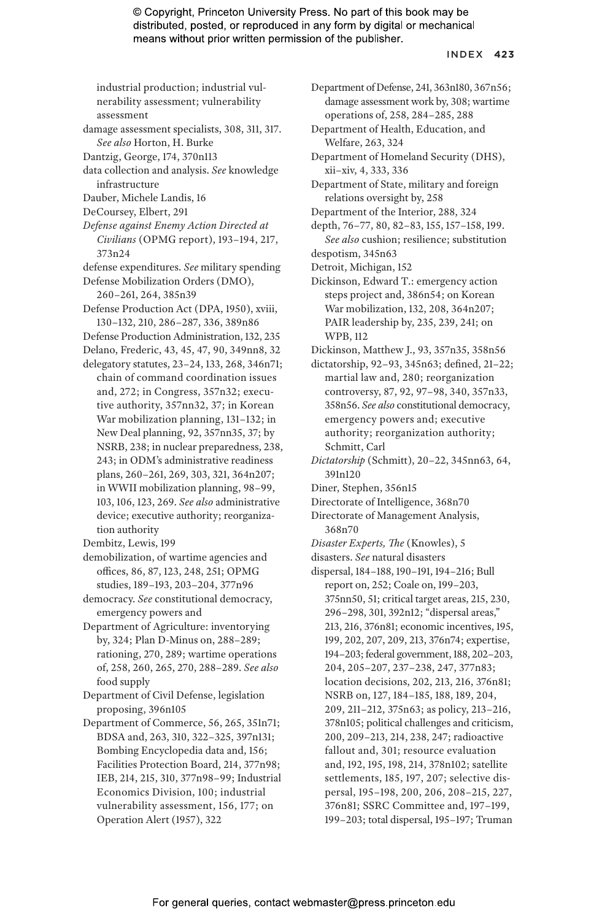#### INDEX **423**

industrial production; industrial vulnerability assessment; vulnerability assessment

- damage assessment specialists, 308, 311, 317. *See also* Horton, H. Burke
- Dantzig, George, 174, 370n113
- data collection and analysis. *See* knowledge infrastructure
- Dauber, Michele Landis, 16
- DeCoursey, Elbert, 291
- *Defense against Enemy Action Directed at Civilians* (OPMG report), 193–194, 217, 373n24
- defense expenditures. *See* military spending

Defense Mobilization Orders (DMO), 260–261, 264, 385n39

- Defense Production Act (DPA, 1950), xviii, 130–132, 210, 286–287, 336, 389n86
- Defense Production Administration, 132, 235
- Delano, Frederic, 43, 45, 47, 90, 349nn8, 32
- delegatory statutes, 23–24, 133, 268, 346n71; chain of command coordination issues and, 272; in Congress, 357n32; executive authority, 357nn32, 37; in Korean War mobilization planning, 131–132; in New Deal planning, 92, 357nn35, 37; by NSRB, 238; in nuclear preparedness, 238, 243; in ODM's administrative readiness plans, 260–261, 269, 303, 321, 364n207; in WWII mobilization planning, 98–99, 103, 106, 123, 269. *See also* administrative device; executive authority; reorganization authority
- Dembitz, Lewis, 199
- demobilization, of wartime agencies and offices, 86, 87, 123, 248, 251; OPMG studies, 189–193, 203–204, 377n96
- democracy. *See* constitutional democracy, emergency powers and
- Department of Agriculture: inventorying by, 324; Plan D-Minus on, 288–289; rationing, 270, 289; wartime operations of, 258, 260, 265, 270, 288–289. *See also* food supply
- Department of Civil Defense, legislation proposing, 396n105
- Department of Commerce, 56, 265, 351n71; BDSA and, 263, 310, 322–325, 397n131; Bombing Encyclopedia data and, 156; Facilities Protection Board, 214, 377n98; IEB, 214, 215, 310, 377n98–99; Industrial Economics Division, 100; industrial vulnerability assessment, 156, 177; on Operation Alert (1957), 322
- Department of Defense, 241, 363n180, 367n56; damage assessment work by, 308; wartime operations of, 258, 284–285, 288
- Department of Health, Education, and Welfare, 263, 324
- Department of Homeland Security (DHS), xii–xiv, 4, 333, 336
- Department of State, military and foreign relations oversight by, 258
- Department of the Interior, 288, 324
- depth, 76–77, 80, 82–83, 155, 157–158, 199. *See also* cushion; resilience; substitution
- despotism, 345n63
- Detroit, Michigan, 152
- Dickinson, Edward T.: emergency action steps project and, 386n54; on Korean War mobilization, 132, 208, 364n207; PAIR leadership by, 235, 239, 241; on WPB, 112
- Dickinson, Matthew J., 93, 357n35, 358n56
- dictatorship, 92–93, 345n63; defined, 21–22; martial law and, 280; reorganization controversy, 87, 92, 97–98, 340, 357n33, 358n56. *See also* constitutional democracy, emergency powers and; executive authority; reorganization authority; Schmitt, Carl
- *Dictatorship* (Schmitt), 20–22, 345nn63, 64, 391n120
- Diner, Stephen, 356n15
- Directorate of Intelligence, 368n70
- Directorate of Management Analysis, 368n70
- *Disaster Experts, The* (Knowles), 5
- disasters. *See* natural disasters
- dispersal, 184–188, 190–191, 194–216; Bull report on, 252; Coale on, 199–203, 375nn50, 51; critical target areas, 215, 230, 296–298, 301, 392n12; "dispersal areas," 213, 216, 376n81; economic incentives, 195, 199, 202, 207, 209, 213, 376n74; expertise, 194–203; federal government, 188, 202–203, 204, 205–207, 237–238, 247, 377n83; location decisions, 202, 213, 216, 376n81; NSRB on, 127, 184–185, 188, 189, 204, 209, 211–212, 375n63; as policy, 213–216, 378n105; political challenges and criticism, 200, 209–213, 214, 238, 247; radioactive fallout and, 301; resource evaluation and, 192, 195, 198, 214, 378n102; satellite settlements, 185, 197, 207; selective dispersal, 195–198, 200, 206, 208–215, 227, 376n81; SSRC Committee and, 197–199, 199–203; total dispersal, 195–197; Truman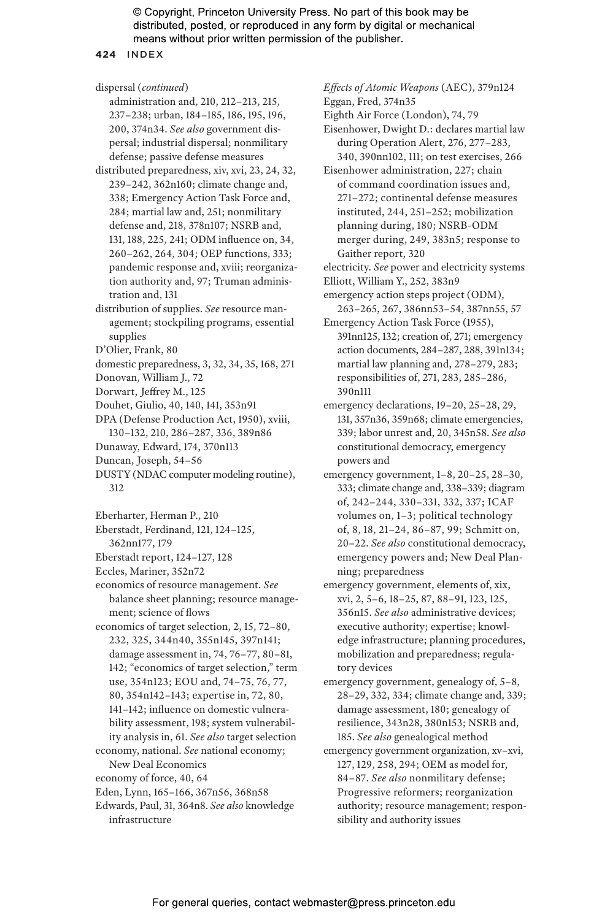**424** INDEX

dispersal (*continued*) administration and, 210, 212–213, 215, 237–238; urban, 184–185, 186, 195, 196,

200, 374n34. *See also* government dispersal; industrial dispersal; nonmilitary defense; passive defense measures distributed preparedness, xiv, xvi, 23, 24, 32, 239–242, 362n160; climate change and, 338; Emergency Action Task Force and, 284; martial law and, 251; nonmilitary defense and, 218, 378n107; NSRB and, 131, 188, 225, 241; ODM influence on, 34, 260–262, 264, 304; OEP functions, 333; pandemic response and, xviii; reorganization authority and, 97; Truman adminis-

- distribution of supplies. *See* resource management; stockpiling programs, essential supplies
- D'Olier, Frank, 80

tration and, 131

- domestic preparedness, 3, 32, 34, 35, 168, 271
- Donovan, William J., 72
- Dorwart, Jeffrey M., 125
- Douhet, Giulio, 40, 140, 141, 353n91
- DPA (Defense Production Act, 1950), xviii, 130–132, 210, 286–287, 336, 389n86
- Dunaway, Edward, 174, 370n113
- Duncan, Joseph, 54–56
- DUSTY (NDAC computer modeling routine), 312

Eberharter, Herman P., 210

- Eberstadt, Ferdinand, 121, 124–125,
- 362nn177, 179
- Eberstadt report, 124–127, 128
- Eccles, Mariner, 352n72

economics of resource management. *See* balance sheet planning; resource management; science of flows

- economics of target selection, 2, 15, 72–80, 232, 325, 344n40, 355n145, 397n141; damage assessment in, 74, 76–77, 80–81, 142; "economics of target selection," term use, 354n123; EOU and, 74–75, 76, 77,
	- 80, 354n142–143; expertise in, 72, 80,
	- 141–142; influence on domestic vulnera-
	- bility assessment, 198; system vulnerabil-
- ity analysis in, 61. *See also* target selection economy, national. *See* national economy;
- New Deal Economics
- economy of force, 40, 64
- Eden, Lynn, 165–166, 367n56, 368n58
- Edwards, Paul, 31, 364n8. *See also* knowledge infrastructure

*Effects of Atomic Weapons* (AEC), 379n124 Eggan, Fred, 374n35

Eighth Air Force (London), 74, 79

Eisenhower, Dwight D.: declares martial law during Operation Alert, 276, 277–283, 340, 390nn102, 111; on test exercises, 266

Eisenhower administration, 227; chain of command coordination issues and, 271–272; continental defense measures instituted, 244, 251–252; mobilization

planning during, 180; NSRB-ODM merger during, 249, 383n5; response to Gaither report, 320

- electricity. *See* power and electricity systems
- Elliott, William Y., 252, 383n9
- emergency action steps project (ODM), 263–265, 267, 386nn53–54, 387nn55, 57
- Emergency Action Task Force (1955), 391nn125, 132; creation of, 271; emergency action documents, 284–287, 288, 391n134; martial law planning and, 278–279, 283; responsibilities of, 271, 283, 285–286, 390n111
- emergency declarations, 19–20, 25–28, 29, 131, 357n36, 359n68; climate emergencies, 339; labor unrest and, 20, 345n58. *See also* constitutional democracy, emergency powers and
- emergency government, 1–8, 20–25, 28–30, 333; climate change and, 338–339; diagram of, 242–244, 330–331, 332, 337; ICAF volumes on, 1–3; political technology of, 8, 18, 21–24, 86–87, 99; Schmitt on, 20–22. *See also* constitutional democracy, emergency powers and; New Deal Planning; preparedness
- emergency government, elements of, xix, xvi, 2, 5–6, 18–25, 87, 88–91, 123, 125, 356n15. *See also* administrative devices; executive authority; expertise; knowledge infrastructure; planning procedures, mobilization and preparedness; regulatory devices
- emergency government, genealogy of, 5–8, 28–29, 332, 334; climate change and, 339; damage assessment, 180; genealogy of resilience, 343n28, 380n153; NSRB and, 185. *See also* genealogical method
- emergency government organization, xv–xvi, 127, 129, 258, 294; OEM as model for, 84–87. *See also* nonmilitary defense; Progressive reformers; reorganization authority; resource management; responsibility and authority issues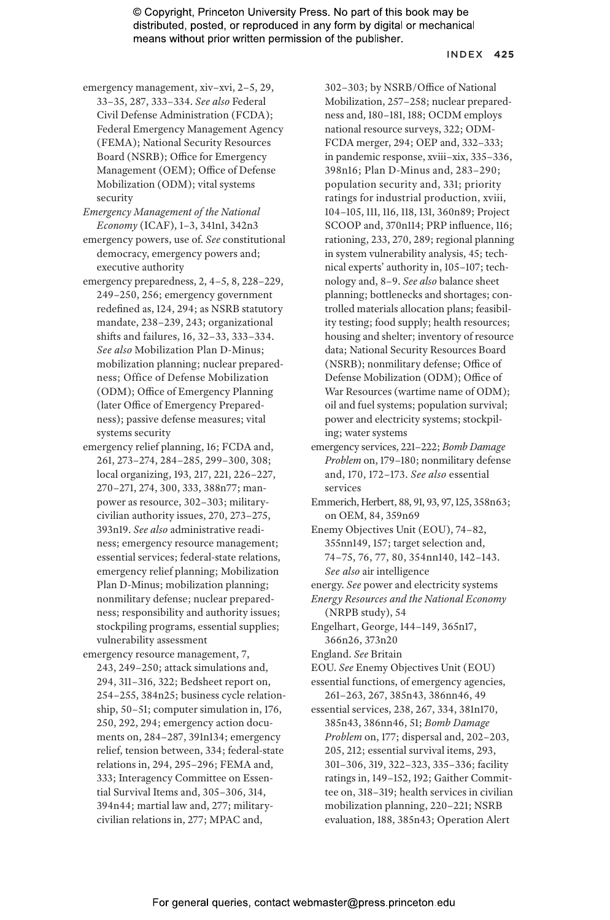#### INDEX **425**

- emergency management, xiv–xvi, 2–5, 29, 33–35, 287, 333–334. *See also* Federal Civil Defense Administration (FCDA); Federal Emergency Management Agency (FEMA); National Security Resources Board (NSRB); Office for Emergency Management (OEM); Office of Defense Mobilization (ODM); vital systems security
- *Emergency Management of the National Economy* (ICAF), 1–3, 341n1, 342n3
- emergency powers, use of. *See* constitutional democracy, emergency powers and; executive authority
- emergency preparedness, 2, 4–5, 8, 228–229, 249–250, 256; emergency government redefined as, 124, 294; as NSRB statutory mandate, 238–239, 243; organizational shifts and failures, 16, 32–33, 333–334. *See also* Mobilization Plan D-Minus; mobilization planning; nuclear preparedness; Office of Defense Mobilization (ODM); Office of Emergency Planning (later Office of Emergency Preparedness); passive defense measures; vital systems security
- emergency relief planning, 16; FCDA and, 261, 273–274, 284–285, 299–300, 308; local organizing, 193, 217, 221, 226–227, 270–271, 274, 300, 333, 388n77; manpower as resource, 302–303; militarycivilian authority issues, 270, 273–275, 393n19. *See also* administrative readiness; emergency resource management; essential services; federal-state relations, emergency relief planning; Mobilization Plan D-Minus; mobilization planning; nonmilitary defense; nuclear preparedness; responsibility and authority issues; stockpiling programs, essential supplies; vulnerability assessment
- emergency resource management, 7, 243, 249–250; attack simulations and, 294, 311–316, 322; Bedsheet report on, 254–255, 384n25; business cycle relationship, 50–51; computer simulation in, 176, 250, 292, 294; emergency action documents on, 284–287, 391n134; emergency relief, tension between, 334; federal-state relations in, 294, 295–296; FEMA and, 333; Interagency Committee on Essential Survival Items and, 305–306, 314, 394n44; martial law and, 277; militarycivilian relations in, 277; MPAC and,

302–303; by NSRB/Office of National Mobilization, 257–258; nuclear preparedness and, 180–181, 188; OCDM employs national resource surveys, 322; ODM-FCDA merger, 294; OEP and, 332–333; in pandemic response, xviii–xix, 335–336, 398n16; Plan D-Minus and, 283–290; population security and, 331; priority ratings for industrial production, xviii, 104–105, 111, 116, 118, 131, 360n89; Project SCOOP and, 370n114; PRP influence, 116; rationing, 233, 270, 289; regional planning in system vulnerability analysis, 45; technical experts' authority in, 105–107; technology and, 8–9. *See also* balance sheet planning; bottlenecks and shortages; controlled materials allocation plans; feasibility testing; food supply; health resources; housing and shelter; inventory of resource data; National Security Resources Board (NSRB); nonmilitary defense; Office of Defense Mobilization (ODM); Office of War Resources (wartime name of ODM); oil and fuel systems; population survival; power and electricity systems; stockpiling; water systems

emergency services, 221–222; *Bomb Damage Problem* on, 179–180; nonmilitary defense and, 170, 172–173. *See also* essential services

Emmerich, Herbert, 88, 91, 93, 97, 125, 358n63; on OEM, 84, 359n69

Enemy Objectives Unit (EOU), 74–82, 355nn149, 157; target selection and, 74–75, 76, 77, 80, 354nn140, 142–143. *See also* air intelligence

energy. *See* power and electricity systems

*Energy Resources and the National Economy* (NRPB study), 54

Engelhart, George, 144–149, 365n17, 366n26, 373n20

England. *See* Britain

EOU. *See* Enemy Objectives Unit (EOU) essential functions, of emergency agencies,

261–263, 267, 385n43, 386nn46, 49

essential services, 238, 267, 334, 381n170, 385n43, 386nn46, 51; *Bomb Damage Problem* on, 177; dispersal and, 202–203, 205, 212; essential survival items, 293, 301–306, 319, 322–323, 335–336; facility ratings in, 149–152, 192; Gaither Committee on, 318–319; health services in civilian mobilization planning, 220–221; NSRB evaluation, 188, 385n43; Operation Alert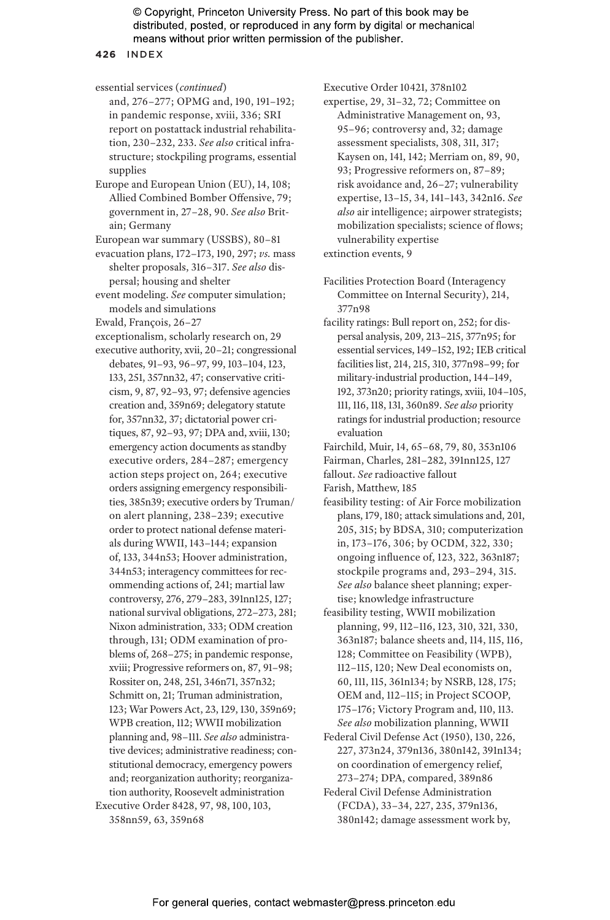**426** INDEX

essential services (*continued*)

and, 276–277; OPMG and, 190, 191–192; in pandemic response, xviii, 336; SRI report on postattack industrial rehabilitation, 230–232, 233. *See also* critical infrastructure; stockpiling programs, essential supplies

Europe and European Union (EU), 14, 108; Allied Combined Bomber Offensive, 79; government in, 27–28, 90. *See also* Britain; Germany

European war summary (USSBS), 80–81

evacuation plans, 172–173, 190, 297; *vs.* mass shelter proposals, 316–317. *See also* dispersal; housing and shelter

event modeling. *See* computer simulation; models and simulations

Ewald, François, 26–27

exceptionalism, scholarly research on, 29

executive authority, xvii, 20–21; congressional debates, 91–93, 96–97, 99, 103–104, 123, 133, 251, 357nn32, 47; conservative criticism, 9, 87, 92–93, 97; defensive agencies creation and, 359n69; delegatory statute for, 357nn32, 37; dictatorial power critiques, 87, 92–93, 97; DPA and, xviii, 130; emergency action documents as standby executive orders, 284–287; emergency action steps project on, 264; executive orders assigning emergency responsibilities, 385n39; executive orders by Truman/ on alert planning, 238–239; executive order to protect national defense materials during WWII, 143–144; expansion of, 133, 344n53; Hoover administration, 344n53; interagency committees for recommending actions of, 241; martial law controversy, 276, 279–283, 391nn125, 127; national survival obligations, 272–273, 281; Nixon administration, 333; ODM creation through, 131; ODM examination of problems of, 268–275; in pandemic response, xviii; Progressive reformers on, 87, 91–98; Rossiter on, 248, 251, 346n71, 357n32; Schmitt on, 21; Truman administration, 123; War Powers Act, 23, 129, 130, 359n69; WPB creation, 112; WWII mobilization planning and, 98–111. *See also* administrative devices; administrative readiness; constitutional democracy, emergency powers and; reorganization authority; reorganization authority, Roosevelt administration Executive Order 8428, 97, 98, 100, 103, 358nn59, 63, 359n68

Executive Order 10421, 378n102

expertise, 29, 31–32, 72; Committee on Administrative Management on, 93, 95–96; controversy and, 32; damage assessment specialists, 308, 311, 317; Kaysen on, 141, 142; Merriam on, 89, 90, 93; Progressive reformers on, 87–89; risk avoidance and, 26–27; vulnerability expertise, 13–15, 34, 141–143, 342n16. *See also* air intelligence; airpower strategists; mobilization specialists; science of flows; vulnerability expertise extinction events, 9

Facilities Protection Board (Interagency Committee on Internal Security), 214, 377n98

facility ratings: Bull report on, 252; for dispersal analysis, 209, 213–215, 377n95; for essential services, 149–152, 192; IEB critical facilities list, 214, 215, 310, 377n98–99; for military-industrial production, 144–149, 192, 373n20; priority ratings, xviii, 104–105, 111, 116, 118, 131, 360n89. *See also* priority ratings for industrial production; resource evaluation

Fairchild, Muir, 14, 65–68, 79, 80, 353n106

Fairman, Charles, 281–282, 391nn125, 127

fallout. *See* radioactive fallout

Farish, Matthew, 185

feasibility testing: of Air Force mobilization plans, 179, 180; attack simulations and, 201, 205, 315; by BDSA, 310; computerization in, 173–176, 306; by OCDM, 322, 330; ongoing influence of, 123, 322, 363n187; stockpile programs and, 293–294, 315. *See also* balance sheet planning; expertise; knowledge infrastructure

feasibility testing, WWII mobilization planning, 99, 112–116, 123, 310, 321, 330, 363n187; balance sheets and, 114, 115, 116, 128; Committee on Feasibility (WPB), 112–115, 120; New Deal economists on, 60, 111, 115, 361n134; by NSRB, 128, 175; OEM and, 112–115; in Project SCOOP, 175–176; Victory Program and, 110, 113. *See also* mobilization planning, WWII

Federal Civil Defense Act (1950), 130, 226, 227, 373n24, 379n136, 380n142, 391n134; on coordination of emergency relief, 273–274; DPA, compared, 389n86

Federal Civil Defense Administration (FCDA), 33–34, 227, 235, 379n136, 380n142; damage assessment work by,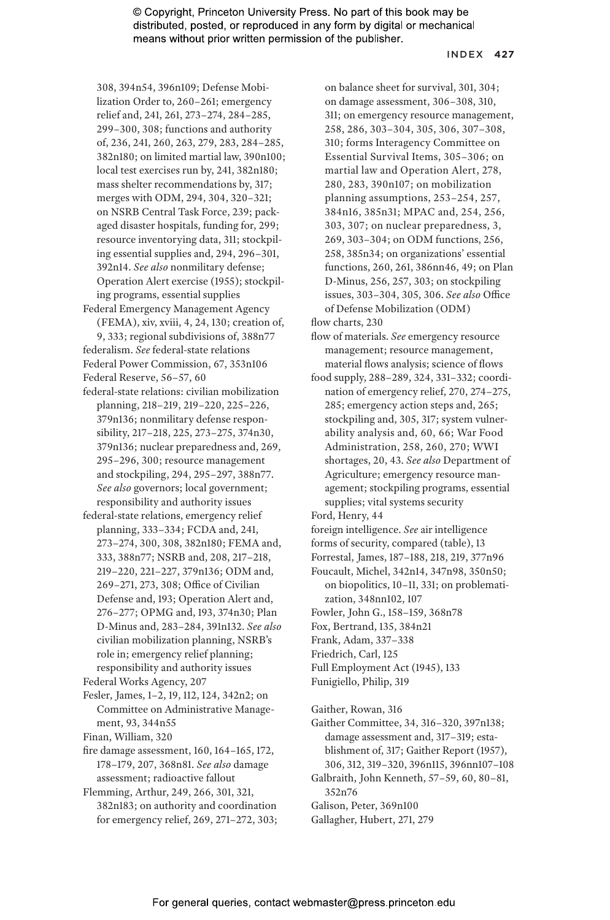#### INDEX **427**

308, 394n54, 396n109; Defense Mobilization Order to, 260–261; emergency relief and, 241, 261, 273–274, 284–285, 299–300, 308; functions and authority of, 236, 241, 260, 263, 279, 283, 284–285, 382n180; on limited martial law, 390n100; local test exercises run by, 241, 382n180; mass shelter recommendations by, 317; merges with ODM, 294, 304, 320–321; on NSRB Central Task Force, 239; packaged disaster hospitals, funding for, 299; resource inventorying data, 311; stockpiling essential supplies and, 294, 296–301, 392n14. *See also* nonmilitary defense; Operation Alert exercise (1955); stockpiling programs, essential supplies

- Federal Emergency Management Agency (FEMA), xiv, xviii, 4, 24, 130; creation of, 9, 333; regional subdivisions of, 388n77 federalism. *See* federal-state relations
- Federal Power Commission, 67, 353n106 Federal Reserve, 56–57, 60
- federal-state relations: civilian mobilization planning, 218–219, 219–220, 225–226, 379n136; nonmilitary defense responsibility, 217–218, 225, 273–275, 374n30, 379n136; nuclear preparedness and, 269, 295–296, 300; resource management and stockpiling, 294, 295–297, 388n77. *See also* governors; local government; responsibility and authority issues
- federal-state relations, emergency relief planning, 333–334; FCDA and, 241, 273–274, 300, 308, 382n180; FEMA and, 333, 388n77; NSRB and, 208, 217–218, 219–220, 221–227, 379n136; ODM and, 269–271, 273, 308; Office of Civilian Defense and, 193; Operation Alert and, 276–277; OPMG and, 193, 374n30; Plan D-Minus and, 283–284, 391n132. *See also* civilian mobilization planning, NSRB's role in; emergency relief planning; responsibility and authority issues

- Fesler, James, 1–2, 19, 112, 124, 342n2; on Committee on Administrative Management, 93, 344n55
- Finan, William, 320
- fire damage assessment, 160, 164–165, 172, 178–179, 207, 368n81. *See also* damage assessment; radioactive fallout
- Flemming, Arthur, 249, 266, 301, 321, 382n183; on authority and coordination for emergency relief, 269, 271–272, 303;

on balance sheet for survival, 301, 304; on damage assessment, 306–308, 310, 311; on emergency resource management, 258, 286, 303–304, 305, 306, 307–308, 310; forms Interagency Committee on Essential Survival Items, 305–306; on martial law and Operation Alert, 278, 280, 283, 390n107; on mobilization planning assumptions, 253–254, 257, 384n16, 385n31; MPAC and, 254, 256, 303, 307; on nuclear preparedness, 3, 269, 303–304; on ODM functions, 256, 258, 385n34; on organizations' essential functions, 260, 261, 386nn46, 49; on Plan D-Minus, 256, 257, 303; on stockpiling issues, 303–304, 305, 306. *See also* Office of Defense Mobilization (ODM)

flow charts, 230

- flow of materials. *See* emergency resource management; resource management, material flows analysis; science of flows
- food supply, 288–289, 324, 331–332; coordination of emergency relief, 270, 274–275, 285; emergency action steps and, 265; stockpiling and, 305, 317; system vulnerability analysis and, 60, 66; War Food Administration, 258, 260, 270; WWI shortages, 20, 43. *See also* Department of Agriculture; emergency resource management; stockpiling programs, essential supplies; vital systems security

Ford, Henry, 44

- foreign intelligence. *See* air intelligence
- forms of security, compared (table), 13
- Forrestal, James, 187–188, 218, 219, 377n96
- Foucault, Michel, 342n14, 347n98, 350n50; on biopolitics, 10–11, 331; on problematization, 348nn102, 107
- Fowler, John G., 158–159, 368n78
- Fox, Bertrand, 135, 384n21
- Frank, Adam, 337–338
- Friedrich, Carl, 125
- Full Employment Act (1945), 133
- Funigiello, Philip, 319
- Gaither, Rowan, 316
- Gaither Committee, 34, 316–320, 397n138; damage assessment and, 317–319; establishment of, 317; Gaither Report (1957), 306, 312, 319–320, 396n115, 396nn107–108
- Galbraith, John Kenneth, 57–59, 60, 80–81, 352n76
- Galison, Peter, 369n100

Gallagher, Hubert, 271, 279

Federal Works Agency, 207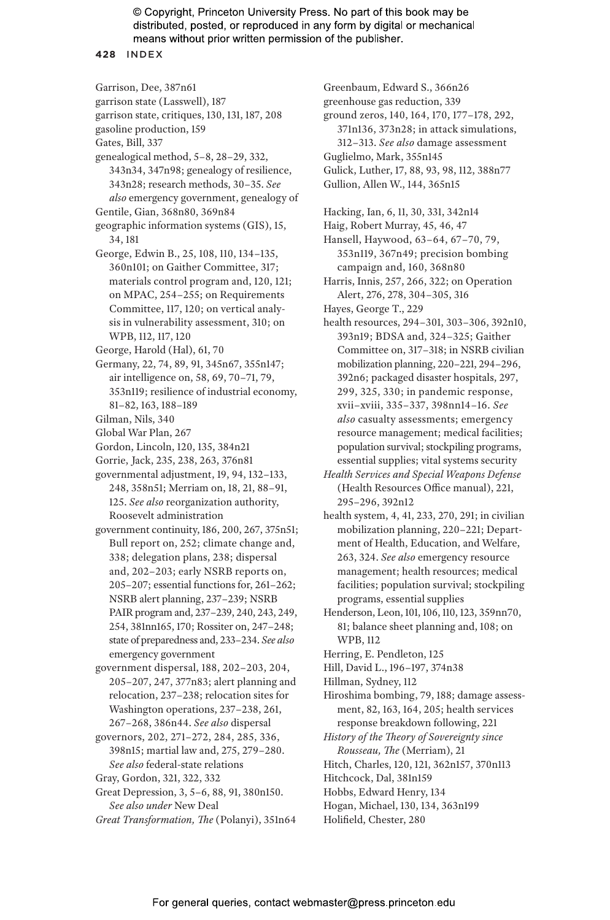#### **428** INDEX

Garrison, Dee, 387n61 garrison state (Lasswell), 187 garrison state, critiques, 130, 131, 187, 208 gasoline production, 159 Gates, Bill, 337 genealogical method, 5–8, 28–29, 332, 343n34, 347n98; genealogy of resilience, 343n28; research methods, 30–35. *See also* emergency government, genealogy of Gentile, Gian, 368n80, 369n84 geographic information systems (GIS), 15, 34, 181 George, Edwin B., 25, 108, 110, 134–135, 360n101; on Gaither Committee, 317;

- materials control program and, 120, 121; on MPAC, 254–255; on Requirements Committee, 117, 120; on vertical analysis in vulnerability assessment, 310; on WPB, 112, 117, 120
- George, Harold (Hal), 61, 70
- Germany, 22, 74, 89, 91, 345n67, 355n147; air intelligence on, 58, 69, 70–71, 79, 353n119; resilience of industrial economy, 81–82, 163, 188–189
- Gilman, Nils, 340
- Global War Plan, 267
- Gordon, Lincoln, 120, 135, 384n21
- Gorrie, Jack, 235, 238, 263, 376n81
- governmental adjustment, 19, 94, 132–133, 248, 358n51; Merriam on, 18, 21, 88–91, 125. *See also* reorganization authority, Roosevelt administration
- government continuity, 186, 200, 267, 375n51; Bull report on, 252; climate change and, 338; delegation plans, 238; dispersal and, 202–203; early NSRB reports on, 205–207; essential functions for, 261–262; NSRB alert planning, 237–239; NSRB PAIR program and, 237–239, 240, 243, 249, 254, 381nn165, 170; Rossiter on, 247–248; state of preparedness and, 233–234. *See also* emergency government
- government dispersal, 188, 202–203, 204, 205–207, 247, 377n83; alert planning and relocation, 237–238; relocation sites for Washington operations, 237–238, 261, 267–268, 386n44. *See also* dispersal
- governors, 202, 271–272, 284, 285, 336, 398n15; martial law and, 275, 279–280. *See also* federal-state relations
- Gray, Gordon, 321, 322, 332
- Great Depression, 3, 5–6, 88, 91, 380n150. *See also under* New Deal
- *Great Transformation, The* (Polanyi), 351n64

Greenbaum, Edward S., 366n26

- greenhouse gas reduction, 339
- ground zeros, 140, 164, 170, 177–178, 292, 371n136, 373n28; in attack simulations, 312–313. *See also* damage assessment
	-
- Guglielmo, Mark, 355n145
- Gulick, Luther, 17, 88, 93, 98, 112, 388n77
- Gullion, Allen W., 144, 365n15
- Hacking, Ian, 6, 11, 30, 331, 342n14
- Haig, Robert Murray, 45, 46, 47
- Hansell, Haywood, 63–64, 67–70, 79, 353n119, 367n49; precision bombing campaign and, 160, 368n80
- Harris, Innis, 257, 266, 322; on Operation Alert, 276, 278, 304–305, 316
- Hayes, George T., 229
- health resources, 294–301, 303–306, 392n10, 393n19; BDSA and, 324–325; Gaither Committee on, 317–318; in NSRB civilian mobilization planning, 220–221, 294–296, 392n6; packaged disaster hospitals, 297, 299, 325, 330; in pandemic response, xvii–xviii, 335–337, 398nn14–16. *See also* casualty assessments; emergency resource management; medical facilities; population survival; stockpiling programs, essential supplies; vital systems security
- *Health Services and Special Weapons Defense* (Health Resources Office manual), 221, 295–296, 392n12
- health system, 4, 41, 233, 270, 291; in civilian mobilization planning, 220–221; Department of Health, Education, and Welfare, 263, 324. *See also* emergency resource management; health resources; medical facilities; population survival; stockpiling programs, essential supplies
- Henderson, Leon, 101, 106, 110, 123, 359nn70, 81; balance sheet planning and, 108; on WPB, 112
- Herring, E. Pendleton, 125
- Hill, David L., 196–197, 374n38
- Hillman, Sydney, 112
- Hiroshima bombing, 79, 188; damage assessment, 82, 163, 164, 205; health services response breakdown following, 221
- *History of the Theory of Sovereignty since Rousseau, The* (Merriam), 21
- Hitch, Charles, 120, 121, 362n157, 370n113
- Hitchcock, Dal, 381n159
- Hobbs, Edward Henry, 134
- Hogan, Michael, 130, 134, 363n199
- Holifield, Chester, 280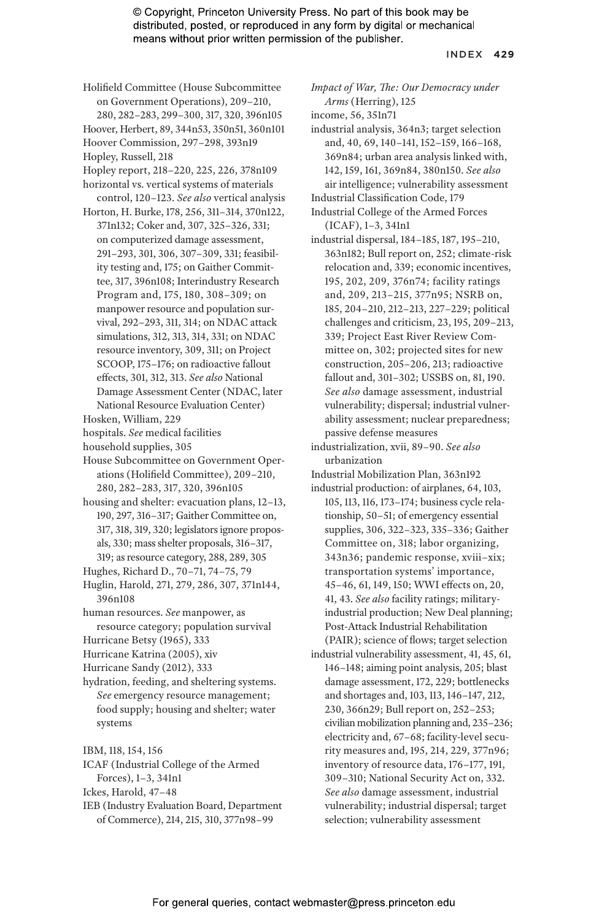#### INDEX **429**

- Holifield Committee (House Subcommittee on Government Operations), 209–210, 280, 282–283, 299–300, 317, 320, 396n105
- Hoover, Herbert, 89, 344n53, 350n51, 360n101

Hoover Commission, 297–298, 393n19

- Hopley, Russell, 218
- Hopley report, 218–220, 225, 226, 378n109 horizontal vs. vertical systems of materials
- control, 120–123. *See also* vertical analysis Horton, H. Burke, 178, 256, 311–314, 370n122, 371n132; Coker and, 307, 325–326, 331;
- on computerized damage assessment, 291–293, 301, 306, 307–309, 331; feasibility testing and, 175; on Gaither Committee, 317, 396n108; Interindustry Research Program and, 175, 180, 308–309; on manpower resource and population survival, 292–293, 311, 314; on NDAC attack simulations, 312, 313, 314, 331; on NDAC resource inventory, 309, 311; on Project SCOOP, 175–176; on radioactive fallout effects, 301, 312, 313. *See also* National Damage Assessment Center (NDAC, later National Resource Evaluation Center)
- Hosken, William, 229
- hospitals. *See* medical facilities
- household supplies, 305
- House Subcommittee on Government Operations (Holifield Committee), 209–210, 280, 282–283, 317, 320, 396n105
- housing and shelter: evacuation plans, 12–13, 190, 297, 316–317; Gaither Committee on, 317, 318, 319, 320; legislators ignore proposals, 330; mass shelter proposals, 316–317, 319; as resource category, 288, 289, 305
- Hughes, Richard D., 70–71, 74–75, 79
- Huglin, Harold, 271, 279, 286, 307, 371n144, 396n108
- human resources. *See* manpower, as resource category; population survival
- Hurricane Betsy (1965), 333
- Hurricane Katrina (2005), xiv
- Hurricane Sandy (2012), 333
- hydration, feeding, and sheltering systems. *See* emergency resource management; food supply; housing and shelter; water systems

IBM, 118, 154, 156

- ICAF (Industrial College of the Armed Forces), 1–3, 341n1
- Ickes, Harold, 47–48
- IEB (Industry Evaluation Board, Department of Commerce), 214, 215, 310, 377n98–99
- *Impact of War, The: Our Democracy under Arms* (Herring), 125
- income, 56, 351n71
- industrial analysis, 364n3; target selection and, 40, 69, 140–141, 152–159, 166–168, 369n84; urban area analysis linked with, 142, 159, 161, 369n84, 380n150. *See also* air intelligence; vulnerability assessment
- Industrial Classification Code, 179
- Industrial College of the Armed Forces (ICAF), 1–3, 341n1
- industrial dispersal, 184–185, 187, 195–210, 363n182; Bull report on, 252; climate-risk relocation and, 339; economic incentives, 195, 202, 209, 376n74; facility ratings and, 209, 213–215, 377n95; NSRB on, 185, 204–210, 212–213, 227–229; political challenges and criticism, 23, 195, 209–213, 339; Project East River Review Committee on, 302; projected sites for new construction, 205–206, 213; radioactive fallout and, 301–302; USSBS on, 81, 190. *See also* damage assessment, industrial vulnerability; dispersal; industrial vulnerability assessment; nuclear preparedness; passive defense measures
- industrialization, xvii, 89–90. *See also* urbanization

Industrial Mobilization Plan, 363n192

- industrial production: of airplanes, 64, 103, 105, 113, 116, 173–174; business cycle relationship, 50–51; of emergency essential supplies, 306, 322–323, 335–336; Gaither Committee on, 318; labor organizing, 343n36; pandemic response, xviii–xix; transportation systems' importance, 45–46, 61, 149, 150; WWI effects on, 20, 41, 43. *See also* facility ratings; militaryindustrial production; New Deal planning; Post-Attack Industrial Rehabilitation (PAIR); science of flows; target selection
- industrial vulnerability assessment, 41, 45, 61, 146–148; aiming point analysis, 205; blast damage assessment, 172, 229; bottlenecks and shortages and, 103, 113, 146–147, 212, 230, 366n29; Bull report on, 252–253; civilian mobilization planning and, 235–236; electricity and, 67–68; facility-level security measures and, 195, 214, 229, 377n96; inventory of resource data, 176–177, 191, 309–310; National Security Act on, 332. *See also* damage assessment, industrial vulnerability; industrial dispersal; target selection; vulnerability assessment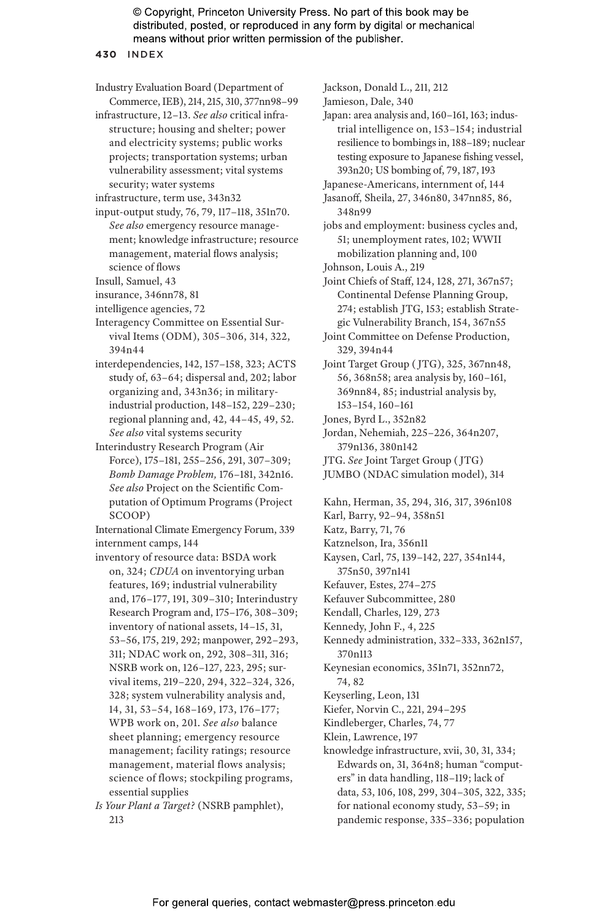**430** INDEX

Industry Evaluation Board (Department of Commerce, IEB), 214, 215, 310, 377nn98–99

- infrastructure, 12–13. *See also* critical infrastructure; housing and shelter; power and electricity systems; public works projects; transportation systems; urban vulnerability assessment; vital systems security; water systems
- infrastructure, term use, 343n32
- input-output study, 76, 79, 117–118, 351n70. *See also* emergency resource management; knowledge infrastructure; resource management, material flows analysis; science of flows
- Insull, Samuel, 43
- insurance, 346nn78, 81
- intelligence agencies, 72
- Interagency Committee on Essential Survival Items (ODM), 305–306, 314, 322, 394n44
- interdependencies, 142, 157–158, 323; ACTS study of, 63–64; dispersal and, 202; labor organizing and, 343n36; in militaryindustrial production, 148–152, 229–230; regional planning and, 42, 44–45, 49, 52. *See also* vital systems security
- Interindustry Research Program (Air Force), 175–181, 255–256, 291, 307–309; *Bomb Damage Problem,* 176–181, 342n16. *See also* Project on the Scientific Computation of Optimum Programs (Project SCOOP)

International Climate Emergency Forum, 339 internment camps, 144

- inventory of resource data: BSDA work on, 324; *CDUA* on inventorying urban features, 169; industrial vulnerability and, 176–177, 191, 309–310; Interindustry Research Program and, 175–176, 308–309; inventory of national assets, 14–15, 31, 53–56, 175, 219, 292; manpower, 292–293, 311; NDAC work on, 292, 308–311, 316; NSRB work on, 126–127, 223, 295; survival items, 219–220, 294, 322–324, 326, 328; system vulnerability analysis and, 14, 31, 53–54, 168–169, 173, 176–177; WPB work on, 201. *See also* balance sheet planning; emergency resource management; facility ratings; resource management, material flows analysis; science of flows; stockpiling programs, essential supplies
- *Is Your Plant a Target?* (NSRB pamphlet), 213

Jackson, Donald L., 211, 212 Jamieson, Dale, 340

- Japan: area analysis and, 160–161, 163; industrial intelligence on, 153–154; industrial resilience to bombings in, 188–189; nuclear testing exposure to Japanese fishing vessel, 393n20; US bombing of, 79, 187, 193
- Japanese-Americans, internment of, 144
- Jasanoff, Sheila, 27, 346n80, 347nn85, 86, 348n99

jobs and employment: business cycles and, 51; unemployment rates, 102; WWII mobilization planning and, 100

Johnson, Louis A., 219

Joint Chiefs of Staff, 124, 128, 271, 367n57; Continental Defense Planning Group, 274; establish JTG, 153; establish Strategic Vulnerability Branch, 154, 367n55

Joint Committee on Defense Production, 329, 394n44

Joint Target Group ( JTG), 325, 367nn48, 56, 368n58; area analysis by, 160–161, 369nn84, 85; industrial analysis by, 153–154, 160–161

- Jones, Byrd L., 352n82
- Jordan, Nehemiah, 225–226, 364n207, 379n136, 380n142
- JTG. *See* Joint Target Group ( JTG)
- JUMBO (NDAC simulation model), 314
- Kahn, Herman, 35, 294, 316, 317, 396n108 Karl, Barry, 92–94, 358n51

Katz, Barry, 71, 76

- Katznelson, Ira, 356n11
- Kaysen, Carl, 75, 139–142, 227, 354n144, 375n50, 397n141
- Kefauver, Estes, 274–275
- Kefauver Subcommittee, 280
- Kendall, Charles, 129, 273
- Kennedy, John F., 4, 225
- Kennedy administration, 332–333, 362n157, 370n113
- Keynesian economics, 351n71, 352nn72, 74, 82
- Keyserling, Leon, 131
- Kiefer, Norvin C., 221, 294–295
- Kindleberger, Charles, 74, 77
- Klein, Lawrence, 197
- knowledge infrastructure, xvii, 30, 31, 334; Edwards on, 31, 364n8; human "computers" in data handling, 118–119; lack of data, 53, 106, 108, 299, 304–305, 322, 335; for national economy study, 53–59; in pandemic response, 335–336; population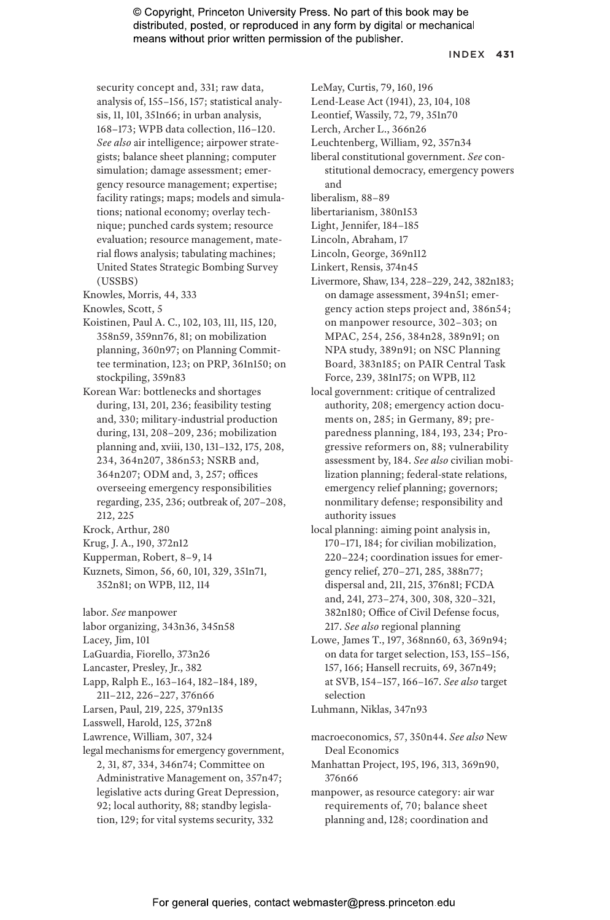#### INDEX **431**

security concept and, 331; raw data, analysis of, 155–156, 157; statistical analysis, 11, 101, 351n66; in urban analysis, 168–173; WPB data collection, 116–120. *See also* air intelligence; airpower strategists; balance sheet planning; computer simulation; damage assessment; emergency resource management; expertise; facility ratings; maps; models and simulations; national economy; overlay technique; punched cards system; resource evaluation; resource management, material flows analysis; tabulating machines; United States Strategic Bombing Survey (USSBS)

Knowles, Morris, 44, 333

Knowles, Scott, 5

- Koistinen, Paul A. C., 102, 103, 111, 115, 120, 358n59, 359nn76, 81; on mobilization planning, 360n97; on Planning Committee termination, 123; on PRP, 361n150; on stockpiling, 359n83
- Korean War: bottlenecks and shortages during, 131, 201, 236; feasibility testing and, 330; military-industrial production during, 131, 208–209, 236; mobilization planning and, xviii, 130, 131–132, 175, 208, 234, 364n207, 386n53; NSRB and, 364n207; ODM and, 3, 257; offices overseeing emergency responsibilities regarding, 235, 236; outbreak of, 207–208, 212, 225
- Krock, Arthur, 280
- Krug, J. A., 190, 372n12
- Kupperman, Robert, 8–9, 14
- Kuznets, Simon, 56, 60, 101, 329, 351n71, 352n81; on WPB, 112, 114
- labor. *See* manpower
- labor organizing, 343n36, 345n58
- Lacey, Jim, 101
- LaGuardia, Fiorello, 373n26
- Lancaster, Presley, Jr., 382

Lapp, Ralph E., 163–164, 182–184, 189,

- 211–212, 226–227, 376n66
- Larsen, Paul, 219, 225, 379n135
- Lasswell, Harold, 125, 372n8
- Lawrence, William, 307, 324
- legal mechanisms for emergency government, 2, 31, 87, 334, 346n74; Committee on Administrative Management on, 357n47; legislative acts during Great Depression, 92; local authority, 88; standby legislation, 129; for vital systems security, 332
- LeMay, Curtis, 79, 160, 196
- Lend-Lease Act (1941), 23, 104, 108
- Leontief, Wassily, 72, 79, 351n70
- Lerch, Archer L., 366n26
- Leuchtenberg, William, 92, 357n34
- liberal constitutional government. *See* constitutional democracy, emergency powers and
- liberalism, 88–89
- libertarianism, 380n153
- Light, Jennifer, 184–185
- Lincoln, Abraham, 17
- Lincoln, George, 369n112
- Linkert, Rensis, 374n45
- Livermore, Shaw, 134, 228–229, 242, 382n183; on damage assessment, 394n51; emergency action steps project and, 386n54; on manpower resource, 302–303; on MPAC, 254, 256, 384n28, 389n91; on NPA study, 389n91; on NSC Planning Board, 383n185; on PAIR Central Task Force, 239, 381n175; on WPB, 112
- local government: critique of centralized authority, 208; emergency action documents on, 285; in Germany, 89; preparedness planning, 184, 193, 234; Progressive reformers on, 88; vulnerability assessment by, 184. *See also* civilian mobilization planning; federal-state relations, emergency relief planning; governors; nonmilitary defense; responsibility and authority issues
- local planning: aiming point analysis in, 170–171, 184; for civilian mobilization, 220–224; coordination issues for emergency relief, 270–271, 285, 388n77; dispersal and, 211, 215, 376n81; FCDA and, 241, 273–274, 300, 308, 320–321, 382n180; Office of Civil Defense focus, 217. *See also* regional planning
- Lowe, James T., 197, 368nn60, 63, 369n94; on data for target selection, 153, 155–156, 157, 166; Hansell recruits, 69, 367n49; at SVB, 154–157, 166–167. *See also* target selection

Luhmann, Niklas, 347n93

macroeconomics, 57, 350n44. *See also* New Deal Economics Manhattan Project, 195, 196, 313, 369n90,

376n66

manpower, as resource category: air war requirements of, 70; balance sheet planning and, 128; coordination and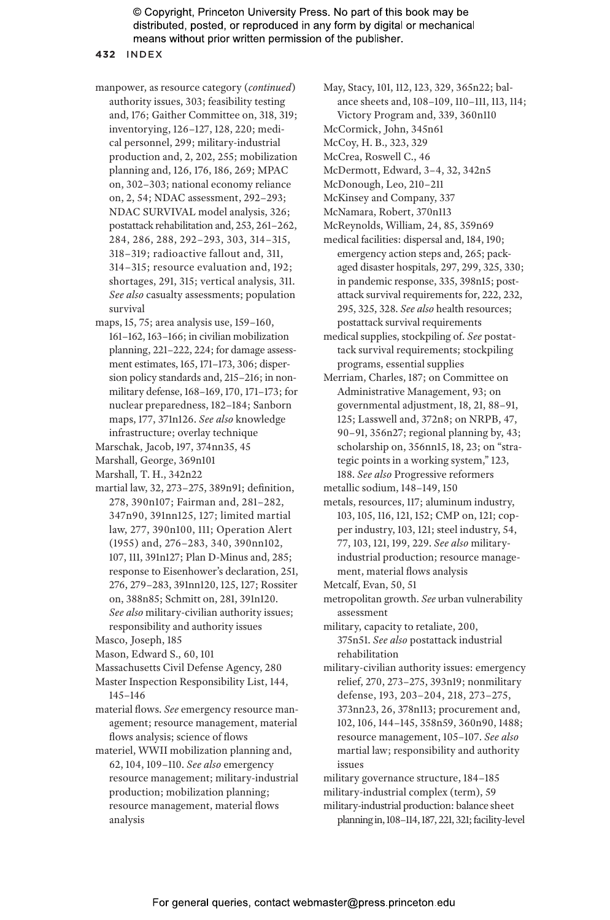#### **432** INDEX

- manpower, as resource category (*continued*) authority issues, 303; feasibility testing and, 176; Gaither Committee on, 318, 319; inventorying, 126–127, 128, 220; medical personnel, 299; military-industrial production and, 2, 202, 255; mobilization planning and, 126, 176, 186, 269; MPAC on, 302–303; national economy reliance on, 2, 54; NDAC assessment, 292–293; NDAC SURVIVAL model analysis, 326; postattack rehabilitation and, 253, 261–262, 284, 286, 288, 292–293, 303, 314–315, 318–319; radioactive fallout and, 311, 314–315; resource evaluation and, 192; shortages, 291, 315; vertical analysis, 311. *See also* casualty assessments; population survival
- maps, 15, 75; area analysis use, 159–160, 161–162, 163–166; in civilian mobilization planning, 221–222, 224; for damage assessment estimates, 165, 171–173, 306; dispersion policy standards and, 215–216; in nonmilitary defense, 168–169, 170, 171–173; for nuclear preparedness, 182–184; Sanborn maps, 177, 371n126. *See also* knowledge infrastructure; overlay technique
- Marschak, Jacob, 197, 374nn35, 45

Marshall, George, 369n101

- Marshall, T. H., 342n22
- martial law, 32, 273–275, 389n91; definition, 278, 390n107; Fairman and, 281–282, 347n90, 391nn125, 127; limited martial law, 277, 390n100, 111; Operation Alert (1955) and, 276–283, 340, 390nn102, 107, 111, 391n127; Plan D-Minus and, 285; response to Eisenhower's declaration, 251, 276, 279–283, 391nn120, 125, 127; Rossiter on, 388n85; Schmitt on, 281, 391n120. *See also* military-civilian authority issues; responsibility and authority issues
- Masco, Joseph, 185
- Mason, Edward S., 60, 101
- Massachusetts Civil Defense Agency, 280
- Master Inspection Responsibility List, 144, 145–146
- material flows. *See* emergency resource management; resource management, material flows analysis; science of flows
- materiel, WWII mobilization planning and, 62, 104, 109–110. *See also* emergency resource management; military-industrial production; mobilization planning; resource management, material flows analysis

May, Stacy, 101, 112, 123, 329, 365n22; balance sheets and, 108–109, 110–111, 113, 114;

- Victory Program and, 339, 360n110
- McCormick, John, 345n61
- McCoy, H. B., 323, 329

McCrea, Roswell C., 46

- McDermott, Edward, 3–4, 32, 342n5
- McDonough, Leo, 210–211
- McKinsey and Company, 337
- McNamara, Robert, 370n113
- McReynolds, William, 24, 85, 359n69
- medical facilities: dispersal and, 184, 190; emergency action steps and, 265; packaged disaster hospitals, 297, 299, 325, 330; in pandemic response, 335, 398n15; postattack survival requirements for, 222, 232, 295, 325, 328. *See also* health resources; postattack survival requirements
- medical supplies, stockpiling of. *See* postattack survival requirements; stockpiling programs, essential supplies
- Merriam, Charles, 187; on Committee on Administrative Management, 93; on governmental adjustment, 18, 21, 88–91, 125; Lasswell and, 372n8; on NRPB, 47, 90–91, 356n27; regional planning by, 43; scholarship on, 356nn15, 18, 23; on "strategic points in a working system," 123, 188. *See also* Progressive reformers
- metallic sodium, 148–149, 150
- metals, resources, 117; aluminum industry, 103, 105, 116, 121, 152; CMP on, 121; copper industry, 103, 121; steel industry, 54, 77, 103, 121, 199, 229. *See also* militaryindustrial production; resource management, material flows analysis
- Metcalf, Evan, 50, 51
- metropolitan growth. *See* urban vulnerability assessment
- military, capacity to retaliate, 200, 375n51. *See also* postattack industrial rehabilitation
- military-civilian authority issues: emergency relief, 270, 273–275, 393n19; nonmilitary defense, 193, 203–204, 218, 273–275, 373nn23, 26, 378n113; procurement and, 102, 106, 144–145, 358n59, 360n90, 1488; resource management, 105–107. *See also* martial law; responsibility and authority issues

military governance structure, 184–185 military-industrial complex (term), 59 military-industrial production: balance sheet

planning in, 108–114, 187, 221, 321; facility-level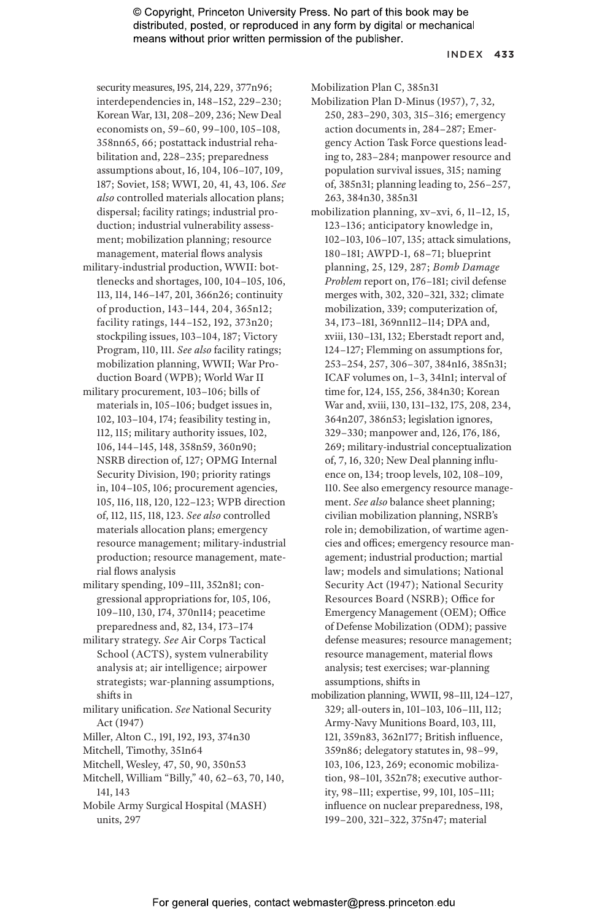#### INDEX **433**

security measures, 195, 214, 229, 377n96; interdependencies in, 148–152, 229–230; Korean War, 131, 208–209, 236; New Deal economists on, 59–60, 99–100, 105–108, 358nn65, 66; postattack industrial rehabilitation and, 228–235; preparedness assumptions about, 16, 104, 106–107, 109, 187; Soviet, 158; WWI, 20, 41, 43, 106. *See also* controlled materials allocation plans; dispersal; facility ratings; industrial production; industrial vulnerability assessment; mobilization planning; resource management, material flows analysis

- military-industrial production, WWII: bottlenecks and shortages, 100, 104–105, 106, 113, 114, 146–147, 201, 366n26; continuity of production, 143–144, 204, 365n12; facility ratings, 144–152, 192, 373n20; stockpiling issues, 103–104, 187; Victory Program, 110, 111. *See also* facility ratings; mobilization planning, WWII; War Production Board (WPB); World War II
- military procurement, 103–106; bills of materials in, 105–106; budget issues in, 102, 103–104, 174; feasibility testing in, 112, 115; military authority issues, 102, 106, 144–145, 148, 358n59, 360n90; NSRB direction of, 127; OPMG Internal Security Division, 190; priority ratings in, 104–105, 106; procurement agencies, 105, 116, 118, 120, 122–123; WPB direction of, 112, 115, 118, 123. *See also* controlled materials allocation plans; emergency resource management; military-industrial production; resource management, material flows analysis
- military spending, 109–111, 352n81; congressional appropriations for, 105, 106, 109–110, 130, 174, 370n114; peacetime preparedness and, 82, 134, 173–174
- military strategy. *See* Air Corps Tactical School (ACTS), system vulnerability analysis at; air intelligence; airpower strategists; war-planning assumptions, shifts in
- military unification. *See* National Security Act (1947)
- Miller, Alton C., 191, 192, 193, 374n30
- Mitchell, Timothy, 351n64
- Mitchell, Wesley, 47, 50, 90, 350n53
- Mitchell, William "Billy," 40, 62–63, 70, 140, 141, 143
- Mobile Army Surgical Hospital (MASH) units, 297

Mobilization Plan C, 385n31

- Mobilization Plan D-Minus (1957), 7, 32, 250, 283–290, 303, 315–316; emergency action documents in, 284–287; Emergency Action Task Force questions leading to, 283–284; manpower resource and population survival issues, 315; naming of, 385n31; planning leading to, 256–257, 263, 384n30, 385n31
- mobilization planning, xv–xvi, 6, 11–12, 15, 123–136; anticipatory knowledge in, 102–103, 106–107, 135; attack simulations, 180–181; AWPD-1, 68–71; blueprint planning, 25, 129, 287; *Bomb Damage Problem* report on, 176–181; civil defense merges with, 302, 320–321, 332; climate mobilization, 339; computerization of, 34, 173–181, 369nn112–114; DPA and, xviii, 130–131, 132; Eberstadt report and, 124–127; Flemming on assumptions for, 253–254, 257, 306–307, 384n16, 385n31; ICAF volumes on, 1–3, 341n1; interval of time for, 124, 155, 256, 384n30; Korean War and, xviii, 130, 131–132, 175, 208, 234, 364n207, 386n53; legislation ignores, 329–330; manpower and, 126, 176, 186, 269; military-industrial conceptualization of, 7, 16, 320; New Deal planning influence on, 134; troop levels, 102, 108–109, 110. See also emergency resource management. *See also* balance sheet planning; civilian mobilization planning, NSRB's role in; demobilization, of wartime agencies and offices; emergency resource management; industrial production; martial law; models and simulations; National Security Act (1947); National Security Resources Board (NSRB); Office for Emergency Management (OEM); Office of Defense Mobilization (ODM); passive defense measures; resource management; resource management, material flows analysis; test exercises; war-planning assumptions, shifts in
- mobilization planning, WWII, 98–111, 124–127, 329; all-outers in, 101–103, 106–111, 112; Army-Navy Munitions Board, 103, 111, 121, 359n83, 362n177; British influence, 359n86; delegatory statutes in, 98–99, 103, 106, 123, 269; economic mobilization, 98–101, 352n78; executive authority, 98–111; expertise, 99, 101, 105–111; influence on nuclear preparedness, 198, 199–200, 321–322, 375n47; material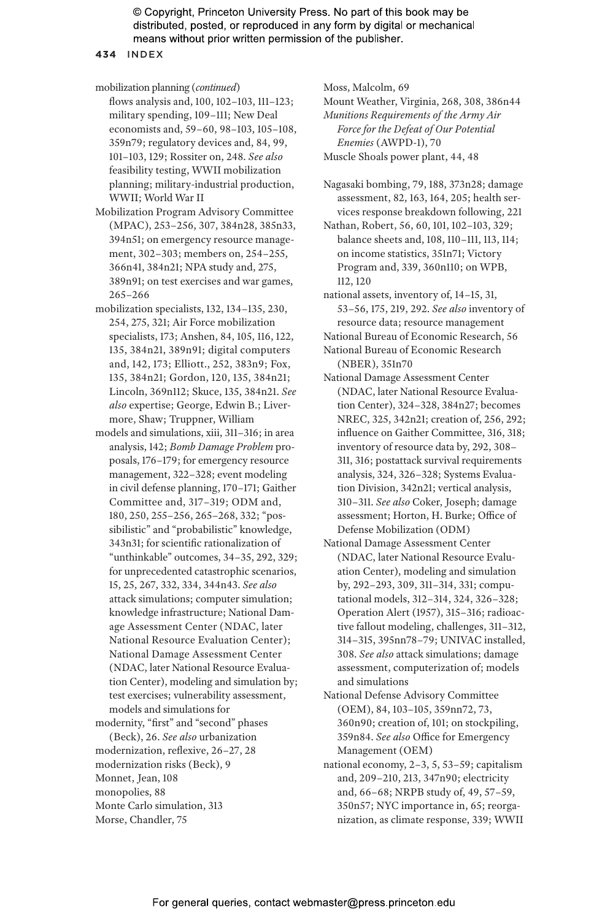**434** INDEX

mobilization planning (*continued*) flows analysis and, 100, 102–103, 111–123; military spending, 109–111; New Deal economists and, 59–60, 98–103, 105–108, 359n79; regulatory devices and, 84, 99, 101–103, 129; Rossiter on, 248. *See also* feasibility testing, WWII mobilization planning; military-industrial production, WWII; World War II

- Mobilization Program Advisory Committee (MPAC), 253–256, 307, 384n28, 385n33, 394n51; on emergency resource management, 302–303; members on, 254–255, 366n41, 384n21; NPA study and, 275, 389n91; on test exercises and war games, 265–266
- mobilization specialists, 132, 134–135, 230, 254, 275, 321; Air Force mobilization specialists, 173; Anshen, 84, 105, 116, 122, 135, 384n21, 389n91; digital computers and, 142, 173; Elliott., 252, 383n9; Fox, 135, 384n21; Gordon, 120, 135, 384n21; Lincoln, 369n112; Skuce, 135, 384n21. *See also* expertise; George, Edwin B.; Livermore, Shaw; Truppner, William
- models and simulations, xiii, 311–316; in area analysis, 142; *Bomb Damage Problem* proposals, 176–179; for emergency resource management, 322–328; event modeling in civil defense planning, 170–171; Gaither Committee and, 317–319; ODM and, 180, 250, 255–256, 265–268, 332; "possibilistic" and "probabilistic" knowledge, 343n31; for scientific rationalization of "unthinkable" outcomes, 34–35, 292, 329; for unprecedented catastrophic scenarios, 15, 25, 267, 332, 334, 344n43. *See also* attack simulations; computer simulation; knowledge infrastructure; National Damage Assessment Center (NDAC, later National Resource Evaluation Center); National Damage Assessment Center (NDAC, later National Resource Evaluation Center), modeling and simulation by; test exercises; vulnerability assessment, models and simulations for

modernity, "first" and "second" phases

(Beck), 26. *See also* urbanization modernization, reflexive, 26–27, 28 modernization risks (Beck), 9 Monnet, Jean, 108 monopolies, 88 Monte Carlo simulation, 313 Morse, Chandler, 75

Moss, Malcolm, 69

Mount Weather, Virginia, 268, 308, 386n44 *Munitions Requirements of the Army Air Force for the Defeat of Our Potential* 

*Enemies* (AWPD-1), 70 Muscle Shoals power plant, 44, 48

Nagasaki bombing, 79, 188, 373n28; damage assessment, 82, 163, 164, 205; health services response breakdown following, 221

Nathan, Robert, 56, 60, 101, 102–103, 329; balance sheets and, 108, 110–111, 113, 114; on income statistics, 351n71; Victory Program and, 339, 360n110; on WPB, 112, 120

national assets, inventory of, 14–15, 31, 53–56, 175, 219, 292. *See also* inventory of resource data; resource management

- National Bureau of Economic Research, 56
- National Bureau of Economic Research (NBER), 351n70
- National Damage Assessment Center (NDAC, later National Resource Evaluation Center), 324–328, 384n27; becomes NREC, 325, 342n21; creation of, 256, 292; influence on Gaither Committee, 316, 318; inventory of resource data by, 292, 308– 311, 316; postattack survival requirements analysis, 324, 326–328; Systems Evaluation Division, 342n21; vertical analysis, 310–311. *See also* Coker, Joseph; damage assessment; Horton, H. Burke; Office of Defense Mobilization (ODM)
- National Damage Assessment Center (NDAC, later National Resource Evaluation Center), modeling and simulation by, 292–293, 309, 311–314, 331; computational models, 312–314, 324, 326–328; Operation Alert (1957), 315–316; radioactive fallout modeling, challenges, 311–312, 314–315, 395nn78–79; UNIVAC installed, 308. *See also* attack simulations; damage assessment, computerization of; models and simulations
- National Defense Advisory Committee (OEM), 84, 103–105, 359nn72, 73, 360n90; creation of, 101; on stockpiling, 359n84. *See also* Office for Emergency Management (OEM)
- national economy, 2–3, 5, 53–59; capitalism and, 209–210, 213, 347n90; electricity and, 66–68; NRPB study of, 49, 57–59, 350n57; NYC importance in, 65; reorganization, as climate response, 339; WWII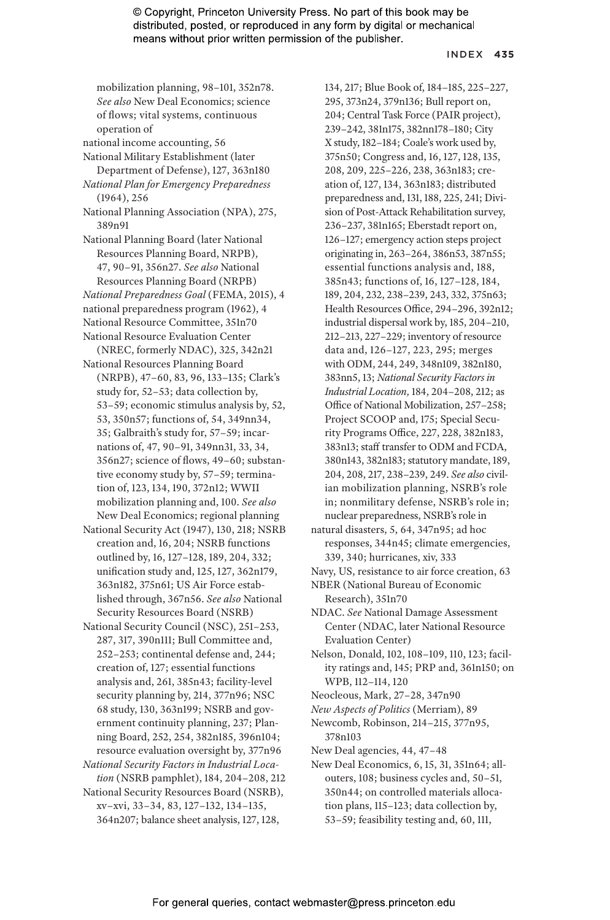#### INDEX **435**

mobilization planning, 98–101, 352n78. *See also* New Deal Economics; science of flows; vital systems, continuous operation of

national income accounting, 56

National Military Establishment (later Department of Defense), 127, 363n180 *National Plan for Emergency Preparedness*

- (1964), 256
- National Planning Association (NPA), 275, 389n91
- National Planning Board (later National Resources Planning Board, NRPB), 47, 90–91, 356n27. *See also* National Resources Planning Board (NRPB)
- *National Preparedness Goal* (FEMA, 2015), 4 national preparedness program (1962), 4
- National Resource Committee, 351n70

National Resource Evaluation Center

(NREC, formerly NDAC), 325, 342n21 National Resources Planning Board

(NRPB), 47–60, 83, 96, 133–135; Clark's study for, 52–53; data collection by, 53–59; economic stimulus analysis by, 52, 53, 350n57; functions of, 54, 349nn34, 35; Galbraith's study for, 57–59; incarnations of, 47, 90–91, 349nn31, 33, 34, 356n27; science of flows, 49–60; substantive economy study by, 57–59; termination of, 123, 134, 190, 372n12; WWII mobilization planning and, 100. *See also* New Deal Economics; regional planning

- National Security Act (1947), 130, 218; NSRB creation and, 16, 204; NSRB functions outlined by, 16, 127–128, 189, 204, 332; unification study and, 125, 127, 362n179, 363n182, 375n61; US Air Force established through, 367n56. *See also* National Security Resources Board (NSRB)
- National Security Council (NSC), 251–253, 287, 317, 390n111; Bull Committee and, 252–253; continental defense and, 244; creation of, 127; essential functions analysis and, 261, 385n43; facility-level security planning by, 214, 377n96; NSC 68 study, 130, 363n199; NSRB and government continuity planning, 237; Planning Board, 252, 254, 382n185, 396n104; resource evaluation oversight by, 377n96
- *National Security Factors in Industrial Location* (NSRB pamphlet), 184, 204–208, 212
- National Security Resources Board (NSRB), xv–xvi, 33–34, 83, 127–132, 134–135, 364n207; balance sheet analysis, 127, 128,

134, 217; Blue Book of, 184–185, 225–227, 295, 373n24, 379n136; Bull report on, 204; Central Task Force (PAIR project), 239–242, 381n175, 382nn178–180; City X study, 182–184; Coale's work used by, 375n50; Congress and, 16, 127, 128, 135, 208, 209, 225–226, 238, 363n183; creation of, 127, 134, 363n183; distributed preparedness and, 131, 188, 225, 241; Division of Post-Attack Rehabilitation survey, 236–237, 381n165; Eberstadt report on, 126–127; emergency action steps project originating in, 263–264, 386n53, 387n55; essential functions analysis and, 188, 385n43; functions of, 16, 127–128, 184, 189, 204, 232, 238–239, 243, 332, 375n63; Health Resources Office, 294–296, 392n12; industrial dispersal work by, 185, 204–210, 212–213, 227–229; inventory of resource data and, 126–127, 223, 295; merges with ODM, 244, 249, 348n109, 382n180, 383nn5, 13; *National Security Factors in Industrial Location,* 184, 204–208, 212; as Office of National Mobilization, 257–258; Project SCOOP and, 175; Special Security Programs Office, 227, 228, 382n183, 383n13; staff transfer to ODM and FCDA, 380n143, 382n183; statutory mandate, 189, 204, 208, 217, 238–239, 249. *See also* civilian mobilization planning, NSRB's role in; nonmilitary defense, NSRB's role in; nuclear preparedness, NSRB's role in

natural disasters, 5, 64, 347n95; ad hoc responses, 344n45; climate emergencies, 339, 340; hurricanes, xiv, 333

Navy, US, resistance to air force creation, 63 NBER (National Bureau of Economic

- Research), 351n70 NDAC. *See* National Damage Assessment
- Center (NDAC, later National Resource Evaluation Center)
- Nelson, Donald, 102, 108–109, 110, 123; facility ratings and, 145; PRP and, 361n150; on WPB, 112–114, 120
- Neocleous, Mark, 27–28, 347n90
- *New Aspects of Politics* (Merriam), 89
- Newcomb, Robinson, 214–215, 377n95, 378n103
- New Deal agencies, 44, 47–48
- New Deal Economics, 6, 15, 31, 351n64; allouters, 108; business cycles and, 50–51, 350n44; on controlled materials allocation plans, 115–123; data collection by, 53–59; feasibility testing and, 60, 111,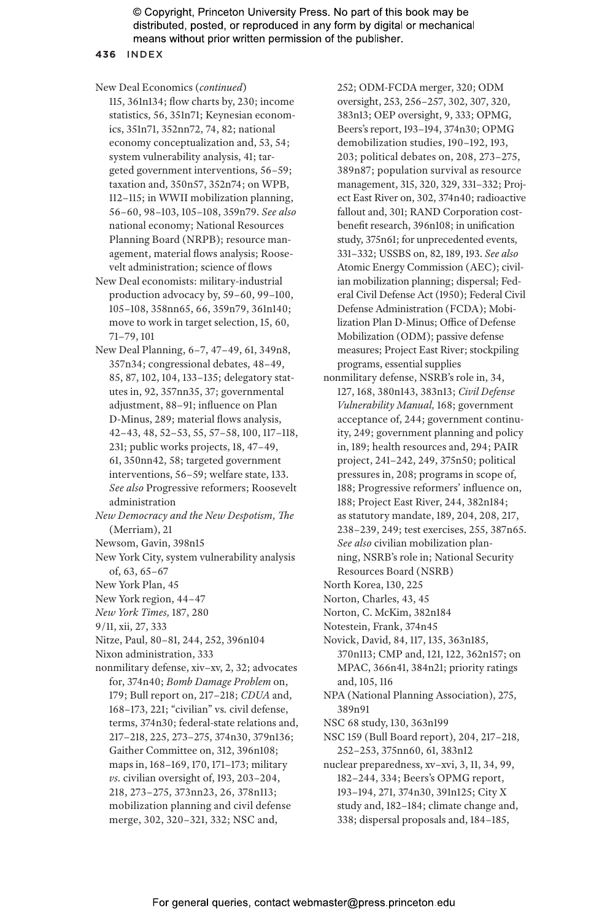#### **436** INDEX

New Deal Economics (*continued*)

115, 361n134; flow charts by, 230; income statistics, 56, 351n71; Keynesian economics, 351n71, 352nn72, 74, 82; national economy conceptualization and, 53, 54; system vulnerability analysis, 41; targeted government interventions, 56–59; taxation and, 350n57, 352n74; on WPB, 112–115; in WWII mobilization planning, 56–60, 98–103, 105–108, 359n79. *See also* national economy; National Resources Planning Board (NRPB); resource management, material flows analysis; Roosevelt administration; science of flows

New Deal economists: military-industrial production advocacy by, 59–60, 99–100, 105–108, 358nn65, 66, 359n79, 361n140; move to work in target selection, 15, 60, 71–79, 101

New Deal Planning, 6–7, 47–49, 61, 349n8, 357n34; congressional debates, 48–49, 85, 87, 102, 104, 133–135; delegatory statutes in, 92, 357nn35, 37; governmental adjustment, 88–91; influence on Plan D-Minus, 289; material flows analysis, 42–43, 48, 52–53, 55, 57–58, 100, 117–118, 231; public works projects, 18, 47–49, 61, 350nn42, 58; targeted government interventions, 56–59; welfare state, 133. *See also* Progressive reformers; Roosevelt administration

*New Democracy and the New Despotism, The* (Merriam), 21

Newsom, Gavin, 398n15

New York City, system vulnerability analysis of, 63, 65–67

New York Plan, 45

New York region, 44–47

*New York Times,* 187, 280

9/11, xii, 27, 333

Nitze, Paul, 80–81, 244, 252, 396n104

Nixon administration, 333

nonmilitary defense, xiv–xv, 2, 32; advocates for, 374n40; *Bomb Damage Problem* on, 179; Bull report on, 217–218; *CDUA* and, 168–173, 221; "civilian" vs*.* civil defense, terms, 374n30; federal-state relations and, 217–218, 225, 273–275, 374n30, 379n136; Gaither Committee on, 312, 396n108; maps in, 168–169, 170, 171–173; military *vs.* civilian oversight of, 193, 203–204, 218, 273–275, 373nn23, 26, 378n113; mobilization planning and civil defense merge, 302, 320–321, 332; NSC and,

252; ODM-FCDA merger, 320; ODM oversight, 253, 256–257, 302, 307, 320, 383n13; OEP oversight, 9, 333; OPMG, Beers's report, 193–194, 374n30; OPMG demobilization studies, 190–192, 193, 203; political debates on, 208, 273–275, 389n87; population survival as resource management, 315, 320, 329, 331–332; Project East River on, 302, 374n40; radioactive fallout and, 301; RAND Corporation costbenefit research, 396n108; in unification study, 375n61; for unprecedented events, 331–332; USSBS on, 82, 189, 193. *See also* Atomic Energy Commission (AEC); civilian mobilization planning; dispersal; Federal Civil Defense Act (1950); Federal Civil Defense Administration (FCDA); Mobilization Plan D-Minus; Office of Defense Mobilization (ODM); passive defense measures; Project East River; stockpiling programs, essential supplies

nonmilitary defense, NSRB's role in, 34, 127, 168, 380n143, 383n13; *Civil Defense Vulnerability Manual,* 168; government acceptance of, 244; government continuity, 249; government planning and policy in, 189; health resources and, 294; PAIR project, 241–242, 249, 375n50; political pressures in, 208; programs in scope of, 188; Progressive reformers' influence on, 188; Project East River, 244, 382n184; as statutory mandate, 189, 204, 208, 217, 238–239, 249; test exercises, 255, 387n65. *See also* civilian mobilization planning, NSRB's role in; National Security Resources Board (NSRB)

North Korea, 130, 225

Norton, Charles, 43, 45

Norton, C. McKim, 382n184

Notestein, Frank, 374n45

Novick, David, 84, 117, 135, 363n185, 370n113; CMP and, 121, 122, 362n157; on MPAC, 366n41, 384n21; priority ratings and, 105, 116

NPA (National Planning Association), 275, 389n91

NSC 68 study, 130, 363n199

NSC 159 (Bull Board report), 204, 217–218, 252–253, 375nn60, 61, 383n12

nuclear preparedness, xv–xvi, 3, 11, 34, 99, 182–244, 334; Beers's OPMG report, 193–194, 271, 374n30, 391n125; City X study and, 182–184; climate change and, 338; dispersal proposals and, 184–185,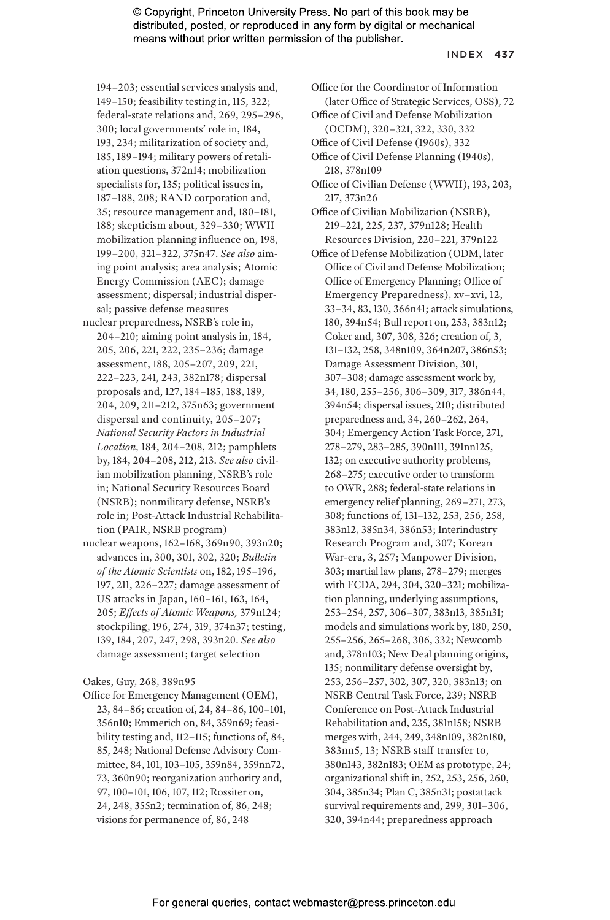#### INDEX **437**

194–203; essential services analysis and, 149–150; feasibility testing in, 115, 322; federal-state relations and, 269, 295–296, 300; local governments' role in, 184, 193, 234; militarization of society and, 185, 189–194; military powers of retaliation questions, 372n14; mobilization specialists for, 135; political issues in, 187–188, 208; RAND corporation and, 35; resource management and, 180–181, 188; skepticism about, 329–330; WWII mobilization planning influence on, 198, 199–200, 321–322, 375n47. *See also* aiming point analysis; area analysis; Atomic Energy Commission (AEC); damage assessment; dispersal; industrial dispersal; passive defense measures

- nuclear preparedness, NSRB's role in, 204–210; aiming point analysis in, 184, 205, 206, 221, 222, 235–236; damage assessment, 188, 205–207, 209, 221, 222–223, 241, 243, 382n178; dispersal proposals and, 127, 184–185, 188, 189, 204, 209, 211–212, 375n63; government dispersal and continuity, 205–207; *National Security Factors in Industrial Location,* 184, 204–208, 212; pamphlets by, 184, 204–208, 212, 213. *See also* civilian mobilization planning, NSRB's role in; National Security Resources Board (NSRB); nonmilitary defense, NSRB's role in; Post-Attack Industrial Rehabilitation (PAIR, NSRB program)
- nuclear weapons, 162–168, 369n90, 393n20; advances in, 300, 301, 302, 320; *Bulletin of the Atomic Scientists* on, 182, 195–196, 197, 211, 226–227; damage assessment of US attacks in Japan, 160–161, 163, 164, 205; *Effects of Atomic Weapons,* 379n124; stockpiling, 196, 274, 319, 374n37; testing, 139, 184, 207, 247, 298, 393n20. *See also* damage assessment; target selection

Oakes, Guy, 268, 389n95

Office for Emergency Management (OEM), 23, 84–86; creation of, 24, 84–86, 100–101, 356n10; Emmerich on, 84, 359n69; feasibility testing and, 112–115; functions of, 84, 85, 248; National Defense Advisory Committee, 84, 101, 103–105, 359n84, 359nn72, 73, 360n90; reorganization authority and, 97, 100–101, 106, 107, 112; Rossiter on, 24, 248, 355n2; termination of, 86, 248; visions for permanence of, 86, 248

Office for the Coordinator of Information (later Office of Strategic Services, OSS), 72

- Office of Civil and Defense Mobilization (OCDM), 320–321, 322, 330, 332
- Office of Civil Defense (1960s), 332
- Office of Civil Defense Planning (1940s), 218, 378n109
- Office of Civilian Defense (WWII), 193, 203, 217, 373n26
- Office of Civilian Mobilization (NSRB), 219–221, 225, 237, 379n128; Health Resources Division, 220–221, 379n122
- Office of Defense Mobilization (ODM, later Office of Civil and Defense Mobilization; Office of Emergency Planning; Office of Emergency Preparedness), xv–xvi, 12, 33–34, 83, 130, 366n41; attack simulations, 180, 394n54; Bull report on, 253, 383n12; Coker and, 307, 308, 326; creation of, 3, 131–132, 258, 348n109, 364n207, 386n53; Damage Assessment Division, 301, 307–308; damage assessment work by, 34, 180, 255–256, 306–309, 317, 386n44, 394n54; dispersal issues, 210; distributed preparedness and, 34, 260–262, 264, 304; Emergency Action Task Force, 271, 278–279, 283–285, 390n111, 391nn125, 132; on executive authority problems, 268–275; executive order to transform to OWR, 288; federal-state relations in emergency relief planning, 269–271, 273, 308; functions of, 131–132, 253, 256, 258, 383n12, 385n34, 386n53; Interindustry Research Program and, 307; Korean War-era, 3, 257; Manpower Division, 303; martial law plans, 278–279; merges with FCDA, 294, 304, 320–321; mobilization planning, underlying assumptions, 253–254, 257, 306–307, 383n13, 385n31; models and simulations work by, 180, 250, 255–256, 265–268, 306, 332; Newcomb and, 378n103; New Deal planning origins, 135; nonmilitary defense oversight by, 253, 256–257, 302, 307, 320, 383n13; on NSRB Central Task Force, 239; NSRB Conference on Post-Attack Industrial Rehabilitation and, 235, 381n158; NSRB merges with, 244, 249, 348n109, 382n180, 383nn5, 13; NSRB staff transfer to, 380n143, 382n183; OEM as prototype, 24; organizational shift in, 252, 253, 256, 260, 304, 385n34; Plan C, 385n31; postattack survival requirements and, 299, 301–306, 320, 394n44; preparedness approach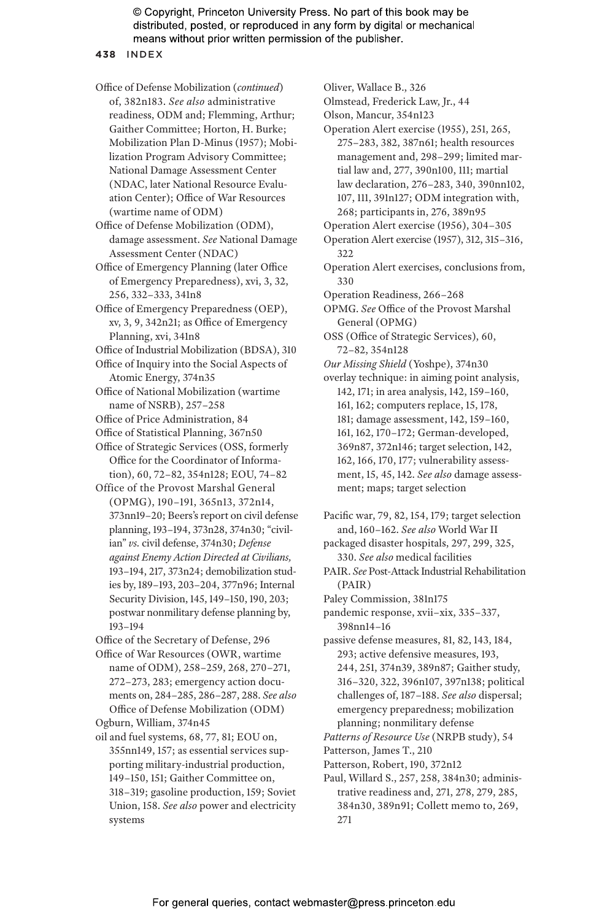**438** INDEX

Office of Defense Mobilization (*continued*) of, 382n183. *See also* administrative readiness, ODM and; Flemming, Arthur; Gaither Committee; Horton, H. Burke; Mobilization Plan D-Minus (1957); Mobilization Program Advisory Committee; National Damage Assessment Center (NDAC, later National Resource Evaluation Center); Office of War Resources (wartime name of ODM)

Office of Defense Mobilization (ODM), damage assessment. *See* National Damage Assessment Center (NDAC)

Office of Emergency Planning (later Office of Emergency Preparedness), xvi, 3, 32, 256, 332–333, 341n8

Office of Emergency Preparedness (OEP), xv, 3, 9, 342n21; as Office of Emergency Planning, xvi, 341n8

Office of Industrial Mobilization (BDSA), 310

Office of Inquiry into the Social Aspects of Atomic Energy, 374n35

Office of National Mobilization (wartime name of NSRB), 257–258

- Office of Price Administration, 84
- Office of Statistical Planning, 367n50

Office of Strategic Services (OSS, formerly Office for the Coordinator of Information), 60, 72–82, 354n128; EOU, 74–82

Office of the Provost Marshal General (OPMG), 190–191, 365n13, 372n14, 373nn19–20; Beers's report on civil defense planning, 193–194, 373n28, 374n30; "civilian" *vs.* civil defense, 374n30; *Defense against Enemy Action Directed at Civilians,* 193–194, 217, 373n24; demobilization studies by, 189–193, 203–204, 377n96; Internal Security Division, 145, 149–150, 190, 203; postwar nonmilitary defense planning by, 193–194

Office of the Secretary of Defense, 296

Office of War Resources (OWR, wartime name of ODM), 258–259, 268, 270–271, 272–273, 283; emergency action documents on, 284–285, 286–287, 288. *See also* Office of Defense Mobilization (ODM) Ogburn, William, 374n45

oil and fuel systems, 68, 77, 81; EOU on, 355nn149, 157; as essential services supporting military-industrial production, 149–150, 151; Gaither Committee on, 318–319; gasoline production, 159; Soviet Union, 158. *See also* power and electricity systems

Oliver, Wallace B., 326 Olmstead, Frederick Law, Jr., 44 Olson, Mancur, 354n123 Operation Alert exercise (1955), 251, 265, 275–283, 382, 387n61; health resources management and, 298–299; limited martial law and, 277, 390n100, 111; martial law declaration, 276–283, 340, 390nn102, 107, 111, 391n127; ODM integration with, 268; participants in, 276, 389n95 Operation Alert exercise (1956), 304–305 Operation Alert exercise (1957), 312, 315–316, 322 Operation Alert exercises, conclusions from, 330 Operation Readiness, 266–268 OPMG. *See* Office of the Provost Marshal General (OPMG) OSS (Office of Strategic Services), 60, 72–82, 354n128 *Our Missing Shield* (Yoshpe), 374n30 overlay technique: in aiming point analysis, 142, 171; in area analysis, 142, 159–160, 161, 162; computers replace, 15, 178, 181; damage assessment, 142, 159–160, 161, 162, 170–172; German-developed, 369n87, 372n146; target selection, 142, 162, 166, 170, 177; vulnerability assessment, 15, 45, 142. *See also* damage assessment; maps; target selection

Pacific war, 79, 82, 154, 179; target selection and, 160–162. *See also* World War II

packaged disaster hospitals, 297, 299, 325, 330. *See also* medical facilities

PAIR. *See* Post-Attack Industrial Rehabilitation (PAIR)

Paley Commission, 381n175

pandemic response, xvii–xix, 335–337, 398nn14–16

passive defense measures, 81, 82, 143, 184, 293; active defensive measures, 193, 244, 251, 374n39, 389n87; Gaither study, 316–320, 322, 396n107, 397n138; political challenges of, 187–188. *See also* dispersal; emergency preparedness; mobilization planning; nonmilitary defense

*Patterns of Resource Use* (NRPB study), 54

- Patterson, James T., 210
- Patterson, Robert, 190, 372n12
- Paul, Willard S., 257, 258, 384n30; administrative readiness and, 271, 278, 279, 285, 384n30, 389n91; Collett memo to, 269, 271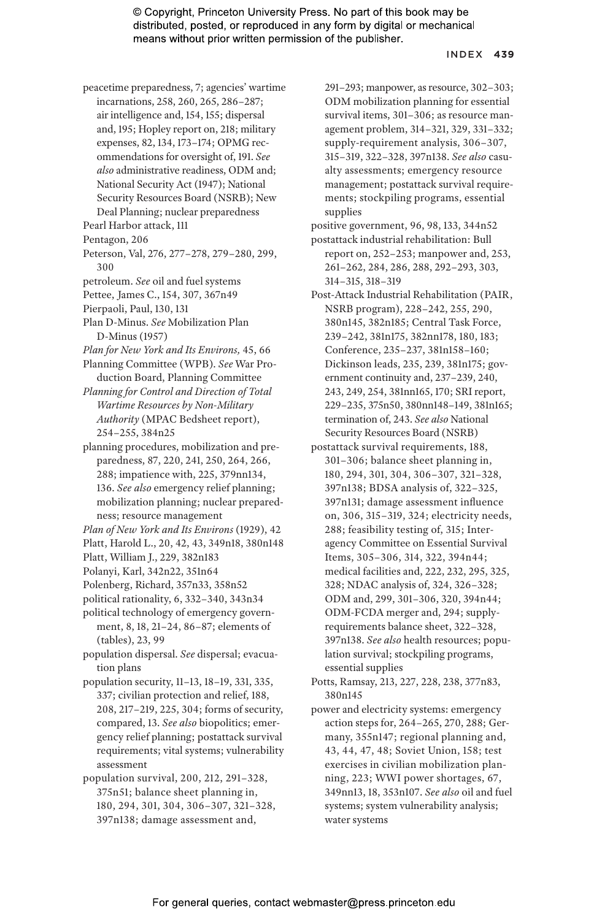#### INDEX **439**

- peacetime preparedness, 7; agencies' wartime incarnations, 258, 260, 265, 286–287; air intelligence and, 154, 155; dispersal and, 195; Hopley report on, 218; military expenses, 82, 134, 173–174; OPMG recommendations for oversight of, 191. *See also* administrative readiness, ODM and; National Security Act (1947); National Security Resources Board (NSRB); New Deal Planning; nuclear preparedness
- Pearl Harbor attack, 111
- Pentagon, 206
- Peterson, Val, 276, 277–278, 279–280, 299, 300
- petroleum. *See* oil and fuel systems
- Pettee, James C., 154, 307, 367n49
- Pierpaoli, Paul, 130, 131
- Plan D-Minus. *See* Mobilization Plan D-Minus (1957)
- *Plan for New York and Its Environs,* 45, 66
- Planning Committee (WPB). *See* War Production Board, Planning Committee
- *Planning for Control and Direction of Total Wartime Resources by Non-Military Authority* (MPAC Bedsheet report), 254–255, 384n25
- planning procedures, mobilization and preparedness, 87, 220, 241, 250, 264, 266, 288; impatience with, 225, 379nn134, 136. *See also* emergency relief planning; mobilization planning; nuclear preparedness; resource management
- *Plan of New York and Its Environs* (1929), 42
- Platt, Harold L., 20, 42, 43, 349n18, 380n148
- Platt, William J., 229, 382n183
- Polanyi, Karl, 342n22, 351n64
- Polenberg, Richard, 357n33, 358n52
- political rationality, 6, 332–340, 343n34
- political technology of emergency government, 8, 18, 21–24, 86–87; elements of (tables), 23, 99
- population dispersal. *See* dispersal; evacuation plans
- population security, 11–13, 18–19, 331, 335, 337; civilian protection and relief, 188, 208, 217–219, 225, 304; forms of security, compared, 13. *See also* biopolitics; emergency relief planning; postattack survival requirements; vital systems; vulnerability assessment
- population survival, 200, 212, 291–328, 375n51; balance sheet planning in, 180, 294, 301, 304, 306–307, 321–328, 397n138; damage assessment and,

291–293; manpower, as resource, 302–303; ODM mobilization planning for essential survival items, 301–306; as resource management problem, 314–321, 329, 331–332; supply-requirement analysis, 306–307, 315–319, 322–328, 397n138. *See also* casualty assessments; emergency resource management; postattack survival requirements; stockpiling programs, essential supplies

- positive government, 96, 98, 133, 344n52 postattack industrial rehabilitation: Bull report on, 252–253; manpower and, 253, 261–262, 284, 286, 288, 292–293, 303, 314–315, 318–319
- Post-Attack Industrial Rehabilitation (PAIR, NSRB program), 228–242, 255, 290, 380n145, 382n185; Central Task Force, 239–242, 381n175, 382nn178, 180, 183; Conference, 235–237, 381n158–160; Dickinson leads, 235, 239, 381n175; government continuity and, 237–239, 240, 243, 249, 254, 381nn165, 170; SRI report, 229–235, 375n50, 380nn148–149, 381n165; termination of, 243. *See also* National Security Resources Board (NSRB)
- postattack survival requirements, 188, 301–306; balance sheet planning in, 180, 294, 301, 304, 306–307, 321–328, 397n138; BDSA analysis of, 322–325, 397n131; damage assessment influence on, 306, 315–319, 324; electricity needs, 288; feasibility testing of, 315; Interagency Committee on Essential Survival Items, 305–306, 314, 322, 394n44; medical facilities and, 222, 232, 295, 325, 328; NDAC analysis of, 324, 326–328; ODM and, 299, 301–306, 320, 394n44; ODM-FCDA merger and, 294; supplyrequirements balance sheet, 322–328, 397n138. *See also* health resources; population survival; stockpiling programs, essential supplies
- Potts, Ramsay, 213, 227, 228, 238, 377n83, 380n145
- power and electricity systems: emergency action steps for, 264–265, 270, 288; Germany, 355n147; regional planning and, 43, 44, 47, 48; Soviet Union, 158; test exercises in civilian mobilization planning, 223; WWI power shortages, 67, 349nn13, 18, 353n107. *See also* oil and fuel systems; system vulnerability analysis; water systems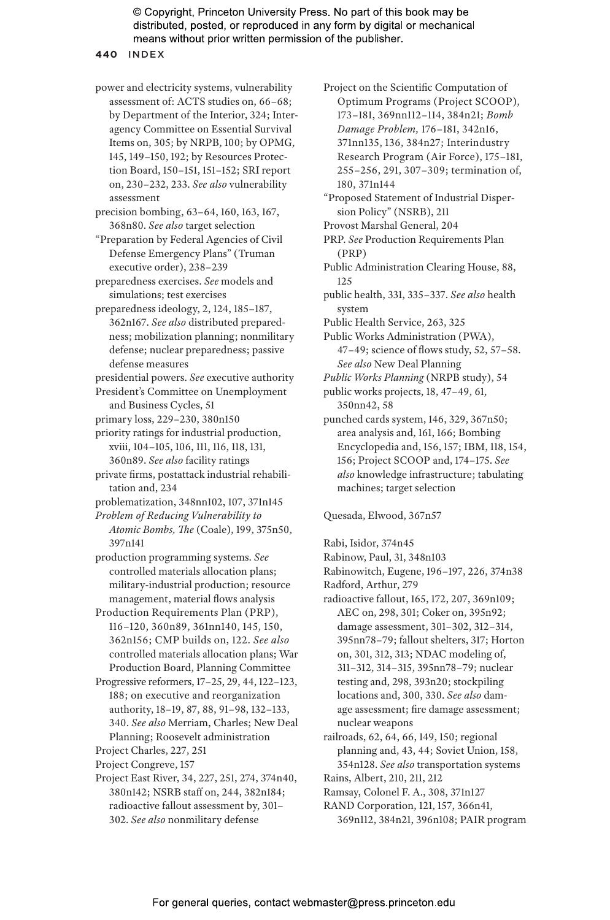**440** INDEX

power and electricity systems, vulnerability assessment of: ACTS studies on, 66–68; by Department of the Interior, 324; Interagency Committee on Essential Survival Items on, 305; by NRPB, 100; by OPMG, 145, 149–150, 192; by Resources Protection Board, 150–151, 151–152; SRI report on, 230–232, 233. *See also* vulnerability assessment

precision bombing, 63–64, 160, 163, 167, 368n80. *See also* target selection

"Preparation by Federal Agencies of Civil Defense Emergency Plans" (Truman executive order), 238–239

preparedness exercises. *See* models and simulations; test exercises

preparedness ideology, 2, 124, 185–187, 362n167. *See also* distributed preparedness; mobilization planning; nonmilitary defense; nuclear preparedness; passive defense measures

presidential powers. *See* executive authority

President's Committee on Unemployment and Business Cycles, 51

primary loss, 229–230, 380n150

priority ratings for industrial production, xviii, 104–105, 106, 111, 116, 118, 131, 360n89. *See also* facility ratings

private firms, postattack industrial rehabilitation and, 234

problematization, 348nn102, 107, 371n145

*Problem of Reducing Vulnerability to Atomic Bombs, The* (Coale), 199, 375n50, 397n141

production programming systems. *See* controlled materials allocation plans; military-industrial production; resource management, material flows analysis

Production Requirements Plan (PRP), 116–120, 360n89, 361nn140, 145, 150, 362n156; CMP builds on, 122. *See also* controlled materials allocation plans; War Production Board, Planning Committee

Progressive reformers, 17–25, 29, 44, 122–123, 188; on executive and reorganization authority, 18–19, 87, 88, 91–98, 132–133, 340. *See also* Merriam, Charles; New Deal Planning; Roosevelt administration

Project Charles, 227, 251

Project Congreve, 157

Project East River, 34, 227, 251, 274, 374n40, 380n142; NSRB staff on, 244, 382n184; radioactive fallout assessment by, 301– 302. *See also* nonmilitary defense

Project on the Scientific Computation of Optimum Programs (Project SCOOP), 173–181, 369nn112–114, 384n21; *Bomb Damage Problem,* 176–181, 342n16, 371nn135, 136, 384n27; Interindustry Research Program (Air Force), 175–181, 255–256, 291, 307–309; termination of, 180, 371n144

"Proposed Statement of Industrial Dispersion Policy" (NSRB), 211

Provost Marshal General, 204

PRP. *See* Production Requirements Plan (PRP)

Public Administration Clearing House, 88, 125

public health, 331, 335–337. *See also* health system

Public Health Service, 263, 325

Public Works Administration (PWA), 47–49; science of flows study, 52, 57–58. *See also* New Deal Planning

*Public Works Planning* (NRPB study), 54

public works projects, 18, 47–49, 61,

350nn42, 58

punched cards system, 146, 329, 367n50; area analysis and, 161, 166; Bombing Encyclopedia and, 156, 157; IBM, 118, 154, 156; Project SCOOP and, 174–175. *See also* knowledge infrastructure; tabulating machines; target selection

Quesada, Elwood, 367n57

Rabi, Isidor, 374n45

Rabinow, Paul, 31, 348n103

Rabinowitch, Eugene, 196–197, 226, 374n38 Radford, Arthur, 279

radioactive fallout, 165, 172, 207, 369n109; AEC on, 298, 301; Coker on, 395n92; damage assessment, 301–302, 312–314, 395nn78–79; fallout shelters, 317; Horton on, 301, 312, 313; NDAC modeling of, 311–312, 314–315, 395nn78–79; nuclear testing and, 298, 393n20; stockpiling locations and, 300, 330. *See also* damage assessment; fire damage assessment; nuclear weapons

- railroads, 62, 64, 66, 149, 150; regional planning and, 43, 44; Soviet Union, 158, 354n128. *See also* transportation systems Rains, Albert, 210, 211, 212
- Ramsay, Colonel F. A., 308, 371n127

RAND Corporation, 121, 157, 366n41, 369n112, 384n21, 396n108; PAIR program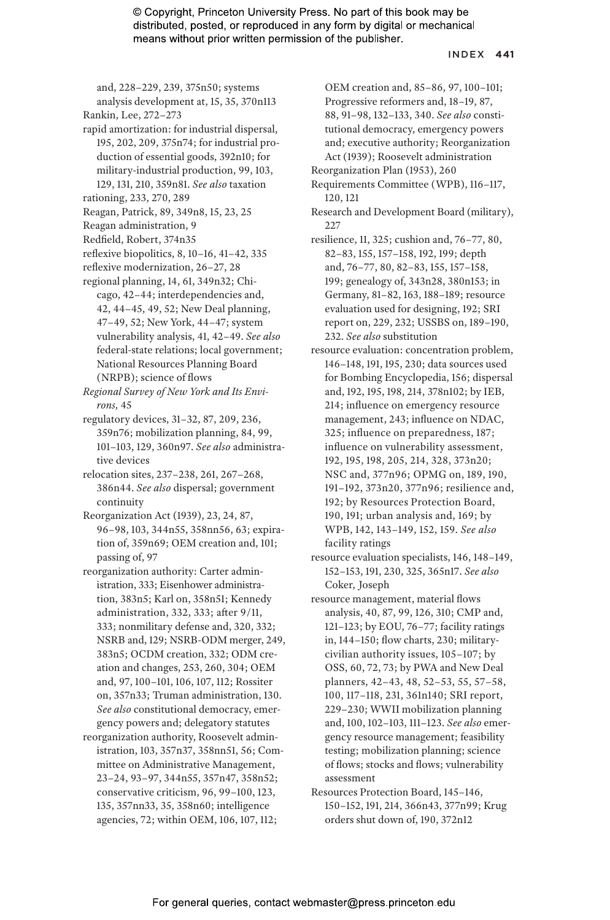#### INDEX **441**

and, 228–229, 239, 375n50; systems analysis development at, 15, 35, 370n113

- Rankin, Lee, 272–273
- rapid amortization: for industrial dispersal, 195, 202, 209, 375n74; for industrial production of essential goods, 392n10; for military-industrial production, 99, 103, 129, 131, 210, 359n81. *See also* taxation
- rationing, 233, 270, 289
- Reagan, Patrick, 89, 349n8, 15, 23, 25
- Reagan administration, 9
- Redfield, Robert, 374n35
- reflexive biopolitics, 8, 10–16, 41–42, 335
- reflexive modernization, 26–27, 28
- regional planning, 14, 61, 349n32; Chicago, 42–44; interdependencies and, 42, 44–45, 49, 52; New Deal planning, 47–49, 52; New York, 44–47; system vulnerability analysis, 41, 42–49. *See also* federal-state relations; local government; National Resources Planning Board (NRPB); science of flows
- *Regional Survey of New York and Its Environs,* 45
- regulatory devices, 31–32, 87, 209, 236, 359n76; mobilization planning, 84, 99, 101–103, 129, 360n97. *See also* administrative devices
- relocation sites, 237–238, 261, 267–268, 386n44. *See also* dispersal; government continuity
- Reorganization Act (1939), 23, 24, 87, 96–98, 103, 344n55, 358nn56, 63; expiration of, 359n69; OEM creation and, 101; passing of, 97
- reorganization authority: Carter administration, 333; Eisenhower administration, 383n5; Karl on, 358n51; Kennedy administration, 332, 333; after 9/11, 333; nonmilitary defense and, 320, 332; NSRB and, 129; NSRB-ODM merger, 249, 383n5; OCDM creation, 332; ODM creation and changes, 253, 260, 304; OEM and, 97, 100–101, 106, 107, 112; Rossiter on, 357n33; Truman administration, 130. *See also* constitutional democracy, emergency powers and; delegatory statutes
- reorganization authority, Roosevelt administration, 103, 357n37, 358nn51, 56; Committee on Administrative Management, 23–24, 93–97, 344n55, 357n47, 358n52; conservative criticism, 96, 99–100, 123, 135, 357nn33, 35, 358n60; intelligence agencies, 72; within OEM, 106, 107, 112;
- OEM creation and, 85–86, 97, 100–101; Progressive reformers and, 18–19, 87, 88, 91–98, 132–133, 340. *See also* constitutional democracy, emergency powers and; executive authority; Reorganization Act (1939); Roosevelt administration
- Reorganization Plan (1953), 260
- Requirements Committee (WPB), 116–117, 120, 121
- Research and Development Board (military),  $227$
- resilience, 11, 325; cushion and, 76–77, 80, 82–83, 155, 157–158, 192, 199; depth and, 76–77, 80, 82–83, 155, 157–158, 199; genealogy of, 343n28, 380n153; in Germany, 81–82, 163, 188–189; resource evaluation used for designing, 192; SRI report on, 229, 232; USSBS on, 189–190, 232. *See also* substitution
- resource evaluation: concentration problem, 146–148, 191, 195, 230; data sources used for Bombing Encyclopedia, 156; dispersal and, 192, 195, 198, 214, 378n102; by IEB, 214; influence on emergency resource management, 243; influence on NDAC, 325; influence on preparedness, 187; influence on vulnerability assessment, 192, 195, 198, 205, 214, 328, 373n20; NSC and, 377n96; OPMG on, 189, 190, 191–192, 373n20, 377n96; resilience and, 192; by Resources Protection Board, 190, 191; urban analysis and, 169; by WPB, 142, 143–149, 152, 159. *See also* facility ratings
- resource evaluation specialists, 146, 148–149, 152–153, 191, 230, 325, 365n17. *See also* Coker, Joseph
- resource management, material flows analysis, 40, 87, 99, 126, 310; CMP and, 121–123; by EOU, 76–77; facility ratings in, 144–150; flow charts, 230; militarycivilian authority issues, 105–107; by OSS, 60, 72, 73; by PWA and New Deal planners, 42–43, 48, 52–53, 55, 57–58, 100, 117–118, 231, 361n140; SRI report, 229–230; WWII mobilization planning and, 100, 102–103, 111–123. *See also* emergency resource management; feasibility testing; mobilization planning; science of flows; stocks and flows; vulnerability assessment
- Resources Protection Board, 145–146, 150–152, 191, 214, 366n43, 377n99; Krug orders shut down of, 190, 372n12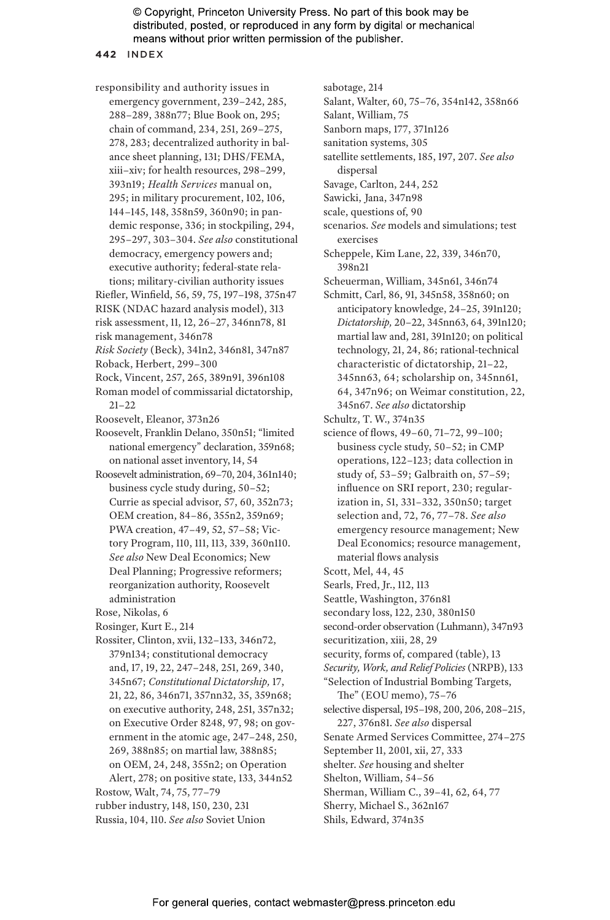sabotage, 214

**442** INDEX

responsibility and authority issues in emergency government, 239–242, 285, 288–289, 388n77; Blue Book on, 295; chain of command, 234, 251, 269–275, 278, 283; decentralized authority in balance sheet planning, 131; DHS/FEMA, xiii–xiv; for health resources, 298–299, 393n19; *Health Services* manual on, 295; in military procurement, 102, 106, 144–145, 148, 358n59, 360n90; in pandemic response, 336; in stockpiling, 294, 295–297, 303–304. *See also* constitutional democracy, emergency powers and; executive authority; federal-state relations; military-civilian authority issues

- Riefler, Winfield, 56, 59, 75, 197–198, 375n47
- RISK (NDAC hazard analysis model), 313 risk assessment, 11, 12, 26–27, 346nn78, 81
- risk management, 346n78
- *Risk Society* (Beck), 341n2, 346n81, 347n87
- Roback, Herbert, 299–300
- Rock, Vincent, 257, 265, 389n91, 396n108
- Roman model of commissarial dictatorship, 21–22
- Roosevelt, Eleanor, 373n26
- Roosevelt, Franklin Delano, 350n51; "limited national emergency" declaration, 359n68; on national asset inventory, 14, 54
- Roosevelt administration, 69–70, 204, 361n140; business cycle study during, 50–52; Currie as special advisor, 57, 60, 352n73; OEM creation, 84–86, 355n2, 359n69; PWA creation, 47–49, 52, 57–58; Victory Program, 110, 111, 113, 339, 360n110. *See also* New Deal Economics; New Deal Planning; Progressive reformers; reorganization authority, Roosevelt administration
- Rose, Nikolas, 6
- Rosinger, Kurt E., 214
- Rossiter, Clinton, xvii, 132–133, 346n72, 379n134; constitutional democracy and, 17, 19, 22, 247–248, 251, 269, 340, 345n67; *Constitutional Dictatorship,* 17, 21, 22, 86, 346n71, 357nn32, 35, 359n68; on executive authority, 248, 251, 357n32; on Executive Order 8248, 97, 98; on government in the atomic age, 247–248, 250, 269, 388n85; on martial law, 388n85; on OEM, 24, 248, 355n2; on Operation Alert, 278; on positive state, 133, 344n52
- Rostow, Walt, 74, 75, 77–79
- rubber industry, 148, 150, 230, 231
- Russia, 104, 110. *See also* Soviet Union

Salant, William, 75 Sanborn maps, 177, 371n126 sanitation systems, 305 satellite settlements, 185, 197, 207. *See also* dispersal Savage, Carlton, 244, 252 Sawicki, Jana, 347n98 scale, questions of, 90 scenarios. *See* models and simulations; test exercises Scheppele, Kim Lane, 22, 339, 346n70, 398n21 Scheuerman, William, 345n61, 346n74 Schmitt, Carl, 86, 91, 345n58, 358n60; on anticipatory knowledge, 24–25, 391n120; *Dictatorship,* 20–22, 345nn63, 64, 391n120; martial law and, 281, 391n120; on political technology, 21, 24, 86; rational-technical characteristic of dictatorship, 21–22, 345nn63, 64; scholarship on, 345nn61, 64, 347n96; on Weimar constitution, 22, 345n67. *See also* dictatorship Schultz, T. W., 374n35 science of flows, 49–60, 71–72, 99–100; business cycle study, 50–52; in CMP operations, 122–123; data collection in study of, 53–59; Galbraith on, 57–59; influence on SRI report, 230; regularization in, 51, 331–332, 350n50; target selection and, 72, 76, 77–78. *See also* emergency resource management; New Deal Economics; resource management, material flows analysis Scott, Mel, 44, 45 Searls, Fred, Jr., 112, 113 Seattle, Washington, 376n81

Salant, Walter, 60, 75–76, 354n142, 358n66

- secondary loss, 122, 230, 380n150
- second-order observation (Luhmann), 347n93
- securitization, xiii, 28, 29
- security, forms of, compared (table), 13
- *Security, Work, and Relief Policies* (NRPB), 133 "Selection of Industrial Bombing Targets,
	- The" (EOU memo), 75–76
- selective dispersal, 195–198, 200, 206, 208–215, 227, 376n81. *See also* dispersal
- Senate Armed Services Committee, 274–275
- September 11, 2001, xii, 27, 333
- shelter. *See* housing and shelter
- Shelton, William, 54–56
- Sherman, William C., 39–41, 62, 64, 77
- Sherry, Michael S., 362n167
- Shils, Edward, 374n35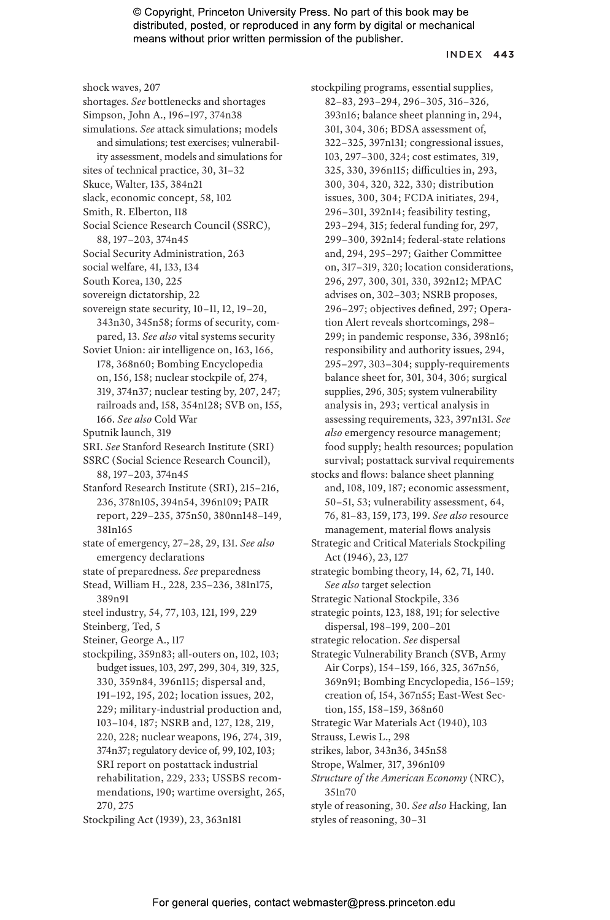#### INDEX **443**

shock waves, 207 shortages. *See* bottlenecks and shortages Simpson, John A., 196–197, 374n38 simulations. *See* attack simulations; models and simulations; test exercises; vulnerability assessment, models and simulations for sites of technical practice, 30, 31–32 Skuce, Walter, 135, 384n21 slack, economic concept, 58, 102 Smith, R. Elberton, 118 Social Science Research Council (SSRC), 88, 197–203, 374n45 Social Security Administration, 263 social welfare, 41, 133, 134 South Korea, 130, 225 sovereign dictatorship, 22 sovereign state security, 10–11, 12, 19–20, 343n30, 345n58; forms of security, compared, 13. *See also* vital systems security Soviet Union: air intelligence on, 163, 166, 178, 368n60; Bombing Encyclopedia on, 156, 158; nuclear stockpile of, 274, 319, 374n37; nuclear testing by, 207, 247; railroads and, 158, 354n128; SVB on, 155, 166. *See also* Cold War Sputnik launch, 319 SRI. *See* Stanford Research Institute (SRI) SSRC (Social Science Research Council), 88, 197–203, 374n45 Stanford Research Institute (SRI), 215–216, 236, 378n105, 394n54, 396n109; PAIR report, 229–235, 375n50, 380nn148–149, 381n165 state of emergency, 27–28, 29, 131. *See also* emergency declarations state of preparedness. *See* preparedness Stead, William H., 228, 235–236, 381n175, 389n91 steel industry, 54, 77, 103, 121, 199, 229 Steinberg, Ted, 5 Steiner, George A., 117 stockpiling, 359n83; all-outers on, 102, 103; budget issues, 103, 297, 299, 304, 319, 325, 330, 359n84, 396n115; dispersal and, 191–192, 195, 202; location issues, 202, 229; military-industrial production and, 103–104, 187; NSRB and, 127, 128, 219, 220, 228; nuclear weapons, 196, 274, 319, 374n37; regulatory device of, 99, 102, 103; SRI report on postattack industrial rehabilitation, 229, 233; USSBS recommendations, 190; wartime oversight, 265, 270, 275

stockpiling programs, essential supplies, 82–83, 293–294, 296–305, 316–326, 393n16; balance sheet planning in, 294, 301, 304, 306; BDSA assessment of, 322–325, 397n131; congressional issues, 103, 297–300, 324; cost estimates, 319, 325, 330, 396n115; difficulties in, 293, 300, 304, 320, 322, 330; distribution issues, 300, 304; FCDA initiates, 294, 296–301, 392n14; feasibility testing, 293–294, 315; federal funding for, 297, 299–300, 392n14; federal-state relations and, 294, 295–297; Gaither Committee on, 317–319, 320; location considerations, 296, 297, 300, 301, 330, 392n12; MPAC advises on, 302–303; NSRB proposes, 296–297; objectives defined, 297; Operation Alert reveals shortcomings, 298– 299; in pandemic response, 336, 398n16; responsibility and authority issues, 294, 295–297, 303–304; supply-requirements balance sheet for, 301, 304, 306; surgical supplies, 296, 305; system vulnerability analysis in, 293; vertical analysis in assessing requirements, 323, 397n131. *See also* emergency resource management; food supply; health resources; population survival; postattack survival requirements stocks and flows: balance sheet planning and, 108, 109, 187; economic assessment, 50–51, 53; vulnerability assessment, 64, 76, 81–83, 159, 173, 199. *See also* resource management, material flows analysis Strategic and Critical Materials Stockpiling Act (1946), 23, 127 strategic bombing theory, 14, 62, 71, 140. *See also* target selection Strategic National Stockpile, 336 strategic points, 123, 188, 191; for selective dispersal, 198–199, 200–201 strategic relocation. *See* dispersal Strategic Vulnerability Branch (SVB, Army Air Corps), 154–159, 166, 325, 367n56, 369n91; Bombing Encyclopedia, 156–159; creation of, 154, 367n55; East-West Section, 155, 158–159, 368n60 Strategic War Materials Act (1940), 103 Strauss, Lewis L., 298 strikes, labor, 343n36, 345n58 Strope, Walmer, 317, 396n109 *Structure of the American Economy* (NRC), 351n70 style of reasoning, 30. *See also* Hacking, Ian

Stockpiling Act (1939), 23, 363n181

styles of reasoning, 30–31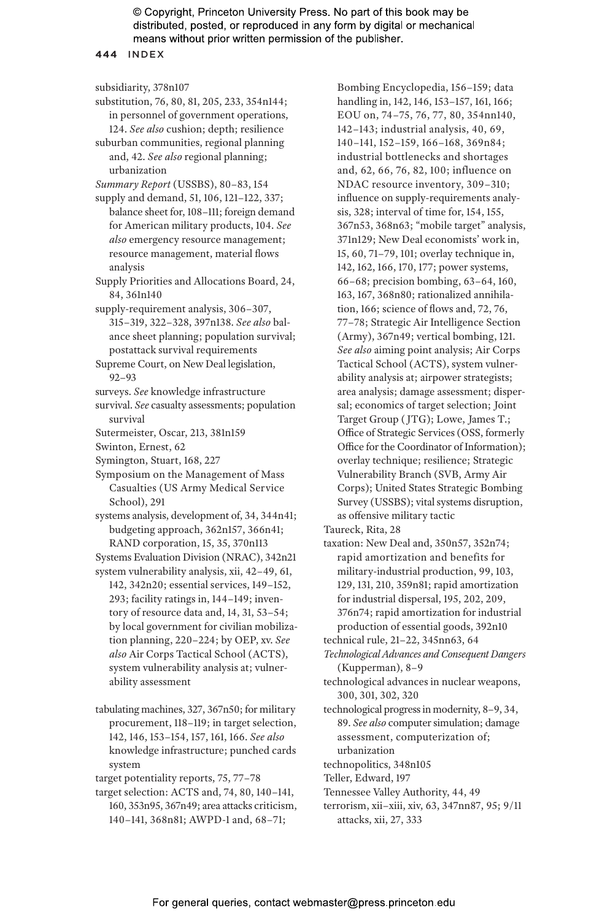**444** INDEX

```
subsidiarity, 378n107
```
- substitution, 76, 80, 81, 205, 233, 354n144; in personnel of government operations, 124. *See also* cushion; depth; resilience
- suburban communities, regional planning and, 42. *See also* regional planning; urbanization
- *Summary Report* (USSBS), 80–83, 154
- supply and demand, 51, 106, 121–122, 337; balance sheet for, 108–111; foreign demand for American military products, 104. *See also* emergency resource management; resource management, material flows analysis
- Supply Priorities and Allocations Board, 24, 84, 361n140
- supply-requirement analysis, 306–307, 315–319, 322–328, 397n138. *See also* balance sheet planning; population survival; postattack survival requirements
- Supreme Court, on New Deal legislation, 92–93
- surveys. *See* knowledge infrastructure
- survival. *See* casualty assessments; population survival
- Sutermeister, Oscar, 213, 381n159
- Swinton, Ernest, 62
- Symington, Stuart, 168, 227
- Symposium on the Management of Mass Casualties (US Army Medical Service School), 291
- systems analysis, development of, 34, 344n41; budgeting approach, 362n157, 366n41; RAND corporation, 15, 35, 370n113
- Systems Evaluation Division (NRAC), 342n21
- system vulnerability analysis, xii, 42–49, 61, 142, 342n20; essential services, 149–152, 293; facility ratings in, 144–149; inventory of resource data and, 14, 31, 53–54; by local government for civilian mobilization planning, 220–224; by OEP, xv. *See also* Air Corps Tactical School (ACTS), system vulnerability analysis at; vulnerability assessment
- tabulating machines, 327, 367n50; for military procurement, 118–119; in target selection, 142, 146, 153–154, 157, 161, 166. *See also* knowledge infrastructure; punched cards system
- target potentiality reports, 75, 77–78
- target selection: ACTS and, 74, 80, 140–141, 160, 353n95, 367n49; area attacks criticism, 140–141, 368n81; AWPD-1 and, 68–71;

Bombing Encyclopedia, 156–159; data handling in, 142, 146, 153–157, 161, 166; EOU on, 74–75, 76, 77, 80, 354nn140, 142–143; industrial analysis, 40, 69, 140–141, 152–159, 166–168, 369n84; industrial bottlenecks and shortages and, 62, 66, 76, 82, 100; influence on NDAC resource inventory, 309–310; influence on supply-requirements analysis, 328; interval of time for, 154, 155, 367n53, 368n63; "mobile target" analysis, 371n129; New Deal economists' work in, 15, 60, 71–79, 101; overlay technique in, 142, 162, 166, 170, 177; power systems, 66–68; precision bombing, 63–64, 160, 163, 167, 368n80; rationalized annihilation, 166; science of flows and, 72, 76, 77–78; Strategic Air Intelligence Section (Army), 367n49; vertical bombing, 121. *See also* aiming point analysis; Air Corps Tactical School (ACTS), system vulnerability analysis at; airpower strategists; area analysis; damage assessment; dispersal; economics of target selection; Joint Target Group ( JTG); Lowe, James T.; Office of Strategic Services (OSS, formerly Office for the Coordinator of Information); overlay technique; resilience; Strategic Vulnerability Branch (SVB, Army Air Corps); United States Strategic Bombing Survey (USSBS); vital systems disruption, as offensive military tactic

- Taureck, Rita, 28
- taxation: New Deal and, 350n57, 352n74; rapid amortization and benefits for military-industrial production, 99, 103, 129, 131, 210, 359n81; rapid amortization for industrial dispersal, 195, 202, 209, 376n74; rapid amortization for industrial production of essential goods, 392n10
- technical rule, 21–22, 345nn63, 64
- *Technological Advances and Consequent Dangers* (Kupperman), 8–9
- technological advances in nuclear weapons, 300, 301, 302, 320
- technological progress in modernity, 8–9, 34, 89. *See also* computer simulation; damage assessment, computerization of; urbanization
- technopolitics, 348n105
- Teller, Edward, 197
- Tennessee Valley Authority, 44, 49
- terrorism, xii–xiii, xiv, 63, 347nn87, 95; 9/11 attacks, xii, 27, 333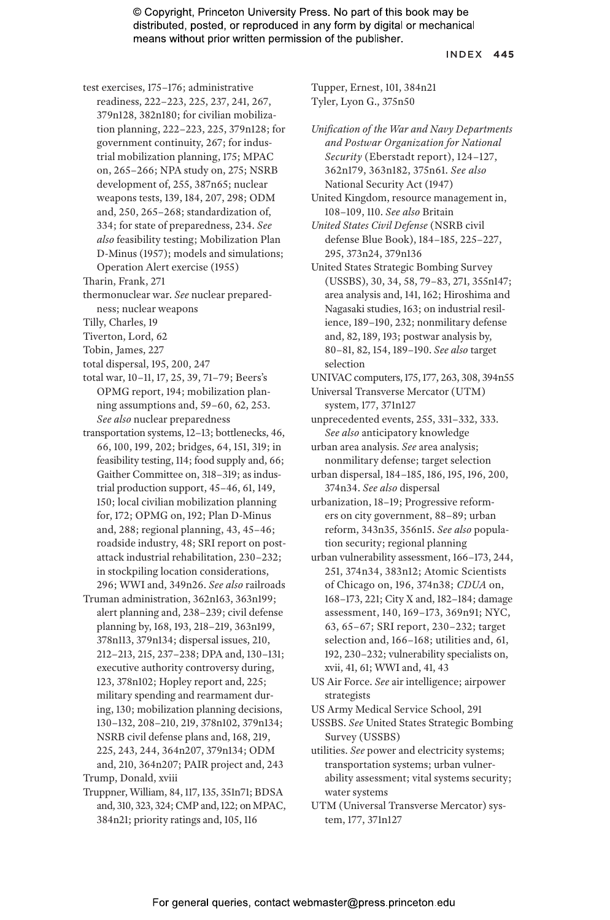#### INDEX **445**

- test exercises, 175–176; administrative readiness, 222–223, 225, 237, 241, 267, 379n128, 382n180; for civilian mobilization planning, 222–223, 225, 379n128; for government continuity, 267; for industrial mobilization planning, 175; MPAC on, 265–266; NPA study on, 275; NSRB development of, 255, 387n65; nuclear weapons tests, 139, 184, 207, 298; ODM and, 250, 265–268; standardization of, 334; for state of preparedness, 234. *See also* feasibility testing; Mobilization Plan D-Minus (1957); models and simulations; Operation Alert exercise (1955)
- Tharin, Frank, 271
- thermonuclear war. *See* nuclear preparedness; nuclear weapons
- Tilly, Charles, 19
- Tiverton, Lord, 62
- Tobin, James, 227
- total dispersal, 195, 200, 247
- total war, 10–11, 17, 25, 39, 71–79; Beers's OPMG report, 194; mobilization planning assumptions and, 59–60, 62, 253. *See also* nuclear preparedness
- transportation systems, 12–13; bottlenecks, 46, 66, 100, 199, 202; bridges, 64, 151, 319; in feasibility testing, 114; food supply and, 66; Gaither Committee on, 318–319; as industrial production support, 45–46, 61, 149, 150; local civilian mobilization planning for, 172; OPMG on, 192; Plan D-Minus and, 288; regional planning, 43, 45–46; roadside industry, 48; SRI report on postattack industrial rehabilitation, 230–232; in stockpiling location considerations, 296; WWI and, 349n26. *See also* railroads
- Truman administration, 362n163, 363n199; alert planning and, 238–239; civil defense planning by, 168, 193, 218–219, 363n199, 378n113, 379n134; dispersal issues, 210, 212–213, 215, 237–238; DPA and, 130–131; executive authority controversy during, 123, 378n102; Hopley report and, 225; military spending and rearmament during, 130; mobilization planning decisions, 130–132, 208–210, 219, 378n102, 379n134; NSRB civil defense plans and, 168, 219, 225, 243, 244, 364n207, 379n134; ODM and, 210, 364n207; PAIR project and, 243

Truppner, William, 84, 117, 135, 351n71; BDSA and, 310, 323, 324; CMP and, 122; on MPAC, 384n21; priority ratings and, 105, 116

Tupper, Ernest, 101, 384n21 Tyler, Lyon G., 375n50

- *Unification of the War and Navy Departments and Postwar Organization for National Security* (Eberstadt report), 124–127, 362n179, 363n182, 375n61. *See also* National Security Act (1947)
- United Kingdom, resource management in, 108–109, 110. *See also* Britain
- *United States Civil Defense* (NSRB civil defense Blue Book), 184–185, 225–227, 295, 373n24, 379n136
- United States Strategic Bombing Survey (USSBS), 30, 34, 58, 79–83, 271, 355n147; area analysis and, 141, 162; Hiroshima and Nagasaki studies, 163; on industrial resilience, 189–190, 232; nonmilitary defense and, 82, 189, 193; postwar analysis by, 80–81, 82, 154, 189–190. *See also* target selection
- UNIVAC computers, 175, 177, 263, 308, 394n55
- Universal Transverse Mercator (UTM) system, 177, 371n127
- unprecedented events, 255, 331–332, 333. *See also* anticipatory knowledge
- urban area analysis. *See* area analysis; nonmilitary defense; target selection
- urban dispersal, 184–185, 186, 195, 196, 200, 374n34. *See also* dispersal
- urbanization, 18–19; Progressive reformers on city government, 88–89; urban reform, 343n35, 356n15. *See also* population security; regional planning
- urban vulnerability assessment, 166–173, 244, 251, 374n34, 383n12; Atomic Scientists of Chicago on, 196, 374n38; *CDUA* on, 168–173, 221; City X and, 182–184; damage assessment, 140, 169–173, 369n91; NYC, 63, 65–67; SRI report, 230–232; target selection and, 166–168; utilities and, 61, 192, 230–232; vulnerability specialists on, xvii, 41, 61; WWI and, 41, 43
- US Air Force. *See* air intelligence; airpower strategists
- US Army Medical Service School, 291
- USSBS. *See* United States Strategic Bombing Survey (USSBS)
- utilities. *See* power and electricity systems; transportation systems; urban vulnerability assessment; vital systems security; water systems
- UTM (Universal Transverse Mercator) system, 177, 371n127

Trump, Donald, xviii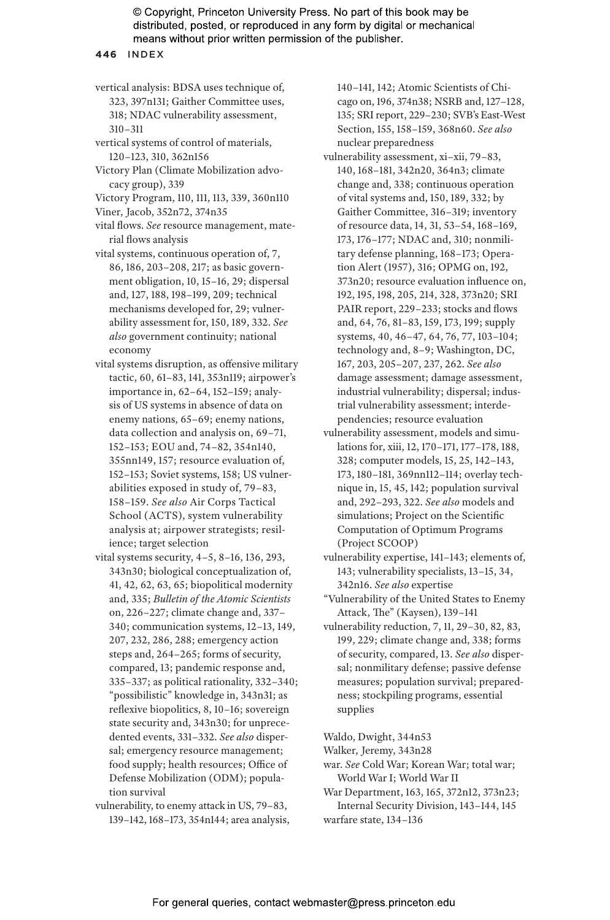**446** INDEX

vertical analysis: BDSA uses technique of, 323, 397n131; Gaither Committee uses, 318; NDAC vulnerability assessment, 310–311

vertical systems of control of materials, 120–123, 310, 362n156

Victory Plan (Climate Mobilization advocacy group), 339

Victory Program, 110, 111, 113, 339, 360n110

- Viner, Jacob, 352n72, 374n35
- vital flows. *See* resource management, material flows analysis
- vital systems, continuous operation of, 7, 86, 186, 203–208, 217; as basic government obligation, 10, 15–16, 29; dispersal and, 127, 188, 198–199, 209; technical mechanisms developed for, 29; vulnerability assessment for, 150, 189, 332. *See also* government continuity; national economy
- vital systems disruption, as offensive military tactic, 60, 61–83, 141, 353n119; airpower's importance in, 62–64, 152–159; analysis of US systems in absence of data on enemy nations, 65–69; enemy nations, data collection and analysis on, 69–71, 152–153; EOU and, 74–82, 354n140, 355nn149, 157; resource evaluation of, 152–153; Soviet systems, 158; US vulnerabilities exposed in study of, 79–83, 158–159. *See also* Air Corps Tactical School (ACTS), system vulnerability analysis at; airpower strategists; resilience; target selection
- vital systems security, 4–5, 8–16, 136, 293, 343n30; biological conceptualization of, 41, 42, 62, 63, 65; biopolitical modernity and, 335; *Bulletin of the Atomic Scientists* on, 226–227; climate change and, 337– 340; communication systems, 12–13, 149, 207, 232, 286, 288; emergency action steps and, 264–265; forms of security, compared, 13; pandemic response and, 335–337; as political rationality, 332–340; "possibilistic" knowledge in, 343n31; as reflexive biopolitics, 8, 10–16; sovereign state security and, 343n30; for unprecedented events, 331–332. *See also* dispersal; emergency resource management; food supply; health resources; Office of Defense Mobilization (ODM); population survival

vulnerability, to enemy attack in US, 79–83, 139–142, 168–173, 354n144; area analysis, 140–141, 142; Atomic Scientists of Chicago on, 196, 374n38; NSRB and, 127–128, 135; SRI report, 229–230; SVB's East-West Section, 155, 158–159, 368n60. *See also* nuclear preparedness

- vulnerability assessment, xi–xii, 79–83, 140, 168–181, 342n20, 364n3; climate change and, 338; continuous operation of vital systems and, 150, 189, 332; by Gaither Committee, 316–319; inventory of resource data, 14, 31, 53–54, 168–169, 173, 176–177; NDAC and, 310; nonmilitary defense planning, 168–173; Operation Alert (1957), 316; OPMG on, 192, 373n20; resource evaluation influence on, 192, 195, 198, 205, 214, 328, 373n20; SRI PAIR report, 229–233; stocks and flows and, 64, 76, 81–83, 159, 173, 199; supply systems, 40, 46–47, 64, 76, 77, 103–104; technology and, 8–9; Washington, DC, 167, 203, 205–207, 237, 262. *See also* damage assessment; damage assessment, industrial vulnerability; dispersal; industrial vulnerability assessment; interdependencies; resource evaluation
- vulnerability assessment, models and simulations for, xiii, 12, 170–171, 177–178, 188, 328; computer models, 15, 25, 142–143, 173, 180–181, 369nn112–114; overlay technique in, 15, 45, 142; population survival and, 292–293, 322. *See also* models and simulations; Project on the Scientific Computation of Optimum Programs (Project SCOOP)
- vulnerability expertise, 141–143; elements of, 143; vulnerability specialists, 13–15, 34, 342n16. *See also* expertise
- "Vulnerability of the United States to Enemy Attack, The" (Kaysen), 139–141
- vulnerability reduction, 7, 11, 29–30, 82, 83, 199, 229; climate change and, 338; forms of security, compared, 13. *See also* dispersal; nonmilitary defense; passive defense measures; population survival; preparedness; stockpiling programs, essential supplies

Waldo, Dwight, 344n53

- Walker, Jeremy, 343n28
- war. *See* Cold War; Korean War; total war; World War I; World War II

War Department, 163, 165, 372n12, 373n23; Internal Security Division, 143–144, 145 warfare state, 134–136